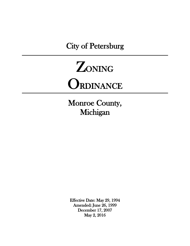City of Petersburg



Monroe County, Michigan

Effective Date: May 29, 1994 Amended: June 26, 1999 December 17, 2007 May 2, 2016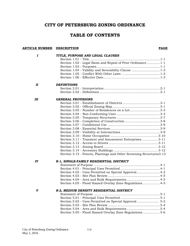# **CITY OF PETERSBURG ZONING ORDINANCE**

# **TABLE OF CONTENTS**

#### **ARTICLE NUMBER DESCRIPTION PAGE**

| I  | TITLE, PURPOSE AND LEGAL CLAUSES                                     |
|----|----------------------------------------------------------------------|
|    |                                                                      |
|    | Section 1.02 - Legal Basis and Repeal of Prior Ordinance 1-1         |
|    |                                                                      |
|    | Section 1.04 - Validity and Severability Clause  1-3                 |
|    |                                                                      |
|    |                                                                      |
| П  | <b>DEFINITIONS</b>                                                   |
|    |                                                                      |
|    |                                                                      |
| Ш  | <b>GENERAL PROVISIONS</b>                                            |
|    |                                                                      |
|    |                                                                      |
|    | Section 3.03 - Number of Residences on a Lot3-3                      |
|    |                                                                      |
|    |                                                                      |
|    |                                                                      |
|    |                                                                      |
|    |                                                                      |
|    |                                                                      |
|    |                                                                      |
|    | Section 3.11 - Transient and Amusement Enterprises3-11               |
|    |                                                                      |
|    |                                                                      |
|    |                                                                      |
|    | Section 3.15 - Fences, Plantings and Other Screening Structures 3-13 |
| IV | R-1, SINGLE-FAMILY RESIDENTIAL DISTRICT                              |
|    |                                                                      |
|    |                                                                      |
|    | Section 4.02 - Uses Permitted on Special Approval 4-2                |
|    |                                                                      |
|    |                                                                      |
|    | Section 4.05 - Flood Hazard Overlay Zone Regulations 4-5             |
| V  | R-2, MEDIUM DENSITY RESIDENTIAL DISTRICT                             |
|    |                                                                      |
|    |                                                                      |
|    |                                                                      |
|    |                                                                      |
|    |                                                                      |
|    | Section 5.05 - Flood Hazard Overlay Zone Regulations5-6              |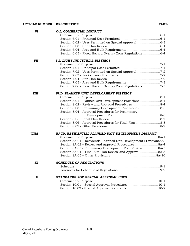#### **ARTICLE NUMBER DESCRIPTION PAGE**

| VI                 | C-1, COMMERCIAL DISTRICT                                            |
|--------------------|---------------------------------------------------------------------|
|                    |                                                                     |
|                    |                                                                     |
|                    | Section 6.02 - Uses Permitted on Special Approval 6-3               |
|                    |                                                                     |
|                    |                                                                     |
|                    | Section 6.05 - Flood Hazard Overlay Zone Regulations 6-4            |
| VII                | I-1, LIGHT INDUSTRIAL DISTRICT                                      |
|                    |                                                                     |
|                    |                                                                     |
|                    |                                                                     |
|                    |                                                                     |
|                    |                                                                     |
|                    |                                                                     |
|                    | Section 7.06 - Flood Hazard Overlay Zone Regulations 7-3            |
| <i><b>VIII</b></i> | PUD, PLANNED UNIT DEVELOPMENT DISTRICT                              |
|                    |                                                                     |
|                    | Section 8.01 - Planned Unit Development Provisions 8-1              |
|                    | Section 8.02 - Review and Approval Procedures  8-4                  |
|                    | Section 8.03 - Preliminary Development Plan Review 8-5              |
|                    | Section 8.04 - Approval Procedures for Preliminary                  |
|                    |                                                                     |
|                    |                                                                     |
|                    | Section 8.06 - Approval Procedures for Final Plan  8-8              |
|                    |                                                                     |
| <b>VIIIA</b>       | RPUD, RESIDENTIAL PLANNED UNIT DEVELOPMENT DISTRICT                 |
|                    |                                                                     |
|                    | Section 8A.01 - Residential Planned Unit Development Provisions8A-1 |
|                    |                                                                     |
|                    | Section 8A.03 - Preliminary Development Plan Review  8A-5           |
|                    | Section 8A.04 - Final Site Plan Review and Approval8A-8             |
|                    |                                                                     |
| IX                 | <b>SCHEDULE OF REGULATIONS</b>                                      |
|                    |                                                                     |
|                    |                                                                     |
| X                  | STANDARDS FOR SPECIAL APPROVAL USES                                 |
|                    |                                                                     |
|                    | Section 10.01 - Special Approval Procedures 10-1                    |
|                    | Section 10.02 - Special Approval Standards 10-2                     |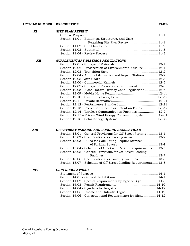#### **ARTICLE NUMBER DESCRIPTION PAGE**

| XI         | <b>SITE PLAN REVIEW</b>                                                                                                                                                                                                             |
|------------|-------------------------------------------------------------------------------------------------------------------------------------------------------------------------------------------------------------------------------------|
|            |                                                                                                                                                                                                                                     |
|            | Section 11.01 - Buildings, Structures, and Uses                                                                                                                                                                                     |
|            | Requiring Site Plan Review 11-1                                                                                                                                                                                                     |
|            |                                                                                                                                                                                                                                     |
|            |                                                                                                                                                                                                                                     |
|            |                                                                                                                                                                                                                                     |
| <b>XII</b> | SUPPLEMENTARY DISTRICT REGULATIONS                                                                                                                                                                                                  |
|            |                                                                                                                                                                                                                                     |
|            | Section 12.02 - Preservation of Environmental Quality 12-1                                                                                                                                                                          |
|            |                                                                                                                                                                                                                                     |
|            | Section 12.04 - Automobile Service and Repair Stations 12-2                                                                                                                                                                         |
|            |                                                                                                                                                                                                                                     |
|            |                                                                                                                                                                                                                                     |
|            | Section 12.07 - Storage of Recreational Equipment 12-6                                                                                                                                                                              |
|            | Section 12.08 - Flood Hazard Overlay Zone Regulations  12-6                                                                                                                                                                         |
|            |                                                                                                                                                                                                                                     |
|            |                                                                                                                                                                                                                                     |
|            |                                                                                                                                                                                                                                     |
|            |                                                                                                                                                                                                                                     |
|            | Section 12.13 - Recreation, Scenic or Retention Ponds12-23                                                                                                                                                                          |
|            | Section 12.14 - Wireless Communication Facilities12-24                                                                                                                                                                              |
|            |                                                                                                                                                                                                                                     |
|            |                                                                                                                                                                                                                                     |
|            |                                                                                                                                                                                                                                     |
|            |                                                                                                                                                                                                                                     |
|            |                                                                                                                                                                                                                                     |
| XIII       | Section 12.15 – Private Wind Energy Conversion System12-34<br>OFF-STREET PARKING AND LOADING REGULATIONS<br>Section 13.01 - General Provisions for Off-Street Parking 13-1<br>Section 13.02 - Specifications for Parking Areas 13-2 |

| Section 13.03 - Rules for Calculating Require Number             |  |
|------------------------------------------------------------------|--|
|                                                                  |  |
| Section 13.04 - Schedule of Off-Street Parking Requirements 13-5 |  |
| Section 13.05 - General Provisions for Off-Street Loading        |  |
|                                                                  |  |
| Section 13.06 - Specifications for Loading Facilities  13-8      |  |
| Section 13.07 - Schedule of Off-Street Loading Requirements 13-8 |  |

#### *XIV SIGN REGULATIONS*

| Section 14.02 - Special Requirements by Type of Sign 14-3   |  |
|-------------------------------------------------------------|--|
|                                                             |  |
|                                                             |  |
|                                                             |  |
| Section 14.06 - Constructional Requirements for Signs 14-12 |  |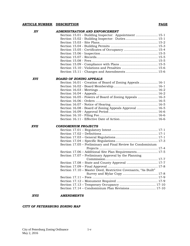#### **ARTICLE NUMBER DESCRIPTION PAGE**

| XV          | <b>ADMINISTRATION AND ENFORCEMENT</b>                          |
|-------------|----------------------------------------------------------------|
|             | Section 15.01 - Building Inspector: Appointment  15-1          |
|             |                                                                |
|             |                                                                |
|             |                                                                |
|             |                                                                |
|             |                                                                |
|             |                                                                |
|             |                                                                |
|             |                                                                |
|             |                                                                |
|             | Section 15.11 - Changes and Amendments 15-6                    |
| <b>XVI</b>  | <b>BOARD OF ZONING APPEALS</b>                                 |
|             | Section 16.01 - Creation of Board of Zoning Appeals 16-1       |
|             |                                                                |
|             |                                                                |
|             |                                                                |
|             | Section 16.05 - Powers of Board of Zoning Appeals  16-3        |
|             |                                                                |
|             |                                                                |
|             | Section 16.08 - Board of Zoning Appeals Approval  16-5         |
|             |                                                                |
|             |                                                                |
|             |                                                                |
| <b>XVII</b> | <b>CONDOMINIUM PROJECTS</b>                                    |
|             |                                                                |
|             |                                                                |
|             |                                                                |
|             |                                                                |
|             | Section 17.05 - Preliminary and Final Review for Condominium   |
|             |                                                                |
|             | Section 17.06 - Additional Site Plan Requirements 17-5         |
|             | Section 17.07 – Preliminary Approval by the Planning           |
|             |                                                                |
|             |                                                                |
|             |                                                                |
|             | Section 17.10 - Master Deed, Restrictive Covenants, "As Built" |
|             |                                                                |
|             |                                                                |
|             |                                                                |
|             |                                                                |
|             |                                                                |
| <b>XVII</b> | <b>AMENDMENTS</b>                                              |

#### *CITY OF PETERSBURG ZONING MAP*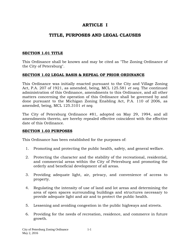# **ARTICLE I**

# **TITLE, PURPOSES AND LEGAL CLAUSES**

## **SECTION 1.01 TITLE**

This Ordinance shall be known and may be cited as "The Zoning Ordinance of the City of Petersburg".

### **SECTION 1.02 LEGAL BASIS & REPEAL OF PRIOR ORDINANCE**

This Ordinance was initially enacted pursuant to the City and Village Zoning Act, P.A. 207 of 1921, as amended, being, MCL 125.581 *et seq.* The continued administration of this Ordinance, amendments to this Ordinance, and all other matters concerning the operation of this Ordinance shall be governed by and done pursuant to the Michigan Zoning Enabling Act, P.A. 110 of 2006, as amended, being, MCL 125.3101 *et seq.*

The City of Petersburg Ordinance #81, adopted on May 29, 1994, and all amendments thereto, are hereby repealed effective coincident with the effective date of this Ordinance.

#### **SECTION 1.03 PURPOSES**

This Ordinance has been established for the purposes of:

- 1. Promoting and protecting the public health, safety, and general welfare.
- 2. Protecting the character and the stability of the recreational, residential, and commercial areas within the City of Petersburg and promoting the orderly and beneficial development of all areas.
- 3. Providing adequate light, air, privacy, and convenience of access to property.
- 4. Regulating the intensity of use of land and lot areas and determining the area of open spaces surrounding buildings and structures necessary to provide adequate light and air and to protect the public health.
- 5. Lessening and avoiding congestion in the public highways and streets.
- 6. Providing for the needs of recreation, residence, and commerce in future growth.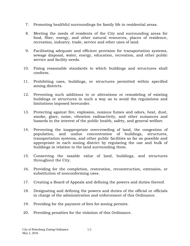- 7. Promoting healthful surroundings for family life in residential areas.
- 8. Meeting the needs of residents of the City and surrounding areas for food, fiber, energy, and other natural resources, places of residence, recreation, industry, trade, service and other uses of land.
- 9. Facilitating adequate and efficient provision for transportation systems, sewage disposal, water, energy, education, recreation, and other public service and facility needs.
- 10. Fixing reasonable standards to which buildings and structures shall conform.
- 11. Prohibiting uses, buildings, or structures permitted within specified zoning districts.
- 12. Preventing such additions to or alterations or remodeling of existing buildings or structures in such a way as to avoid the regulations and limitations imposed hereunder.
- 13. Protecting against fire, explosion, noxious fumes and odors, heat, dust, smoke, glare, noise, vibration radioactivity, and other nuisances and hazards in the interest of the public health, safety, and general welfare.
- 14. Preventing the inappropriate overcrowding of land, the congestion of population, and undue concentration of buildings, structures, transportation systems, and other public facilities so far as possible and appropriate in each zoning district by regulating the use and bulk of buildings in relation to the land surrounding them.
- 15. Conserving the taxable value of land, buildings, and structures throughout the City.
- 16. Providing for the completion, restoration, reconstruction, extension, or substitution of nonconforming uses.
- 17. Creating a Board of Appeals and defining the powers and duties thereof.
- 18. Designating and defining the powers and duties of the official or officials in charge of the administration and enforcement of this Ordinance.
- 19. Providing for the payment of fees for zoning permits.
- 20. Providing penalties for the violation of this Ordinance.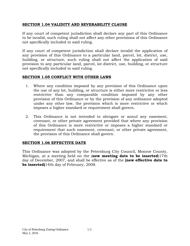## **SECTION 1.04 VALIDITY AND SEVERABILITY CLAUSE**

If any court of competent jurisdiction shall declare any part of this Ordinance to be invalid, such ruling shall not affect any other provisions of this Ordinance not specifically included in said ruling.

If any court of competent jurisdiction shall declare invalid the application of any provision of this Ordinance to a particular land, parcel, lot, district, use, building, or structure, such ruling shall not affect the application of said provision to any particular land, parcel, lot district, use, building, or structure not specifically included in said ruling.

# **SECTION 1.05 CONFLICT WITH OTHER LAWS**

- 1. Where any condition imposed by any provision of this Ordinance upon the use of any lot, building, or structure is either more restrictive or less restrictive than any comparable condition imposed by any other provision of this Ordinance or by the provision of any ordinance adopted under any other law, the provision which is more restrictive or which imposes a higher standard or requirement shall govern.
- 2. This Ordinance is not intended to abrogate or annul any easement, covenant, or other private agreement provided that where any provision of this Ordinance is more restrictive or imposes a higher standard or requirement that such easement, covenant, or other private agreement, the provision of this Ordinance shall govern.

# **SECTION 1.06 EFFECTIVE DATE**

This Ordinance was adopted by the Petersburg City Council, Monroe County, Michigan, at a meeting held on the (**new meeting date to be inserted**)17th day of December, 2007, and shall be effective as of the **(new effective date to be inserted)**14th day of February, 2008.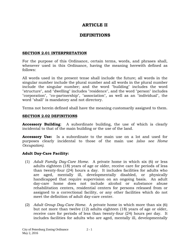# **ARTICLE II**

# **DEFINITIONS**

### **SECTION 2.01 INTERPRETATION**

For the purpose of this Ordinance, certain terms, words, and phrases shall, whenever used in this Ordinance, having the meaning herewith defined as follows:

All words used in the present tense shall include the future; all words in the singular number include the plural number and all words in the plural number include the singular number; and the word "building" includes the word "structure", and "dwelling" includes "residence", and the word "person" includes "corporation", "co-partnership", "association", as well as an "individual", the word "shall" is mandatory and not directory.

Terms not herein defined shall have the meaning customarily assigned to them.

### **SECTION 2.02 DEFINITIONS**

**Accessory Building**: A subordinate building, the use of which is clearly incidental to that of the main building or the use of the land.

**Accessory Use:** Is a subordinate to the main use on a lot and used for purposes clearly incidental to those of the main use *(also see Home Occupation).*

#### **Adult Day-Care Facility:**

- (1) *Adult Family Day-Care Home.* A private home in which six (6) or less adults eighteen (18) years of age or older, receive care for periods of less than twenty-four (24) hours a day. It includes facilities for adults who are aged, mentally ill, developmentally disabled, or physically handicapped that require supervision on an ongoing basis. An adult day-care home does not include alcohol or substance abuse rehabilitation centers, residential centers for persons released from or assigned to a correctional facility, or any other facilities which do not meet the definition of adult day-care center.
- (2) *Adult Group Day-Care Home.* A private home in which more than six (6) but not more than twelve (12) adults eighteen (18) years of age or older, receive care for periods of less than twenty-four (24) hours per day. It includes facilities for adults who are aged, mentally ill, developmentally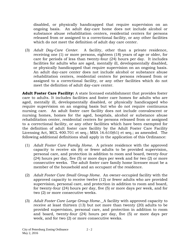disabled, or physically handicapped that require supervision on an ongoing basis. An adult day-care home does not include alcohol or substance abuse rehabilitation centers, residential centers for persons released from or assigned to a correctional facility, or any other facilities which do not meet the definition of adult day care center.

(3) *Adult Day-Care Center.* A facility, other than a private residence, receiving one (1) or more persons, eighteen (18) years of age or older, for care for periods of less than twenty-four (24) hours per day. It includes facilities for adults who are aged, mentally ill, developmentally disabled, or physically handicapped that require supervision on an ongoing basis. An adult day-care center does not include alcohol or substance abuse rehabilitation centers, residential centers for persons released from or assigned to a correctional facility, or any other facilities which do not meet the definition of adult day-care center.

**Adult Foster Care Facility:** A state licensed establishment that provides foster care to adults. It includes facilities and foster care homes for adults who are aged, mentally ill, developmentally disabled, or physically handicapped who require supervision on an ongoing basis but who do not require continuous nursing care. An adult foster care facility does not include convalescent or nursing homes, homes for the aged, hospitals, alcohol or substance abuse rehabilitation center, residential centers for persons released from or assigned to a correctional facility, or any other facilities which have been exempted for the definition of adult foster care facility by the Adult Foster Care Facility Licensing Act, MCL 400.701 et seq.; MSA 16.610(61) et seq.; as amended. The following additional definitions shall apply in the application of this Ordinance:

- (1) *Adult Foster Care Family Home.* A private residence with the approved capacity to receive six (6) or fewer adults to be provided supervision, personal care, and protection in addition to room and board, twenty-four (24) hours per day, five (5) or more days per week and for two (2) or more consecutive weeks. The adult foster care family home licensee must be a member of the household and an occupant of the residence.
- (2) *Adult Foster Care Small Group Home.* An owner-occupied facility with the approved capacity to receive twelve (12) or fewer adults who are provided supervision, personal care, and protection in addition to room and board, for twenty-four (24) hours per day, five (5) or more days per week, and for two (2) or more consecutive weeks.
- (3) *Adult Foster Care Large Group Home.*A facility with approved capacity to receive at least thirteen (13) but not more than twenty (20) adults to be provided supervision, personal care, and protection in addition to room and board, twenty-four (24) hours per day, five (5) or more days per week, and for two (2) or more consecutive weeks.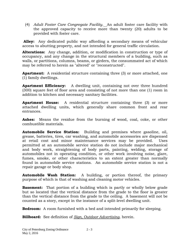(4) *Adult Foster Care Congregate Facility.*An adult foster care facility with the approved capacity to receive more than twenty (20) adults to be provided with foster care.

**Alley:** Any dedicated public way affording a secondary means of vehicular access to abutting property, and not intended for general traffic circulation.

**Alterations:** Any change, addition, or modification in construction or type of occupancy, and any change in the structural members of a building, such as walls, or partitions, columns, beams, or girders, the consummated act of which may be referred to herein as "altered" or "reconstructed".

**Apartment:** A residential structure containing three (3) or more attached, one (1) family dwellings.

**Apartment Efficiency:** A dwelling unit, containing not over three hundred (300) square feet of floor area and consisting of not more than one (1) room in addition to kitchen and necessary sanitary facilities.

**Apartment House:** A residential structure containing three (3) or more attached dwelling units, which generally share common front and rear entrances.

Ashes: Means the residue from the burning of wood, coal, coke, or other combustible materials.

**Automobile Service Station:** Building and premises where gasoline, oil, grease, batteries, tires, car washing, and automobile accessories are dispensed at retail cost and minor maintenance services may be provided. Uses permitted at an automobile service station do not include major mechanical and body work, straightening of body parts, painting, welding, storage of automobiles not in operating condition, or other work involving noise, glare, fumes, smoke, or other characteristics to an extent greater than normally found in automobile service stations. An automobile service station is not a repair garage or body shop.

**Automobile Wash Station:** A building, or portion thereof, the primary purpose of which is that of washing and cleaning motor vehicles.

**Basement:** That portion of a building which is partly or wholly below grade but so located that the vertical distance from the grade to the floor is greater than the vertical distance from the grade to the ceiling. A basement will not be counted as a story, except in the instance of a split-level dwelling unit.

**Bedroom:** A room furnished with a bed and intended primarily for sleeping.

**Billboard:** See definition of *Sign, Outdoor Advertising*, herein.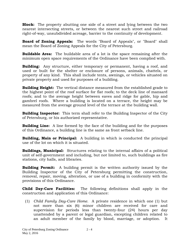**Block:** The property abutting one side of a street and lying between the two nearest intersecting streets, or between the nearest such street and railroad right-of-way, unsubdivided acreage, barrier to the continuity of development.

**Board of Zoning Appeals:** The words "Board of Appeals", or "Board" shall mean the Board of Zoning Appeals for the City of Petersburg.

**Buildable Area:** The buildable area of a lot is the space remaining after the minimum open space requirements of the Ordinance have been complied with.

**Building:** Any structure, either temporary or permanent, having a roof, and used or built for the shelter or enclosure of persons, animals, chattels, or property of any kind. This shall include tents, awnings, or vehicles situated on private property and used for purposes of a building.

**Building Height:** The vertical distance measured from the established grade to the highest point of the roof surface for flat roofs; to the deck line of mansard roofs; and to the average height between eaves and ridge for gable, hip and gambrel roofs. Where a building is located on a terrace, the height may be measured from the average ground level of the terrace at the building wall.

**Building Inspector:** This term shall refer to the Building Inspector of the City of Petersburg, or his authorized representative.

**Building Line:** A line formed by the face of the building and for the purposes of this Ordinance, a building line is the same as front setback line.

**Building, Main or Principal:** A building in which is conducted the principal use of the lot on which it is situated.

**Buildings, Municipal:** Structures relating to the internal affairs of a political unit of self-government and including, but not limited to, such buildings as fire stations, city halls, and libraries.

**Building Permit:** A building permit is the written authority issued by the Building Inspector of the City of Petersburg permitting the construction, removal, repair, moving, alteration, or use of a building in conformity with the provisions of this Ordinance.

**Child Day-Care Facilities:** The following definitions shall apply in the construction and application of this Ordinance:

(1) *Child Family Day-Care Home.* A private residence in which one (1) but not more than six (6) minor children are received for care and supervision for periods less than twenty-four (24) hours per day unattended by a parent or legal guardian, excepting children related to an adult member of the family by blood, marriage, or adoption. It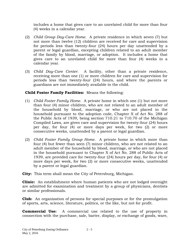includes a home that gives care to an unrelated child for more than four (4) weeks in a calendar year.

- (2) *Child Group Day-Care Home*. A private residence in which seven (7) but not more than twelve (12) children are received for care and supervision for periods less than twenty-four (24) hours per day unattended by a parent or legal guardian, excepting children related to an adult member of the family by blood, marriage, or adoption. It includes a home that gives care to an unrelated child for more than four (4) weeks in a calendar year.
- (3) *Child Day*-*Care Center.* A facility, other than a private residence, receiving more than one (1) or more children for care and supervision for periods less than twenty-four (24) hours, and where the parents or guardians are not immediately available to the child.

## **Child Foster Family Facilities:** Means the following:

- (1) *Child Foster Family Home.* A private home in which one (1) but not more than four (4) minor children, who are not related to an adult member of the household by blood, marriage, or who are not placed in the household pursuant to the adoption code, Chapter X of Act No. 288 of the Public Acts of 1939, being section 710.21 to 710.70 of the Michigan Compiled Laws, are given care and supervision for twenty-four (24) hours per day, for four (4) or more days per week, for two (2) or more consecutive weeks, unattended by a parent or legal guardian.
- (2) *Child Foster Family Group Home.* A private home in which more than four (4) but fewer than seen (7) minor children, who are not related to an adult member of the household by blood, marriage, or who are not placed in the household pursuant to Chapter X of Act No. 288 of Public Acts of 1939, are provided care for twenty-four (24) hours per day, for four (4) or more days per week, for two (2) or more consecutive weeks, unattended by a parent or legal guardian.

**City:** This term shall mean the City of Petersburg, Michigan.

**Clinic:** An establishment where human patients who are not lodged overnight are admitted for examination and treatment by a group of physicians, dentists or similar professionals.

**Club:** An organization of persons for special purposes or for the promulgation of sports, arts, science, literature, politics, or the like, but not for profit.

**Commercial Use:** A commercial use related to the use of property in connection with the purchase, sale, barter, display, or exchange of goods, ware,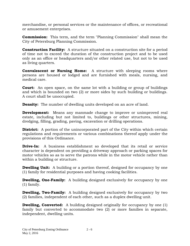merchandise, or personal services or the maintenance of offices, or recreational or amusement enterprises.

**Commission:** This term, and the term "Planning Commission" shall mean the City of Petersburg Planning Commission.

**Construction Facility:** A structure situated on a construction site for a period of time not to exceed the duration of the construction project and to be used only as an office or headquarters and/or other related use, but not to be used as living quarters.

**Convalescent or Nursing Home:** A structure with sleeping rooms where persons are housed or lodged and are furnished with meals, nursing, and medical care.

**Court:** An open space, on the same lot with a building or group of buildings and which is bounded on two (2) or more sides by such building or buildings. A court shall be unoccupied.

**Density:** The number of dwelling units developed on an acre of land.

**Development:** Means any manmade change to improve or unimproved real estate, including but not limited to, buildings or other structures, mining, dredging, filling, grading, paving, excavation or drilling operations.

**District:** A portion of the unincorporated part of the City within which certain regulations and requirements or various combinations thereof apply under the provisions of this Ordinance.

**Drive-In:** A business establishment so developed that its retail or service character is dependent on providing a driveway approach or parking spaces for motor vehicles so as to serve the patrons while in the motor vehicle rather than within a building or structure.

**Dwelling Unit:** A building or a portion thereof, designed for occupancy by one (1) family for residential purposes and having cooking facilities.

**Dwelling, One-Family:** A building designed exclusively for occupancy by one (1) family.

**Dwelling, Two-Family:** A building designed exclusively for occupancy by two (2) families, independent of each other, such as a duplex dwelling unit.

**Dwelling, Converted:** A building designed originally for occupancy by one (1) family but converted to accommodate two (2) or more families in separate, independent, dwelling units.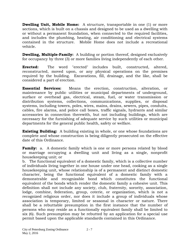**Dwelling Unit, Mobile Home:** A structure, transportable in one (1) or more sections, which is built on a chassis and designed to be used as a dwelling with or without a permanent foundation, when connected to the required facilities, and includes the plumbing, heating, air conditioning and electrical systems contained in the structure. Mobile Home does not include a recreational vehicle.

**Dwelling, Multiple-Family:** A building or portion thereof, designed exclusively for occupancy by three (3) or more families living independently of each other.

**Erected:** The word "erected" includes built, constructed, altered, reconstructed, moved upon, or any physical operations on the premises required by the building. Excavations, fill, drainage, and the like, shall be considered a part of erection.

**Essential Services:** Means the erection, construction, alteration, or maintenance by public utilities or municipal departments of underground, surface or overhead gas, electrical, steam, fuel, or water transmission or distribution systems, collections, communications, supplies, or disposal systems, including towers, poles, wires, mains, drains, sewers, pipes, conduits, cables, fire alarms, and police call boxes, traffic signals, hydrants and similar accessories in connection therewith, but not including buildings, which are necessary for the furnishing of adequate service by such utilities or municipal departments for the general public health, safety or welfare.

**Existing Building:** A building existing in whole, or one whose foundations are complete and whose construction is being diligently prosecuted on the effective date of this Ordinance.

**Family:** a. A domestic family which is one or more persons related by blood or marriage occupying a dwelling unit and living as a single, nonprofit housekeeping unit; or

b. The functional equivalent of a domestic family, which is a collective number of individuals living together in one house under one head, cooking as a single housekeeping unit, whose relationship is of a permanent and distinct domestic character, being the functional equivalent of a domestic family with a demonstrable and recognizable bond which constitutes the functional equivalent of the bonds which render the domestic family a cohesive unit. This definition shall not include any society, club, fraternity, sorority, association, lodge, combine, federation, group, coterie, or organization, which is not a recognized religious order, nor does it include a group of individuals whose association is temporary, limited or seasonal in character or nature. There shall be a rebuttable presumption in the first instance that the number of persons who may reside as a functionally equivalent family shall be limited to six (6). Such presumption may be rebutted by an application for a special use permit based upon the applicable standards contained in this Ordinance.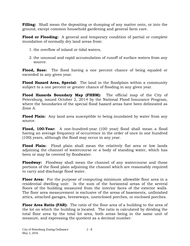**Filling:** Shall mean the depositing or dumping of any matter onto, or into the ground, except common household gardening and general farm care.

**Flood or Flooding:** A general and temporary condition of partial or complete inundation of normally dry land areas from:

- 1. the overflow of inland or tidal waters,
- 2. the unusual and rapid accumulation of runoff of surface waters from any source.

**Flood, Base:** The flood having a one percent chance of being equaled or exceeded in any given year.

**Flood Hazard Area, Special:** The land in the floodplain within a community subject to a one percent or greater chance of flooding in any given year.

**Flood Hazards Boundary Map (FHBM):** The official map of the City of Petersburg, issued October 2, 2014 by the National Flood Insurance Program, where the boundaries of the special flood hazard areas have been delineated as Zone A.

**Flood Plain:** Any land area susceptible to being inundated by water from any source*.*

**Flood, 100-Year:** A one-hundred-year (100 year) flood shall mean a flood having an average frequency of occurrence in the order of once in one hundred (100) years, although the flood may occur in any year.

**Flood Plain:** Flood plain shall mean the relatively flat area or low lands adjoining the channel of watercourse or a body of standing water, which has been or may be covered by floodwater.

**Floodway:** Floodway shall mean the channel of any watercourse and those portions of the flood plain adjoining the channel which are reasonably required to carry and discharge flood water.

**Floor Area:** For the purpose of computing minimum allowable floor area in a residential dwelling unit: Is the sum of the horizontal areas of the several floors of the building measured from the interior faces of the exterior walls. The floor area measurement is exclusive of the areas of basements, unfinished attics, attached garages, breezeways, unenclosed porches, or enclosed porches.

**Floor Area Ratio (FAR):** The ratio of the floor area of a building to the area of the lot on which the building is located. The ratio is calculated by dividing the total floor area by the total lot area, both areas being in the same unit of measure, and expressing the quotient as a decimal number.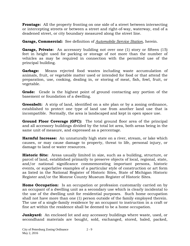**Frontage:** All the property fronting on one side of a street between intersecting or intercepting streets or between a street and right-of-way, waterway, end of a deadened street, or city boundary measured along the street line.

**Garage, Commercial:** See definition of *Automobile Service Station*, herein.

**Garage, Private:** An accessory building not over one (1) story or fifteen (15) feet in height used for parking or storage of not more than the number of vehicles as may be required in connection with the permitted use of the principal building.

**Garbage:** Means rejected food wastes including waste accumulation of animals, fruit, or vegetable matter used or intended for food or that attend the preparation, use, cooking, dealing in, or storing of meat, fish, fowl, fruit, or vegetable.

**Grade:** Grade is the highest point of ground contacting any portion of the basement or foundation of a dwelling.

**Greenbelt:** A strip of land, identified on a site plan or by a zoning ordinance, established to protect one type of land use from another land use that is incompatible. Normally, the area is landscaped and kept in open space use.

**Ground Floor Coverage (GFC):** The total ground floor area of the principal and all accessory buildings divided by the total lot area, both areas being in the same unit of measure, and expressed as a percentage.

**Harmful Increase:** An unnaturally high state on a river, stream, or lake which causes, or may cause damage to property, threat to life, personal injury, or damage to land or water resources.

**Historic Site:** Areas usually limited in size, such as a building, structure, or parcel of land, established primarily to preserve objects of local, regional, state, and/or national significance commemorating important persons, historic events, or superlative examples of a particular style of construction or art form as listed in the National Register of Historic Sites, State of Michigan Historic Register and/or the Monroe County Museum Register of Historic Sites.

**Home Occupation:** Is an occupation or profession customarily carried on by an occupant of a dwelling unit as a secondary use which is clearly incidental to the use of the dwelling unit for residential purposes. Such home occupation shall not have more than one (1) person outside of the family employed therein. The use of a single-family residence by an occupant to instruction in a craft or fine art within the residence shall be deemed to be a home occupation.

**Junkyard:** An enclosed lot and any accessory buildings where waste, used, or secondhand materials are bought, sold, exchanged, stored, baled, packed,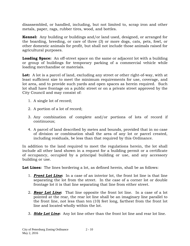disassembled, or handled, including, but not limited to, scrap iron and other metals, paper, rags, rubber tires, wood, and bottles.

**Kennel:** Any building or buildings and/or land used, designed, or arranged for the boarding, breeding, or care of three (3) or more dogs, cats, pets, fowl, or other domestic animals for profit, but shall not include those animals raised for agricultural purposes.

**Loading Space:** An off-street space on the same or adjacent lot with a building or group of buildings for temporary parking of a commercial vehicle while loading merchandise or materials.

**Lot:** A lot is a parcel of land, excluding any street or other right-of-way, with at least sufficient size to meet the minimum requirements for use, coverage, and lot area, and to provide such yards and open spaces as herein required. Such lot shall have frontage on a public street or on a private street approved by the City Council and may consist of:

- 1. A single lot of record;
- 2. A portion of a lot of record;
- 3. Any combination of complete and/or portions of lots of record if continuous;
- 4. A parcel of land described by metes and bounds, provided that in no case of division or combination shall the area of any lot or parcel created, including residuals, be less than that required by this Ordinance.

In addition to the land required to meet the regulations herein, the lot shall include all other land shown in a request for a building permit or a certificate of occupancy, occupied by a principal building or use, and any accessory building or use.

**Lot Lines:** The lines bordering a lot, as defined herein, shall be as follows:

- 1. *Front Lot Line***:** In a case of an interior lot, the front lot line is that line separating the lot from the street. In the case of a corner lot or double frontage lot it is that line separating that line from either street.
- 2. *Rear Lot Line***:** That line opposite the front lot line. In a case of a lot pointed at the rear, the rear lot line shall be an imaginary line parallel to the front line, not less than ten (10) feet long, farthest from the front lot line and located wholly within the lot.
- 3. *Side Lot Line***:** Any lot line other than the front lot line and rear lot line.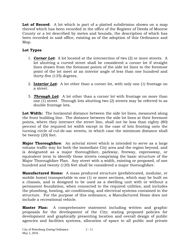Lot of Record: A lot which is part of a platted subdivision shown on a map thereof which has been recorded in the office of the Register of Deeds of Monroe County or a lot described by metes and bounds, the description of which has been recorded in said office, existing as of the adoption of this Ordinance and Map.

# **Lot Types**:

- 1. *Corner Lot***:** A lot located at the intersection of two (2) or more streets. A lot abutting a curved street shall be considered a corner lot if straight lines drawn from the foremost points of the side lot lines to the foremost point of the lot meet at an interior angle of less than one hundred and thirty-five (135) degrees.
- 2. **I***nterior Lot***:** A lot other than a corner lot, with only one (1) frontage on a street.
- 3. *Through Lot***:** A lot other than a corner lot with frontage on more than one (1) street. Through lots abutting two (2) streets may be referred to as double frontage lots.

**Lot Width:** The horizontal distance between the side lot lines, measured along the front building line. The distance between the side lot lines at their foremost points, where they intersect the street line, shall not be less than eighty (80) percent of the required lot width except in the case of lots fronting onto the turning circle of cul-de-sac streets, in which case the minimum distance shall be twenty (20) feet.

**Major Thoroughfare**: An arterial street which is intended to serve as a large volume traffic way for both the immediate City area and the region beyond, and is designated as a major thoroughfare, parkway, freeway, expressway, or equivalent term to identify those streets comprising the basic structure of the Major Thoroughfare Plan. Any street with a width, existing or proposed, of one hundred and twenty (120) feet shall be considered a major thoroughfare.

**Manufactured Home:** A mass produced structure (prefabricated, modular, or mobile home) transportable in one (1) or more sections, which may be built on a chassis, and is designed to be used as a dwelling unit with or without a permanent foundation, when connected to the required utilities, and includes the plumbing, heating, air-conditioning, and electrical systems contained in the structure. For the purpose of this ordinance, a Manufactured Home does not include a recreational vehicle.

**Master Plan:** A comprehensive statement including written and graphic proposals for the development of the City; stating proposed policies for development and graphically presenting location and overall design of public agencies and facilities systems, allocation of space to all public and private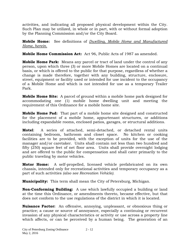activities, and indicating all proposed physical development within the City. Such Plan may be utilized, in whole or in part, with or without formal adoption by the Planning Commission and/or the City Board.

**Mobile Home:** See definitions of *Dwelling, Mobile Home and Manufactured Home, herein.*

**Mobile Home Commission Act:** Act 96, Public Acts of 1987 as amended.

**Mobile Home Park:** Means any parcel or tract of land under the control of any person, upon which three (3) or more Mobile Homes are located on a continual basis, or which is offered to the public for that purpose, regardless of whether a change is made therefore, together with any building, structure, enclosure, street, equipment or facility used or intended for use incident to the occupancy of a Mobile Home and which is not intended for use as a temporary Trailer Park.

**Mobile Home Site:** A parcel of ground within a mobile home park designed for accommodating one (1) mobile home dwelling unit and meeting the requirement of this Ordinance for a mobile home site.

**Mobile Home Pad:** That part of a mobile home site designed and constructed for the placement of a mobile home, appurtenant structures, or additions including expandable rooms, enclosed patios, garages, or structural additions.

**Motel**: A series of attached, semi-detached, or detached rental units containing bedroom, bathroom and closet space. No kitchen or cooking facilities are to be provided, with the exception of units for the use of the manager and/or caretaker. Units shall contain not less than two hundred and fifty (250) square feet of net floor area. Units shall provide overnight lodging and are offered to the public for compensation and shall cater primarily to the public traveling by motor vehicles.

**Motor Home:** A self-propelled, licensed vehicle prefabricated on its own chassis, intended only for recreational activities and temporary occupancy as a part of such activities *(also see Recreation Vehicle).*

**Municipality:** This term shall mean the City of Petersburg, Michigan.

**Non-Conforming Building:** A use which lawfully occupied a building or land at the time this Ordinance, or amendments thereto, became effective, but that does not conform to the use regulations of the district in which it is located.

**Nuisance Factor:** An offensive, annoying, unpleasant, or obnoxious thing or practice; a cause or source of annoyance, especially a continuing or recurrent invasion of any physical characteristics or activity or use across a property line which affects, or can be perceived by a human being. The generation of an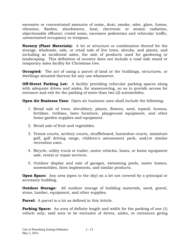excessive or concentrated amounts of noise, dust, smoke, odor, glare, fumes, vibration, flashes, shockwaves, heat, electronic or atomic radiation, objectionable effluent; crowd noise, excessive pedestrian and vehicular traffic, unwarranted occupancy or trespass.

**Nursery (Plant Materials):** A lot or structure or combination thereof for the storage, wholesale, sale, or retail sale of live trees, shrubs, and plants, and including as incidental sales, the sale of products used for gardening or landscaping. This definition of nursery does not include a road side stand or temporary sales facility for Christmas tree.

**Occupied:** The act of using a parcel of land or the buildings, structures, or dwellings situated thereon for any use whatsoever.

**Off-Street Parking Lot:** A facility providing vehicular parking spaces along with adequate drives and aisles, for maneuvering, so as to provide access for entrance and exit for the parking of more than two (2) automobiles.

**Open Air Business Uses:** Open air business uses shall include the following:

- 1. Retail sale of trees, shrubbery, plants, flowers, seed, topsoil, humus, fertilizer, trellises, lawn furniture, playground equipment, and other home garden supplies and equipment.
- 2. Retail sale of fruit and vegetables.
- 3. Tennis courts, archery courts, shuffleboard, horseshoe courts, miniature golf, golf driving range, children's amusement park, and/or similar recreation uses.
- 4. Bicycle, utility truck or trailer, motor vehicles, boats, or home equipment sale, rental or repair services.
- 5. Outdoor display and sale of garages, swimming pools, motor homes, snowmobiles, farm implements, and similar products.

**Open Space:** Any area (open to the sky) on a lot not covered by a principal or accessory building.

**Outdoor Storage:** All outdoor storage of building materials, sand, gravel, stone, lumber, equipment, and other supplies.

**Parcel:** A parcel is a lot as defined in this Article.

**Parking Space:** An area of definite length and width for the parking of one (1) vehicle only, said area to be exclusive of drives, aisles, or entrances giving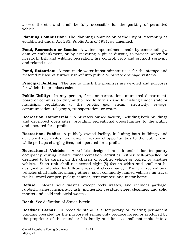access thereto, and shall be fully accessible for the parking of permitted vehicle.

**Planning Commission:** The Planning Commission of the City of Petersburg as established under Act 285, Public Acts of 1931, as amended.

**Pond, Recreation or Scenic:** A water impoundment made by constructing a dam or embankment, or by excavating a pit or dugout, to provide water for livestock, fish and wildlife, recreation, fire control, crop and orchard spraying and related uses.

**Pond, Retention:** A man-made water impoundment used for the storage and metered release of surface run-off into public or private drainage systems.

**Principal Building:** The use to which the premises are devoted and purposes for which the premises exist.

**Public Utility:** In any person, firm, or corporation, municipal department, board or commission duly authorized to furnish and furnishing under state or municipal regulations to the public, gas, steam, electricity, sewage, communication, telegraph, transportation, or water.

**Recreation, Commercial:** A privately owned facility, including both buildings and developed open sites, providing recreational opportunities to the public and operated for a profit.

**Recreation, Public:** A publicly owned facility, including both buildings and developed open sites, providing recreational opportunities to the public and, while perhaps charging fees, not operated for a profit.

**Recreational Vehicle:** A vehicle designed and intended for temporary occupancy during leisure time/recreation activities, either self-propelled or designed to be carried on the chassis of another vehicle or pulled by another vehicle. Such unit shall not exceed eight (8) feet in width and shall not be designed or intended for full-time residential occupancy. The term recreational vehicles shall include, among others, such commonly named vehicles as travel trailer, travel camper, pickup camper, tent camper, and motor home.

**Refuse:** Means solid wastes, except body wastes, and includes garbage, rubbish, ashes, incinerator ash, incinerator residue, street cleanings and solid market and solid industrial wastes.

**Road:** See definition of *Street*, herein.

**Roadside Stands:** A roadside stand is a temporary or existing permanent building operated for the purpose of selling only produce raised or produced by the proprietor of the stand or his family and its use shall not make into a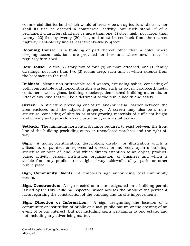commercial district land which would otherwise be an agricultural district, nor shall its use be deemed a commercial activity, but such stand, if of a permanent character, shall not be more than one (1) story high, nor larger than twenty (20) feet by twenty (20) feet, and must be set back from the nearest highway right-of-way line at least twenty-five (25) feet.

**Rooming House:** Is a building or part thereof, other than a hotel, where sleeping accommodations are provided for hire and where meals may be regularly furnished.

**Row House:** A two (2) story row of four (4) or more attached, one (1) family dwellings, not more than two (2) rooms deep, each unit of which extends from the basement to the roof.

**Rubbish:** Means non-putrescible solid wastes, excluding ashes, consisting of both combustible and noncombustible wastes, such as paper, cardboard, metal containers, wood, glass, bedding, crockery, demolished building materials, or litter of any kind that will be a detriment to the public health and safety.

**Screen:** A structure providing enclosure and/or visual barrier between the area enclosed and the adjacent property. A screen may also be a nonstructure, consisting of shrubs or other growing materials of sufficient height and density as to provide an enclosure and/or a visual barrier.

**Setback:** The minimum horizontal distance required to exist between the front line of the building (excluding steps or unenclosed porches) and the right-ofway.

**Sign:** A name, identification, description, display, or illustration which is affixed to, or painted, or represented directly or indirectly upon a building, structure or piece of land, and which directs attention to an object, product, place, activity, person, institution, organization, or business and which is visible from any public street, right-of-way, sidewalk, alley, park, or other public place.

**Sign, Community Events:** A temporary sign announcing local community events.

**Sign, Construction:** A sign erected on a site designated on a building permit issued by the City Building Inspector, which advises the public of the pertinent facts regarding the construction of the building and its site improvements.

**Sign, Direction or Information:** A sign designating the location of a community or institution of public or quasi-public nature or the opening of an event of public interest, but not including signs pertaining to real estate, and not including any advertising matter.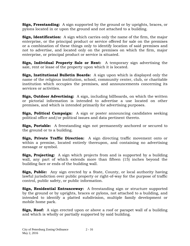**Sign, Freestanding:** A sign supported by the ground or by uprights, braces, or pylons located in or upon the ground and not attached to a building.

**Sign, Identification:** A sign which carries only the name of the firm, the major enterprise, or the principal product or service offered for sale on the premises or a combination of these things only to identify location of said premises and not to advertise, and located only on the premises on which the firm, major enterprise, or principal product or service is situated.

**Sign, Individual Property Sale or Rent:** A temporary sign advertising the sale, rent or lease of the property upon which it is located.

**Sign, Institutional Bulletin Boards:** A sign upon which is displayed only the name of the religious institution, school, community center, club, or charitable institution which occupies the premises, and announcements concerning its services or activities.

**Sign, Outdoor Advertising:** A sign, including billboards, on which the written or pictorial information is intended to advertise a use located on other premises, and which is intended primarily for advertising purposes.

**Sign, Political Campaign:** A sign or poster announcing candidates seeking political office and/or political issues and data pertinent thereto.

**Sign, Portable:** A freestanding sign not permanently anchored or secured to the ground or to a building.

**Sign, Private Traffic Direction:** A sign directing traffic movement onto or within a premise, located entirely thereupon, and containing no advertising message or symbol.

**Sign, Projecting:** A sign which projects from and is supported by a building wall, any part of which extends more than fifteen (15) inches beyond the building face or ends of the building wall.

**Sign, Public:** Any sign erected by a State, County, or local authority having lawful jurisdiction over public property or right-of-way for the purpose of traffic control, public safety, or public information.

**Sign, Residential Entranceway:** A freestanding sign or structure supported by the ground or by uprights, braces or pylons, not attached to a building, and intended to identify a platted subdivision, multiple family development or mobile home park.

**Sign, Roof:** A sign erected upon or above a roof or parapet wall of a building and which is wholly or partially supported by said building.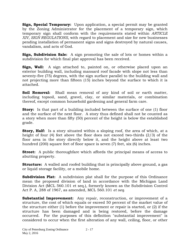**Sign, Special Temporary:** Upon application, a special permit may be granted by the Zoning Administrator for the placement of a temporary sign, which temporary sign shall conform with the requirements stated within *ARTICLE XIV, SIGN REGULATIONS*, with regard to placement and size for new businesses pending installation of permanent signs and signs destroyed by natural causes, vandalism, and acts of God.

**Sign, Subdivision Sale:** A sign promoting the sale of lots or homes within a subdivision for which final plat approval has been received.

**Sign, Wall:** A sign attached to, painted on, or otherwise placed upon an exterior building wall, including mansard roof facade with slope not less than seventy-five (75) degrees, with the sign surface parallel to the building wall and not projecting more than fifteen (15) inches beyond the surface to which it is attached.

**Soil Removal:** Shall mean removal of any kind of soil or earth matter, including topsoil, sand, gravel, clay, or similar materials, or combination thereof, except common household gardening and general farm care.

**Story:** Is that part of a building included between the surface of one (1) floor and the surface of the next floor. A story thus defined shall not be counted as a story when more than fifty (50) percent of the height is below the established grade.

**Story, Half:** Is a story situated within a sloping roof, the area of which, at a height of four (4) feet above the floor does not exceed two-thirds (2/3) of the floor area in the story directly below it, and the height above at least two hundred (200) square feet of floor space is seven (7) feet, six (6) inches.

**Street:** A public thoroughfare which affords the principal means of access to abutting property.

**Structure:** A walled and roofed building that is principally above ground, a gas or liquid storage facility, or a mobile home.

**Subdivision Plat:** A subdivision plat shall for the purpose of this Ordinance mean the proposed division of land in accordance with the Michigan Land Division Act (MCL 560.101 et seq.), formerly known as the Subdivision Control Act P. A, 288 of 1967, as amended, MCL 560.101 *et seq*.

**Substantial Improvement:** Any repair, reconstruction, or improvement of a structure, the cost of which equals or exceed 50 percent of the market value of the structure either (1) before the improvement or repair is started, or (2) if the structure has been damaged and is being restored, before the damage occurred. For the purposes of this definition "substantial improvement" is considered to occur when the first alteration of any wall, ceiling, floor, or other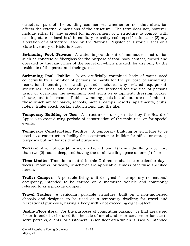structural part of the building commences, whether or not that alteration affects the external dimensions of the structure. The term does not, however, include either (1) any project for improvement of a structure to comply with existing state or local health, sanitary or safety code specifications, or (2) any alteration of a structure listed on the National Register of Historic Places or a State Inventory of Historic Places.

**Swimming Pool, Private:** A water impoundment of manmade construction such as concrete or fiberglass for the purpose of total body contact, owned and operated by the landowner of the parcel on which situated, for use only by the residents of the parcel and their guests.

**Swimming Pool, Public:** Is an artificially contained body of water used collectively by a number of persons primarily for the purpose of swimming, recreational bathing or wading, and includes any related equipment, structures, areas, and enclosures that are intended for the use of persons using or operating the swimming pool such as equipment, dressing, locker, shower, and toilet rooms. Public swimming pools include but are not limited to those which are for parks, schools, motels, camps, resorts, apartments, clubs, hotels, trailer coach parks, subdivisions, and the like.

**Temporary Building or Use:** A structure or use permitted by the Board of Appeals to exist during periods of construction of the main use, or for special events.

**Temporary Construction Facility:** A temporary building or structure to be used as a construction facility for a contractor or builder for office, or storage purposes but not for residential purposes.

**Terrace:** A row of four (4) or more attached, one (1) family dwellings, not more than two (2) rooms deep, and having the total dwelling space on one (1) floor.

**Time Limits:** Time limits stated in this Ordinance shall mean calendar days, weeks, months, or years, whichever are applicable, unless otherwise specified herein.

**Trailer Camper:** A portable living unit designed for temporary recreational occupancy, intended to be carried on a motorized vehicle and commonly referred to as a pick-up camper.

**Travel Trailer:** A vehicular, portable structure, built on a non-motorized chassis and designed to be used as a temporary dwelling for travel and recreational purposes, having a body width not exceeding eight (8) feet.

**Usable Floor Area:** For the purposes of computing parking: Is that area used for or intended to be used for the sale of merchandise or services or for use to serve patrons, clients, or customers. Such floor area which is used or intended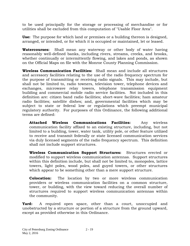to be used principally for the storage or processing of merchandise or for utilities shall be excluded from this computation of "Usable Floor Area".

**Use:** The purpose for which land or premises or a building thereon is designed, arranged, or intended, or for which it is occupied or maintained, let or leased.

**Watercourses:** Shall mean any waterway or other body of water having reasonably well-defined banks, including rivers, streams, creeks, and brooks, whether continually or intermittently flowing, and lakes and ponds, as shown on the Official Maps on file with the Monroe County Planning Commission.

**Wireless Communication Facilities:** Shall mean and include all structures and accessory facilities relating to the use of the radio frequency spectrum for the purpose of transmitting or receiving radio signals. This may include, but shall not be limited to, radio towners, television tower, telephone devices and exchanges, microwave relay towers, telephone transmission equipment building and commercial mobile radio service facilities. Not included in this definition are: citizen band radio facilities; short-wave facilities; ham amateur radio facilities; satellite dishes; and, governmental facilities which may be subject to state or federal low or regulations which preempt municipal regulatory authority. For purposes of this Ordinance, the following additional terms are defined:

**Attached Wireless Communications Facilities:** Any wireless communication facility affixed to an existing structure, including, but not limited to a building, tower, water tank, utility pole, or other feature utilized to receive and transmit federally or state licensed communication services via duly licensed segments of the radio frequency spectrum. This definition shall not include support structures.

**Wireless Communication Support Structures:** Structures erected or modified to support wireless communication antennas. Support structures within this definition include, but shall not be limited to, monopoles, lattice towers, light poles, wood poles, and guyed towers, or other structures which appear to be something other than a mere support structure.

**Colocation:** The location by two or more wireless communication providers or wireless communication facilities on a common structure, tower, or building, with the view toward reducing the overall number of structures required to support wireless communication antennas within the community.

**Yard:** A required open space, other than a court, unoccupied and unobstructed by a structure or portion of a structure from the ground upward, except as provided otherwise in this Ordinance.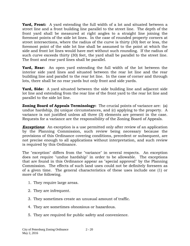**Yard, Front:** A yard extending the full width of a lot and situated between a street line and a front building line parallel to the street line. The depth of the front yard shall be measured at right angles to a straight line joining the foremost points of the side lot lines. In the case of rounded property corners at street intersections, where the radius of the curve is thirty (30) feet or less, the foremost point of the side lot line shall be assumed to the point at which the side and front lot lines would have met without such rounding. If the radius of such curve exceeds thirty (30) feet, the yard shall be parallel to the street line. The front and rear yard lines shall be parallel.

**Yard, Rear:** An open yard extending the full width of the lot between the interior side yard lines and situated between the rear lot line and the rear building line and parallel to the rear lot line. In the case of corner and through lots, there shall be no rear yards but only front and side yards.

**Yard, Side:** A yard situated between the side building line and adjacent side lot line and extending from the rear line of the front yard to the rear lot line and parallel to the side lot line.

**Zoning Board of Appeals Terminology:** The crucial points of variance are: (a) undue hardship, (b) unique circumstances, and (c) applying to the property. A variance is not justified unless all three (3) elements are present in the case. Requests for a variance are the responsibility of the Zoning Board of Appeals.

**Exceptions:** An exception is a use permitted only after review of an application by the Planning Commission, such review being necessary because the provisions of this Ordinance covering conditions, precedent or subsequent, are not precise enough to all applications without interpretation, and such review is required by this Ordinance.

The "exception" differs from the "variance" in several respects. An exception does not require "undue hardship" in order to be allowable. The exceptions that are found in this Ordinance appear as "special approval" by the Planning Commission. The effects of such land uses could not be definitely foreseen as of a given time. The general characteristics of these uses include one (1) or more of the following.

- 1. They require large areas.
- 2. They are infrequent.
- 3. They sometimes create an unusual amount of traffic.
- 4. They are sometimes obnoxious or hazardous.
- 5. They are required for public safety and convenience.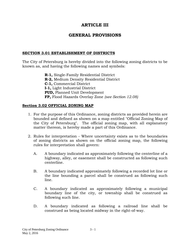# **ARTICLE III**

# **GENERAL PROVISIONS**

# **SECTION 3.01 ESTABLISHMENT OF DISTRICTS**

The City of Petersburg is hereby divided into the following zoning districts to be known as, and having the following names and symbols:

> **R-1,** Single-Family Residential District **R-2,** Medium Density Residential District **C-1,** Commercial District **I-1,** Light Industrial District **PUD,** Planned Unit Development **FP,** Flood Hazards Overlay Zone *(see Section 12.08)*

# **Section 3.02 OFFICIAL ZONING MAP**

- 1. For the purpose of this Ordinance, zoning districts as provided herein are bounded and defined as shown on a map entitled "Official Zoning Map of the City of Petersburg". The official zoning map, with all explanatory matter thereon, is hereby made a part of this Ordinance.
- 2. Rules for interpretation Where uncertainty exists as to the boundaries of zoning districts as shown on the official zoning map, the following rules for interpretation shall govern:
	- A. A boundary indicated as approximately following the centerline of a highway, alley, or easement shall be constructed as following such centerline.
	- B. A boundary indicated approximately following a recorded lot line or the line bounding a parcel shall be construed as following such line.
	- C. A boundary indicated as approximately following a municipal boundary line of the city, or township shall be construed as following such line.
	- D. A boundary indicated as following a railroad line shall be construed as being located midway in the right-of-way.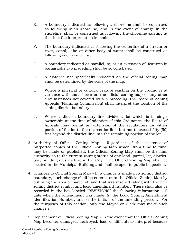- E. A boundary indicated as following a shoreline shall be construed as following such shoreline, and in the event of change in the shoreline, shall be construed as following the shoreline existing at the time the interpretation is made.
- F. The boundary indicated as following the centerline of a stream or river, canal, lake or other body of water shall be construed as following such centerline.
- G. A boundary indicated as parallel, to, or an extension of, features in paragraphs 1-6 preceding shall be so construed.
- H. A distance not specifically indicated on the official zoning map shall be determined by the scale of the map.
- I. Where a physical or cultural feature existing on the ground is at variance with that shown on the official zoning map or any other circumstances not covered by a-h preceding, the Board of Zoning Appeals (Planning Commission) shall interpret the location of the zoning district boundary.
- J. Where a district boundary line divides a lot which is in single ownership at the time of adoption of this Ordinance, the Board of Appeals may permit an extension of the regulations for either portion of the lot to the nearest lot line, but not to exceed fifty (50) feet beyond the district line into the remaining portion of the lot.
- 3. Authority of Official Zoning Map Regardless of the existence of purported copies of the Official Zoning Map which, from time to time, may be made or published, the Official Zoning Map shall be the final authority as to the current zoning status of any land, parcel, lot, district, use, building or structure in the City. The Official Zoning Map shall be located in the Municipal Building and shall be open to public inspection.
- 4. Changes to Official Zoning Map If, a change is made in a zoning district boundary, such change shall be entered onto the Official Zoning Map by outlining the area or parcel of land that was rezoned, along with the new zoning district symbol and local amendment number. There shall also be recorded in the box labeled "REVISIONS" the following information: 1) date when the amendment was made, 2) the Local Zoning Amendment Identification Number, and 3) the initials of the amending person. For the purposes of this section, only the Mayor or Clerk may make such change(s).
- 5. Replacement of Official Zoning Map In the event that the Official Zoning Map becomes damaged, destroyed, lost, or difficult to interpret because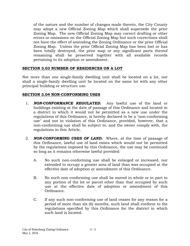of the nature and the number of changes made thereto, the City County may adopt a new Official Zoning Map which shall supersede the prior Zoning Map. The new Official Zoning Map may correct drafting or other errors or omissions on the Official Zoning Map but such corrections shall not have the effect of amending the Zoning Ordinance or the prior Official Zoning Map. Unless the prior Official Zoning Map has been lost or has been totally destroyed, the prior map or any significant parts thereof remaining shall be preserved together with all available records pertaining to its adoption or amendment.

## **SECTION 3.03 NUMBER OF RESIDENCES ON A LOT**

Not more than one single-family dwelling unit shall be located on a lot, nor shall a single-family dwelling unit be located on the same lot with any other principal building or structure use.

# **SECTION 3.04 NON-CONFORMING USES**

- 1. *NON-CONFORMANCE REGULATED.* Any lawful use of the land or buildings existing at the date of passage of this Ordinance and located in a district in which it would not be permitted as a new use under the regulations of this Ordinance, is hereby declared to be a "non-conforming use" and not in violation of this Ordinance, provided, however, that a non-conforming use shall be subject to, and the owner comply with, the regulations in this Article.
- 2. *NON-CONFORMING USES OF LAND.* Where, at the time of passage of this Ordinance, lawful use of land exists which would not be permitted by the regulations imposed by this Ordinance, the use may be continued so long as it remains otherwise lawful provided:
	- A. No such non-conforming use shall be enlarged or increased, nor extended to occupy a greater area of land than was occupied at the effective date of adoption or amendment of this Ordinance.
	- B. No such non-conforming use shall be moved in whole or in part to any portion of the lot or parcel other than that occupied by such use at the effective date of adoption or amendment of this Ordinance.
	- C. If any such non-conforming use of land ceases for any reason for a period of more than six (6) months, such land shall conform to the regulations specified by this Ordinance for the district in which such land is located.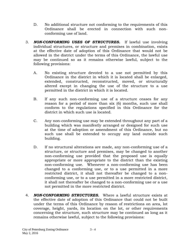- D. No additional structure not conforming to the requirements of this Ordinance shall be erected in connection with such nonconforming use of land.
- 3. *NON-CONFORMING USES OF STRUCTURES.* If lawful use involving individual structures, or structure and premises in combination, exists at the effective date of adoption of this Ordinance that would not be allowed in the district under the terms of this Ordinance, the lawful use may be continued so as it remains otherwise lawful, subject to the following provisions:
	- A. No existing structure devoted to a use not permitted by this Ordinance in the district in which it is located shall be enlarged, extended, constructed, reconstructed, moved, or structurally altered except in changing the use of the structure to a use permitted in the district in which it is located.
	- B. If any such non-conforming use of a structure ceases for any reason for a period of more than six (6) months, such use shall conform to the regulations specified in this Ordinance for the district in which such use is located.
	- C. Any non-conforming use may be extended throughout any part of a building which was manifestly arranged or designed for such use at the time of adoption or amendment of this Ordinance, but no such use shall be extended to occupy any land outside such building.
	- D. If no structural alterations are made, any non-conforming use of a structure, or structure and premises, may be changed to another non-conforming use provided that the proposed use is equally appropriate or more appropriate to the district than the existing non-conforming use. Whenever a non-conforming use has been changed to a conforming use, or to a use permitted in a more restricted district, it shall not thereafter be changed to a nonconforming use, or to a use permitted in a more restricted district, it shall not thereafter be changed to a non-conforming use or a use not permitted in the more restricted district.
- 4. *NON-CONFORMING STRUCTURES.* Where a lawful structure exists at the effective date of adoption of this Ordinance that could not be built under the terms of this Ordinance by reason of restrictions on area, lot coverage, height, yards, its location on the lot, or other requirements concerning the structure, such structure may be continued as long as it remains otherwise lawful, subject to the following provisions: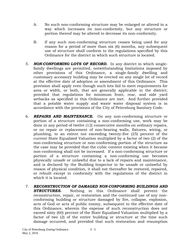- A. No such non-conforming structure may be enlarged or altered in a way which increases its non-conformity, but any structure or portion thereof may be altered to decrease its non-conformity.
- B. If any such non-conforming structure ceases being used for any reason for a period of more than six (6) months, any subsequent use of structure shall conform to the regulations specified by this Ordinance for the district in which such structure is located.
- 5. *NON-CONFORMING LOTS OF RECORD.* In any district in which singlefamily dwellings are permitted, notwithstanding limitations imposed by other provisions of this Ordinance, a single-family dwelling and customary accessory building may be erected on any single lot of record at the effective date of adoption or amendment of this Ordinance. This provision shall apply even though such lots fail to meet requirements for area or width, or both, that are generally applicable in the district; provided that regulations for minimum front, rear, and side yard setbacks as specified in this Ordinance are met. And further provided that a potable water supply and waste water disposal system is in accordance with the provisions of the City of Petersburg Sanitary Code.
- 6. *REPAIRS AND MAINTENANCE.* On any non-conforming structure or portion of a structure containing a non-conforming use, work may be done in any period of twelve (12) consecutive months on ordinary repairs, or on repair or replacement of non-bearing walls, fixtures, wiring, or plumbing, to an extent not exceeding twenty-five (25) percent of the current State Equalized Valuation multiplied by a factor of two (2) of the non-conforming structure or non-conforming portion of the structure as the case may be provided that the cubic content existing when it became non-conforming shall not be increased. If a non-conforming structure or portion of a structure containing a non-conforming use becomes physically unsafe or unlawful due to a lack of repairs and maintenance, and is declared by the Building Inspector to be unsafe or unlawful by reason of physical condition, it shall not thereafter be restored, repaired, or rebuilt except in conformity with the regulations of the district in which it is located.
- 7. *RECONSTRUCTION OF DAMAGED NON-CONFORMING BUILDINGS AND*  **STRUCTURES.** Nothing in this Ordinance shall prevent the reconstruction, repair, or restoration and the continued use of any nonconforming building or structure damaged by fire, collapse, explosion, acts of God or acts of public enemy, subsequent to the effective date of this Ordinance, wherein the expense of such reconstruction does not exceed sixty (60) percent of the State Equalized Valuation multiplied by a factor of two (2) of the entire building or structure at the time such damage occurred; and provided that such restoration and resumption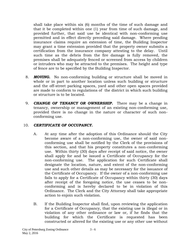shall take place within six (6) months of the time of such damage and that it be completed within one (1) year from time of such damage, and provided further, that said use be identical with non-conforming use permitted and in effect directly preceding said damage. Where pending insurance claims require an extension of time, the Building Inspector may grant a time extension provided that the property owner submits a certification from the insurance company attesting to the delay. Until such time as the debris from the fire damage is fully removed, the premises shall be adequately fenced or screened from access by children or intruders who may be attracted to the premises. The height and type of fence are to be specified by the Building Inspector.

- 8. *MOVING.* No non-conforming building or structure shall be moved in whole or in part to another location unless such building or structure and the off-street parking spaces, yard and other open spaces provided are made to conform to regulations of the district in which such building or structure is to be located.
- 9. *CHANGE OF TENANCY OR OWNERSHIP.* There may be a change in tenancy, ownership or management of an existing non-conforming use, provided there is no change in the nature or character of such nonconforming use.

## 10. *CERTIFICATE OF OCCUPANCY.*

- A. At any time after the adoption of this Ordinance should the City become aware of a non-conforming use, the owner of said nonconforming use shall be notified by the Clerk of the provisions of this section, and that his property constitutes a non-conforming use. Within thirty (30) days after receipt of said notice, the owner shall apply for and be issued a Certificate of Occupancy for the non-conforming use. The application for such Certificate shall designate the location, nature, and extent of the non-conforming use and such other details as may be necessary for the issuance of the Certificate of Occupancy. If the owner of a non-conforming use fails to apply for a Certificate of Occupancy within thirty (30) days after receipt of the foregoing notice, the use ceases to be nonconforming and is hereby declared to be in violation of this Ordinance. The Clerk and the City Attorney shall take appropriate action to enjoin such violation.
- B. If the Building Inspector shall find, upon reviewing the application for a Certificate of Occupancy, that the existing use is illegal or in violation of any other ordinance or law or, if he finds that the building for which the Certificate is requested has been constructed or altered for the existing use or any other use without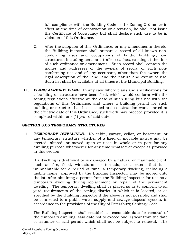full compliance with the Building Code or the Zoning Ordinance in effect at the time of construction or alteration, he shall not issue the Certificate of Occupancy but shall declare such use to be in violation of this Ordinance.

- C. After the adoption of this Ordinance, or any amendments thereto, the Building Inspector shall prepare a record of all known nonconforming uses and occupations of lands, buildings, and structures, including tents and trailer coaches, existing at the time of such ordinance or amendment. Such record shall contain the names and addresses of the owners of record of such nonconforming use and of any occupant, other than the owner, the legal description of the land, and the nature and extent of use. Such list shall be available at all times at the Municipal Building.
- 11. *PLANS ALREADY FILED.* In any case where plans and specifications for a building or structure have been filed, which would conform with the zoning regulations effective at the date of such filing but not with the regulations of this Ordinance, and where a building permit for such building or structure has been issued and construction work started at the effective date of this Ordinance, such work may proceed provided it is completed within one (1) year of said date.

## **SECTION 3.05 TEMPORARY STRUCTURES**

1. *TEMPORARY DWELLINGS.* No cabin, garage, cellar, or basement, or any temporary structure whether of a fixed or movable nature may be erected, altered, or moved upon or used in whole or in part for any dwelling purpose whatsoever for any time whatsoever except as provided in this section.

If a dwelling is destroyed or is damaged by a natural or manmade event, such as fire, flood, windstorm, or tornado, to a extent that it is uninhabitable for a period of time, a temporary dwelling, including a mobile home, approved by the Building Inspector, may be moved onto the lot, after obtaining a permit from the Building Inspector for use as a temporary dwelling during replacement or repair of the permanent dwelling. The temporary dwelling shall be placed so as to conform to all yard requirements of the zoning district in which it is located, or as specified by the Building Inspector if the above is not possible, and shall be connected to a public water supply and sewage disposal system, in accordance to the provisions of the City of Petersburg Sanitary Code.

The Building Inspector shall establish a reasonable date for removal of the temporary dwelling, said date not to exceed one (1) year from the date of issuance of said permit which shall not be subject to renewal. The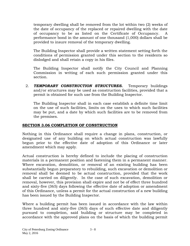temporary dwelling shall be removed from the lot within two (2) weeks of the date of occupancy of the replaced or repaired dwelling with the date of occupancy to be as listed on the Certificate of Occupancy. A performance bond in the amount of one thousand (1,000) dollars shall be provided to insure removal of the temporary dwelling.

The Building Inspector shall provide a written statement setting forth the conditions of permission granted under this section to the residents so dislodged and shall retain a copy in his files.

The Building Inspector shall notify the City Council and Planning Commission in writing of each such permission granted under this section.

2. *TEMPORARY CONSTRUCTION STRUCTURES.* Temporary buildings and/or structures may be used as construction facilities, provided that a permit is obtained for such use from the Building Inspector.

The Building Inspector shall in each case establish a definite time limit on the use of such facilities, limits on the uses to which such facilities may be put, and a date by which such facilities are to be removed from the premises.

## **SECTION 3.06 COMPLETION OF CONSTRUCTION**

Nothing in this Ordinance shall require a change in plans, construction, or designated use of any building on which actual construction was lawfully begun prior to the effective date of adoption of this Ordinance or later amendment which may apply.

Actual construction is hereby defined to include the placing of construction materials in a permanent position and fastening them in a permanent manner. Where excavation, demolition, or removal of an existing building has been substantially begun preparatory to rebuilding, such excavation or demolition or removal shall be deemed to be actual construction, provided that the work shall be carried on diligently. In the case of such excavation, demolition or removal, however, this provision shall expire and not be of effect three hundred and sixty-five (365) days following the effective date of adoption or amendment of this Ordinance, unless a permit for the actual construction of a new building has been issued by the Building Inspector.

Where a building permit has been issued in accordance with the law within three hundred and sixty-five (365) days of such effective date and diligently pursued to completion, said building or structure may be completed in accordance with the approved plans on the basis of which the building permit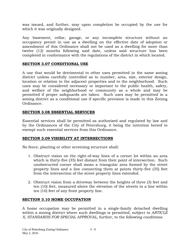was issued, and further, may upon completion be occupied by the use for which it was originally designed.

Any basement, cellar, garage, or any incomplete structure without an occupancy permit in use as a dwelling on the effective date of adoption or amendment of this Ordinance shall not be used as a dwelling for more than twelve (12) months following said date, unless said structure has been completed in conformance with the regulations of the district in which located.

## **SECTION 3.07 CONDITIONAL USE**

A use that would be detrimental to other uses permitted in the same zoning district unless carefully controlled as to number, area, size, exterior design, location or relation to the adjacent properties and to the neighborhood. Such uses may be considered necessary or important to the public health, safety, and welfare of the neighborhood or community as a whole and may be permitted if proper safeguards are taken. Such uses may be permitted in a zoning district as a conditional use if specific provision is made in this Zoning Ordinance.

## **SECTION 3.08 ESSENTIAL SERVICES**

Essential services shall be permitted as authorized and regulated by law and by the Ordinances of the City of Petersburg, it being the intention hereof to exempt such essential services from this Ordinance.

## **SECTION 3.09 VISIBILITY AT INTERSECTIONS**

No fence, planting or other screening structure shall:

- 1. Obstruct vision on the right-of-way lines of a corner lot within an area which is thirty-five (35) feet distant from their point of intersection. Such unobstructed corner shall mean a triangular area formed by the street property lines and a line connecting them at points thirty-five (35) feet from the intersection of the street property lines extended.
- 2. Obstruct vision from a driveway between the heights of three (3) feet and ten (10) feet, measured above the elevation of the streets in a line within ten (10) feet of any front property line.

## **SECTION 3.10 HOME OCCUPATION**

A home occupation may be permitted in a single-family detached dwelling within a zoning district where such dwellings is permitted, subject to *ARTICLE X, STANDARDS FOR SPECIAL APPROVAL,* further, to the following conditions: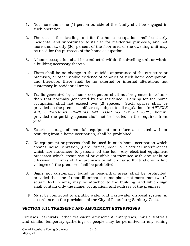- 1. Not more than one (1) person outside of the family shall be engaged in such operation.
- 2. The use of the dwelling unit for the home occupation shall be clearly incidental and subordinate to its use for residential purposes, and not more than twenty (20) percent of the floor area of the dwelling unit may be used for the purposes of the home occupation.
- 3. A home occupation shall be conducted within the dwelling unit or within a building accessory thereto.
- 4. There shall be no change in the outside appearance of the structure or premises, or other visible evidence of conduct of such home occupation, and therefore, there shall be no external or internal alterations not customary in residential areas.
- 5. Traffic generated by a home occupation shall not be greater in volume than that normally generated by the residence. Parking for the home occupation shall not exceed two (2) spaces. Such spaces shall be provided on the premises, off-street, subject to all regulations in *ARTICLE XIII, OFF-STREET PARKING AND LOADING REGULATIONS,* herein, provided the parking spaces shall not be located in the required front yard.
- 6. Exterior storage of material, equipment, or refuse associated with or resulting from a home occupation, shall be prohibited.
- 7. No equipment or process shall be used in such home occupation which creates noise, vibration, glare, fumes, odor, or electrical interferences which are nuisances to persons off the lot. Any electrical equipment processes which create visual or audible interference with any radio or television receivers off the premises or which cause fluctuations in line voltages off the premises shall be prohibited.
- 8. Signs not customarily found in residential areas shall be prohibited, provided that one (1) non-illuminated name plate, not more than two (2) square feet in area, may be attached to the building, and which sign shall contain only the name, occupation, and address of the premises.
	- 9. Must be connected to a public water and wastewater disposal system, in accordance to the provisions of the City of Petersburg Sanitary Code.

## **SECTION 3.11 TRANSIENT AND AMUSEMENT ENTERPRISES**

Circuses, carnivals, other transient amusement enterprises, music festivals and similar temporary gatherings of people may be permitted in any zoning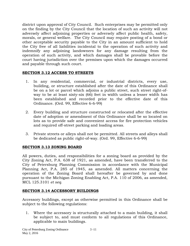district upon approval of City Council. Such enterprises may be permitted only on the finding by the City Council that the location of such an activity will not adversely affect adjoining properties or adversely affect public health, safety, morals, or general welfare. The City Council may require posting of a bond or other acceptable security payable to the City in an amount sufficient to hold the City free of all liabilities incidental to the operation of such activity and indemnify any adjoining landowners for any damage resulting from the operation of such activity, and which damages shall be provable before the court having jurisdiction over the premises upon which the damages occurred and payable through such court.

## **SECTION 3.12 ACCESS TO STREETS**

- 1. In any residential, commercial, or industrial districts, every use, building, or structure established after the date of this Ordinance shall be on a lot or parcel which adjoins a public street, such street right-ofway to be at least sixty-six (66) feet in width unless a lesser width has been established and recorded prior to the effective date of this Ordinance. (Ord. 99, Effective 6-6-99)
- 2. Every building and structure constructed or relocated after the effective date of adoption or amendment of this Ordinance shall be so located on lots as to provide safe and convenient access for fire protection vehicles and required off-street parking and loading areas.
- 3. Private streets or alleys shall not be permitted. All streets and alleys shall be dedicated as public right-of-way. (Ord. 99, Effective 6-6-99)

## **SECTION 3.13 ZONING BOARD**

All powers, duties, and responsibilities for a zoning board as provided by the City Zoning Act, P.A. 638 of 1921, as amended, have been transferred to the City of Petersburg Planning Commission in accordance with the Municipal Planning Act, P.A. 285 of 1945, as amended. All matters concerning the operation of the Zoning Board shall hereafter be governed by and done pursuant to the Michigan Zoning Enabling Act, P.A. 110 of 2006, as amended, MCL 125.3101 *et seq.*

## **SECTION 3.14 ACCESSORY BUILDINGS**

Accessory buildings, except as otherwise permitted in this Ordinance shall be subject to the following regulations:

1. Where the accessory is structurally attached to a main building, it shall be subject to, and must conform to all regulations of this Ordinance, applicable to main buildings.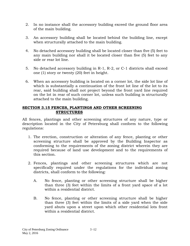- 2. In no instance shall the accessory building exceed the ground floor area of the main building.
- 3. An accessory building shall be located behind the building line, except when structurally attached to the main building.
- 4. No detached accessory building shall be located closer than five (5) feet to any main building nor shall it be located closer than five (5) feet to any side or rear lot line.
- 5. No detached accessory building in R-1, R-2, or C-1 districts shall exceed one (1) story or twenty (20) feet in height.
- 6. When an accessory building is located on a corner lot, the side lot line of which is substantially a continuation of the front lot line of the lot to its rear, said building shall not project beyond the front yard line required on the lot in rear of such corner lot, unless such building is structurally attached to the main building.

### **SECTION 3.15 FENCES, PLANTINGS AND OTHER SCREENING STRUCTURES**

All fences, plantings and other screening structures of any nature, type or description located in the City of Petersburg shall conform to the following regulations:

- 1. The erection, construction or alteration of any fence, planting or other screening structure shall be approved by the Building Inspector as conforming to the requirements of the zoning district wherein they are required because of land use development and to the requirements of this section.
- 2. Fences, plantings and other screening structures which are not specifically required under the regulations for the individual zoning districts, shall conform to the following:
	- A. No fence, planting or other screening structure shall be higher than three (3) feet within the limits of a front yard space of a lot within a residential district.
	- B. No fence, planting or other screening structure shall be higher than three (3) feet within the limits of a side yard when the side yard abuts upon a street upon which other residential lots front within a residential district.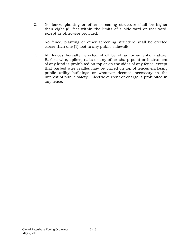- C. No fence, planting or other screening structure shall be higher than eight (8) feet within the limits of a side yard or rear yard, except as otherwise provided.
- D. No fence, planting or other screening structure shall be erected closer than one (1) foot to any public sidewalk.
- E. All fences hereafter erected shall be of an ornamental nature. Barbed wire, spikes, nails or any other sharp point or instrument of any kind is prohibited on top or on the sides of any fence, except that barbed wire cradles may be placed on top of fences enclosing public utility buildings or whatever deemed necessary in the interest of public safety. Electric current or charge is prohibited in any fence.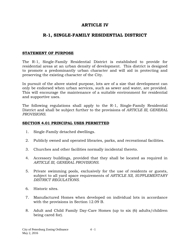# **ARTICLE IV**

# **R-1, SINGLE-FAMILY RESIDENTIAL DISTRICT**

#### **STATEMENT OF PURPOSE**

The R-1, Single-Family Residential District is established to provide for residential areas at an urban density of development. This district is designed to promote a predominantly urban character and will aid in protecting and preserving the existing character of the City.

In pursuit of the above stated purpose, lots are of a size that development can only be endorsed when urban services, such as sewer and water, are provided. This will encourage the maintenance of a suitable environment for residential and supportive uses.

The following regulations shall apply to the R-1, Single-Family Residential District and shall be subject further to the provisions of *ARTICLE III, GENERAL PROVISIONS.*

#### **SECTION 4.01 PRINCIPAL USES PERMITTED**

- 1. Single-Family detached dwellings.
- 2. Publicly owned and operated libraries, parks, and recreational facilities.
- 3. Churches and other facilities normally incidental thereto.
- 4. Accessory buildings, provided that they shall be located as required in *ARTICLE III, GENERAL PROVISIONS.*
- 5. Private swimming pools, exclusively for the use of residents or guests, subject to all yard space requirements of *ARTICLE XII, SUPPLEMENTARY DISTRICT REGULATIONS.*
- 6. Historic sites.
- 7. Manufactured Homes when developed on individual lots in accordance with the provisions in Section 12.09 B.
- 8. Adult and Child Family Day-Care Homes (up to six (6) adults/children being cared for).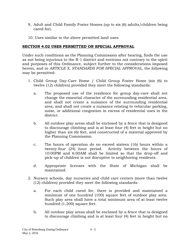- 9, Adult and Child Family Foster Homes (up to six (6) adults/children being cared for).
- 10. Uses similar to the above permitted land uses.

## **SECTION 4.02 USES PERMITTED ON SPECIAL APPROVAL**

Under such conditions as the Planning Commission after hearing, finds the use as not being injurious to the R-1 district and environs not contrary to the spirit and purposes of this Ordinance, subject further to the considerations imposed herein, and in *ARTICLE X, STANDARDS FOR SPECIAL APPROVAL,* the following may be permitted:

- 1. Child Group Day-Care Home / Child Group Foster Home (six (6) to twelve (12) children) provided they meet the following standards:
	- a. The proposed use of the residence for group day-care shall not change the essential character of the surrounding residential area, and shall not create a nuisance of the surrounding residential area, and shall not create a nuisance relating to vehicular parking, noise, or additional congestion in excess of residential uses in the district.
	- b. All outdoor play areas shall be enclosed by a fence that is designed to discourage climbing and is at least four (4) feet in height but no higher than six (6) feet, and constructed of a material approved by the Planning Commission.
	- c. The hours of operation do no exceed sixteen (16) hours within a twenty-four (24) hour period. Activity between the hours of 10:00PM and 6:00AM shall be limited so that the drop-off and pick-up of children is not disruptive to neighboring residents.
	- d. Appropriate licenses with the State of Michigan shall be maintained.
- 2. Nursery schools, day nurseries and child care centers (more than twelve (12) children) provided they meet the following standards:
	- a. For each child cared for, there is provided and maintained a minimum of one hundred (100) square feet of outdoor play area. Such play area shall have a total minimum area of at least twelve hundred (1,200) square feet.
	- b. All outdoor play areas shall be enclosed by a fence that is designed to discourage climbing and is at least four (4) feet in height but no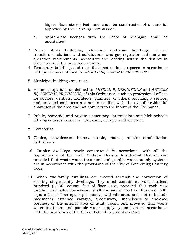higher than six (6) feet, and shall be constructed of a material approved by the Planning Commission.

- c. Appropriate licenses with the State of Michigan shall be maintained.
- 3. Public utility buildings, telephone exchange buildings, electric transformer stations and substations, and gas regulator stations when operation requirements necessitate the locating within the district in order to serve the immediate vicinity.
- 4. Temporary buildings and uses for construction purposes in accordance with provisions outlined in *ARTICLE III, GENERAL PROVISIONS.*
- 5. Municipal buildings and uses.
- 6. Home occupations as defined in *ARTICLE II, DEFINITIONS* and *ARTICLE III, GENERAL PROVISIONS,* of this Ordinance, such as professional offices for doctors, dentists, architects, planners, or others providing a service, and provided said uses are not in conflict with the overall residential character of the area and not contrary to the intent of the Ordinance.
- 7. Public, parochial and private elementary, intermediate and high schools offering courses in general education; not operated for profit.
- 8. Cemeteries.
- 9. Clinics, convalescent homes, nursing homes, and/or rehabilitation institutions.
- 10. Duplex dwellings newly constructed in accordance with all the requirements of the R-2, Medium Density Residential District and provided that waste water treatment and potable water supply systems are in accordance with the provisions of the City of Petersburg Sanitary Code.
- 11. When two-family dwellings are created through the conversion of existing single-family dwellings, they must contain at least fourteen hundred (1,400) square feet of floor area; provided that each new dwelling unit after conversion, shall contain at least six hundred (600) square feet of floor space per family, said minimum area not to include basements, attached garages, breezeways, unenclosed or enclosed porches, or the interior area of utility room, and provided that waste water treatment and potable water supply systems are in accordance with the provisions of the City of Petersburg Sanitary Code.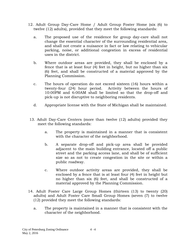- 12. Adult Group Day-Care Home / Adult Group Foster Home (six (6) to twelve (12) adults), provided that they meet the following standards:
	- a. The proposed use of the residence for group day-care shall not change the essential character of the surrounding residential area, and shall not create a nuisance in fact or law relating to vehicular parking, noise, or additional congestion in excess of residential uses in the district.
	- b. Where outdoor areas are provided, they shall be enclosed by a fence that is at least four (4) feet in height, but no higher than six (6) feet, and shall be constructed of a material approved by the Planning Commission.
	- c. The hours of operation do not exceed sixteen (16) hours within a twenty-four (24) hour period. Activity between the hours of 10:00PM and 6:00AM shall be limited so that the drop-off and pick-up is not disruptive to neighboring residents.
	- d. Appropriate license with the State of Michigan shall be maintained.
- 13. Adult Day-Care Centers (more than twelve (12) adults) provided they meet the following standards:
	- a. The property is maintained in a manner that is consistent with the character of the neighborhood.
	- b. A separate drop-off and pick-up area shall be provided adjacent to the main building entrance, located off a public street and the parking access lane, and shall be of sufficient size so as not to create congestion in the site or within a public roadway.
	- c. Where outdoor activity areas are provided, they shall be enclosed by a fence that is at least four (4) feet in height but no higher than six (6) feet, and shall be constructed of a material approved by the Planning Commission.
- 14. Adult Foster Care Large Group Homes (thirteen (13) to twenty (20) adults) and Adult Foster Care Small Group Homes (seven (7) to twelve (12) provided they meet the following standards:
	- a. The property is maintained in a manner that is consistent with the character of the neighborhood.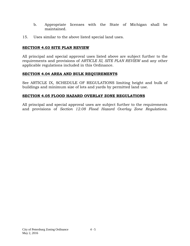- b. Appropriate licenses with the State of Michigan shall be maintained.
- 15. Uses similar to the above listed special land uses.

## **SECTION 4.03 SITE PLAN REVIEW**

All principal and special approval uses listed above are subject further to the requirements and provisions of *ARTICLE XI, SITE PLAN REVIEW* and any other applicable regulations included in this Ordinance.

#### **SECTION 4.04 AREA AND BULK REQUIREMENTS**

See ARTICLE IX, SCHEDULE OF REGULATIONS limiting height and bulk of buildings and minimum size of lots and yards by permitted land use.

## **SECTION 4.05 FLOOD HAZARD OVERLAY ZONE REGULATIONS**

All principal and special approval uses are subject further to the requirements and provisions of *Section 12.08 Flood Hazard Overlay Zone Regulations.*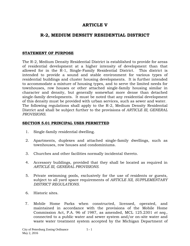## **ARTICLE V**

# **R-2, MEDIUM DENSITY RESIDENTIAL DISTRICT**

## **STATEMENT OF PURPOSE**

The R-2, Medium Density Residential District is established to provide for areas of residential development at a higher intensity of development than that allowed for in the R-1, Single-Family Residential District. This district is intended to provide a sound and stable environment for various types of residential buildings and cluster housing developments. It is further intended to accommodate a mixture of housing types, and to serve the limited needs for townhouses, row houses or other attached single-family housing similar in character and density, but generally somewhat more dense than detached single-family developments. It must be noted that any residential development of this density must be provided with urban services, such as sewer and water. The following regulations shall apply to the R-2, Medium Density Residential District and shall be subject further to the provisions of *ARTICLE III, GENERAL PROVISIONS.*

#### **SECTION 5.01 PRINCIPAL USES PERMITTED**

- 1. Single-family residential dwelling.
- 2. Apartments, duplexes and attached single-family dwellings, such as townhouses, row houses and condominiums.
- 3. Churches and other facilities normally incidental thereto.
- 4. Accessory buildings, provided that they shall be located as required in *ARTICLE III, GENERAL PROVISIONS.*
- 5. Private swimming pools, exclusively for the use of residents or guests, subject to all yard space requirements of *ARTICLE XII, SUPPLEMENTARY DISTRICT REGULATIONS.*
- 6. Historic sites.
- 7. Mobile Home Parks when constructed, licensed, operated, and maintained in accordance with the provisions of the Mobile Home Commission Act, P.A. 96 of 1987, as amended, MCL 125.2301 *et seq.,*  connected to a public water and sewer system and/or on-site water and waste water treatment system accepted by the Michigan Department of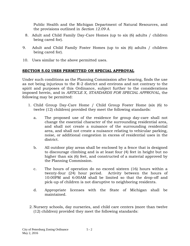Public Health and the Michigan Department of Natural Resources, and the provisions outlined in *Section 12.09 A.*

- 8. Adult and Child Family Day-Care Homes (up to six (6) adults / children being cared for).
- 9. Adult and Child Family Foster Homes (up to six (6) adults / children being cared for).
- 10. Uses similar to the above permitted uses.

## **SECTION 5.02 USES PERMITTED ON SPECIAL APPROVAL**

Under such conditions as the Planning Commission after hearing, finds the use as not being injurious to the R-2 district and environs and not contrary to the spirit and purposes of this Ordinance, subject further to the considerations imposed herein, and in *ARTICLE X, STANDARDS FOR SPECIAL APPROVAL,* the following may be permitted:

- 1. Child Group Day-Care Home / Child Group Foster Home (six (6) to twelve (12) children) provided they meet the following standards:
	- a. The proposed use of the residence for group day-care shall not change the essential character of the surrounding residential area, and shall not create a nuisance of the surrounding residential area, and shall not create a nuisance relating to vehicular parking, noise, or additional congestion in excess of residential uses in the district.
	- b. All outdoor play areas shall be enclosed by a fence that is designed to discourage climbing and is at least four (4) feet in height but no higher than six (6) feet, and constructed of a material approved by the Planning Commission.
	- c. The hours of operation do no exceed sixteen (16) hours within a twenty-four (24) hour period. Activity between the hours of 10:00PM and 6:00AM shall be limited so that the drop-off and pick-up of children is not disruptive to neighboring residents.
	- d. Appropriate licenses with the State of Michigan shall be maintained.
- 2. Nursery schools, day nurseries, and child care centers (more than twelve (12) children) provided they meet the following standards: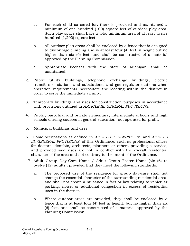- a. For each child so cared for, there is provided and maintained a minimum of one hundred (100) square feet of outdoor play area. Such play space shall have a total minimum area of at least twelve hundred (1,200) square feet.
- b. All outdoor plan areas shall be enclosed by a fence that is designed to discourage climbing and is at least four (4) feet in height but no higher than six (6) feet, and shall be constructed of a material approved by the Planning Commission.
- c. Appropriate licenses with the state of Michigan shall be maintained.
- 2. Public utility buildings, telephone exchange buildings, electric transformer stations and substations, and gas regulator stations when operation requirements necessitate the locating within the district in order to serve the immediate vicinity.
- 3. Temporary buildings and uses for construction purposes in accordance with provisions outlined in *ARTICLE III, GENERAL PROVISIONS.*
- 4. Public, parochial and private elementary, intermediate schools and high schools offering courses in general education; not operated for profit.
- 5. Municipal buildings and uses.
- 6. Home occupations as defined in *ARTICLE II, DEFINITIONS* and *ARTICLE III, GENERAL PROVISIONS,* of this Ordinance, such as professional offices for doctors, dentists, architects, planners or others providing a service, and provided said uses are not in conflict with the overall residential character of the area and not contrary to the intent of the Ordinance.
	- 7. Adult Group Day-Care Home / Adult Group Foster Home (six (6) to twelve (12) adults), provided that they meet the following standards:
		- a. The proposed use of the residence for group day-care shall not change the essential character of the surrounding residential area, and shall not create a nuisance in fact or law relating to vehicular parking, noise, or additional congestion in excess of residential uses in the district.
		- b. Where outdoor areas are provided, they shall be enclosed by a fence that is at least four (4) feet in height, but no higher than six (6) feet, and shall be constructed of a material approved by the Planning Commission.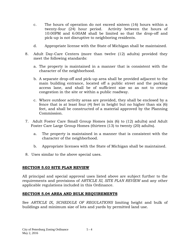- c. The hours of operation do not exceed sixteen (16) hours within a twenty-four (24) hour period. Activity between the hours of 10:00PM and 6:00AM shall be limited so that the drop-off and pick-up is not disruptive to neighboring residents.
- d. Appropriate license with the State of Michigan shall be maintained.
- 8. Adult Day-Care Centers (more than twelve (12) adults) provided they meet the following standards:
	- a. The property is maintained in a manner that is consistent with the character of the neighborhood.
	- b. A separate drop-off and pick-up area shall be provided adjacent to the main building entrance, located off a public street and the parking access lane, and shall be of sufficient size so as not to create congestion in the site or within a public roadway.
	- c. Where outdoor activity areas are provided, they shall be enclosed by a fence that is at least four (4) feet in height but no higher than six (6) feet, and shall be constructed of a material approved by the Planning Commission.
- 7. Adult Foster Care Small Group Homes (six (6) to (12) adults) and Adult Foster Care Large Group Homes (thirteen (13) to twenty (20) adults).
	- a. The property is maintained in a manner that is consistent with the character of the neighborhood.
	- b. Appropriate licenses with the State of Michigan shall be maintained.
- 8. Uses similar to the above special uses.

#### **SECTION 5.03 SITE PLAN REVIEW**

All principal and special approval uses listed above are subject further to the requirements and provisions of *ARTICLE XI, SITE PLAN REVIEW* and any other applicable regulations included in this Ordinance.

## **SECTION 5.04 AREA AND BULK REQUIREMENTS**

See *ARTICLE IX, SCHEDULE OF REGULATIONS* limiting height and bulk of buildings and minimum size of lots and yards by permitted land use.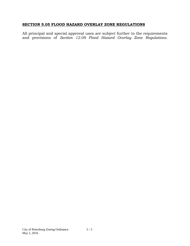## **SECTION 5.05 FLOOD HAZARD OVERLAY ZONE REGULATIONS**

All principal and special approval uses are subject further to the requirements and provisions of *Section 12.08 Flood Hazard Overlay Zone Regulations.*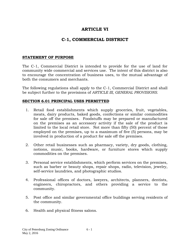# **ARTICLE VI**

# **C-1, COMMERCIAL DISTRICT**

#### **STATEMENT OF PURPOSE**

The C-1, Commercial District is intended to provide for the use of land for community wide commercial and services use. The intent of this district is also to encourage the concentration of business uses, to the mutual advantage of both the consumers and merchants.

The following regulations shall apply to the C-1, Commercial District and shall be subject further to the provisions of *ARTICLE III, GENERAL PROVISIONS.*

#### **SECTION 6.01 PRINCIPAL USES PERMITTED**

- 1. Retail food establishments which supply groceries, fruit, vegetables, meats, dairy products, baked goods, confections or similar commodities for sale off the premises. Foodstuffs may be prepared or manufactured on the premises as an accessory activity if the sale of the product is limited to the local retail store. Not more than fifty (50) percent of those employed on the premises, up to a maximum of five (5) persons, may be involved in production of a product for sale off the premises.
- 2. Other retail businesses such as pharmacy, variety, dry goods, clothing, notions, music, books, hardware, or furniture stores which supply commodities on the premises.
- 3. Personal service establishments, which perform services on the premises, such as barber or beauty shops, repair shops, radio, television, jewelry, self-service laundries, and photographic studios.
- 4. Professional offices of doctors, lawyers, architects, planners, dentists, engineers, chiropractors, and others providing a service to the community.
- 5. Post office and similar governmental office buildings serving residents of the community.
- 6. Health and physical fitness salons.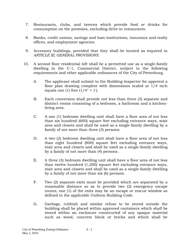- 7. Restaurants, clubs, and taverns which provide food or drinks for consumption on the premises, excluding drive-in restaurants.
- 8. Banks, credit unions, savings and loan institutions, insurance and realty offices, and employment agencies.
- 9. Accessory buildings, provided that they shall be located as required in *ARTICLE III, GENERAL PROVISIONS.*
- 10. A second floor residential loft shall be a permitted use as a single-family dwelling in the C-1, Commercial District, subject to the following requirements and other applicable ordinances of the City of Petersburg.
	- A. The applicant shall submit to the Building Inspector for approval a floor plan drawing complete with dimensions scaled at 1/4 inch equals one (1) foot  $(1/4" = 1')$ .
	- B. Each conversion shall provide not less than three (3) separate and distinct rooms consisting of a bedroom, a bathroom and a kitchenliving area.
	- C. A one (1) bedroom dwelling unit shall have a floor area of not less than six hundred (600) square feet excluding entrance ways, stair area and closets and shall be used as a single-family dwelling by a family of not more than three (3) persons.
	- D. A two (2) bedroom dwelling unit shall have a floor area of not less than eight hundred (800) square feet excluding entrance ways, stair area and closets and shall be used as a single-family dwelling by a family of not more than (4) persons.
	- E. A three (3) bedroom dwelling unit shall have a floor area of not less than twelve hundred (1,200) square feet excluding entrance ways, stair area and closets and shall be used as a single-family dwelling by a family of not more than six (6) persons.
	- F. Two (2) separate exits must be provided which are separated by a reasonable distance so as to provide two (2) emergency escape routes; one (1) of the exits may be an escape or rescue window as defined in the applicable Uniform Building Code.
	- G. Garbage, rubbish and similar refuse to be stored outside the building shall be placed within approved containers which shall be stored within an enclosure constructed of any opaque material such as wood, concrete block or bricks and which shall be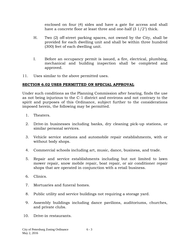enclosed on four (4) sides and have a gate for access and shall have a concrete floor at least three and one-half (3 1/2") thick.

- H. Two (2) off-street parking spaces, not owned by the City, shall be provided for each dwelling unit and shall be within three hundred (300) feet of each dwelling unit.
- I. Before an occupancy permit is issued, a fire, electrical, plumbing, mechanical and building inspection shall be completed and approved.
- 11. Uses similar to the above permitted uses.

## **SECTION 6.02 USES PERMITTED ON SPECIAL APPROVAL**

Under such conditions as the Planning Commission after hearing, finds the use as not being injurious to the C-1 district and environs and not contrary to the spirit and purposes of this Ordinance, subject further to the considerations imposed herein, the following may be permitted.

- 1. Theaters.
- 2. Drive-in businesses including banks, dry cleaning pick-up stations, or similar personal services.
- 3. Vehicle service stations and automobile repair establishments, with or without body shops.
- 4. Commercial schools including art, music, dance, business, and trade.
- 5. Repair and service establishments including but not limited to lawn mower repair, snow mobile repair, boat repair, or air conditioner repair shops that are operated in conjunction with a retail business.
- 6. Clinics.
- 7. Mortuaries and funeral homes.
- 8. Public utility and service buildings not requiring a storage yard.
- 9. Assembly buildings including dance pavilions, auditoriums, churches, and private clubs.
- 10. Drive-in restaurants.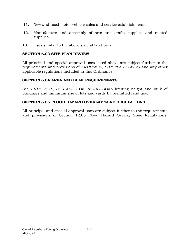- 11. New and used motor vehicle sales and service establishments.
- 12. Manufacture and assembly of arts and crafts supplies and related supplies.
- 13. Uses similar to the above special land uses.

#### **SECTION 6.03 SITE PLAN REVIEW**

All principal and special approval uses listed above are subject further to the requirements and provisions of *ARTICLE XI, SITE PLAN REVIEW* and any other applicable regulations included in this Ordinance.

#### **SECTION 6.04 AREA AND BULK REQUIREMENTS**

See *ARTICLE IX, SCHEDULE OF REGULATIONS* limiting height and bulk of buildings and minimum size of lots and yards by permitted land use.

#### **SECTION 6.05 FLOOD HAZARD OVERLAY ZONE REGULATIONS**

All principal and special approval uses are subject further to the requirements and provisions of Section 12.08 Flood Hazard Overlay Zone Regulations.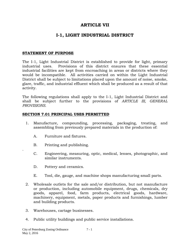## **ARTICLE VII**

# **I-1, LIGHT INDUSTRIAL DISTRICT**

## **STATEMENT OF PURPOSE**

The I-1, Light Industrial District is established to provide for light, primary industrial uses. Provisions of this district ensures that these essential industrial facilities are kept from encroaching in areas or districts where they would be incompatible. All activities carried on within the Light Industrial District shall be subject to limitations placed upon the amount of noise, smoke, glare, traffic, and industrial effluent which shall be produced as a result of that activity.

The following regulations shall apply to the I-1, Light Industrial District and shall be subject further to the provisions of *ARTICLE III, GENERAL PROVISIONS.*

#### **SECTION 7.01 PRINCIPAL USES PERMITTED**

- 1. Manufacture, compounding, processing, packaging, treating, and assembling from previously prepared materials in the production of:
	- A. Furniture and fixtures.
	- B. Printing and publishing.
	- C. Engineering, measuring, optic, medical, lenses, photographic, and similar instruments.
	- D. Pottery and ceramics.

.

- E. Tool, die, gauge, and machine shops manufacturing small parts.
- 2. Wholesale outlets for the sale and/or distribution, but not manufacture or production, including automobile equipment, drugs, chemicals, dry goods, apparel, food, farm products, electrical goods, hardware, machinery, equipment, metals, paper products and furnishings, lumber and building products.
- 3. Warehouses, cartage businesses.
- 4. Public utility buildings and public service installations.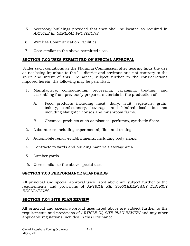- 5. Accessory buildings provided that they shall be located as required in *ARTICLE III, GENERAL PROVISIONS.*
- 6. Wireless Communication Facilities.
- 7. Uses similar to the above permitted uses.

## **SECTION 7.02 USES PERMITTED ON SPECIAL APPROVAL**

Under such conditions as the Planning Commission after hearing finds the use as not being injurious to the I-1 district and environs and not contrary to the spirit and intent of this Ordinance, subject further to the considerations imposed herein, the following may be permitted:

- 1. Manufacture, compounding, processing, packaging, treating, and assembling from previously prepared materials in the production of:
	- A. Food products including meat, dairy, fruit, vegetable, grain, bakery, confectionery, beverage, and kindred foods but not including slaughter houses and mushroom farms.
	- B. Chemical products such as plastics, perfumes, synthetic fibers.
- 2. Laboratories including experimental, film, and testing.
- 3. Automobile repair establishments, including body shops.
- 4. Contractor's yards and building materials storage area.
- 5. Lumber yards.
- 6. Uses similar to the above special uses.

## **SECTION 7.03 PERFORMANCE STANDARDS**

All principal and special approval uses listed above are subject further to the requirements and provisions of *ARTICLE XII, SUPPLEMENTARY DISTRICT REGULATIONS.*

## **SECTION 7.04 SITE PLAN REVIEW**

All principal and special approval uses listed above are subject further to the requirements and provisions of *ARTICLE XI, SITE PLAN REVIEW* and any other applicable regulations included in this Ordinance.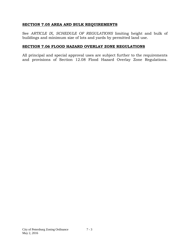### **SECTION 7.05 AREA AND BULK REQUIREMENTS**

See *ARTICLE IX, SCHEDULE OF REGULATIONS* limiting height and bulk of buildings and minimum size of lots and yards by permitted land use.

## **SECTION 7.06 FLOOD HAZARD OVERLAY ZONE REGULATIONS**

All principal and special approval uses are subject further to the requirements and provisions of Section 12.08 Flood Hazard Overlay Zone Regulations.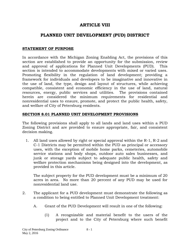# **ARTICLE VIII**

# **PLANNED UNIT DEVELOPMENT (PUD) DISTRICT**

### **STATEMENT OF PURPOSE**

In accordance with the Michigan Zoning Enabling Act, the provisions of this section are established to provide an opportunity for the submission, review and approval of applications for Planned Unit Developments (PUD). This section is intended to accommodate developments with mixed or varied uses. Promoting flexibility in the regulation of land development; providing a framework for individuals and developers to be imaginative and innovative in the use of land, the type, design and layout of structures, while achieving compatible, consistent and economic efficiency in the use of land, natural resources, energy, public services and utilities. The provisions contained herein are considered the minimum requirements for residential and nonresidential uses to ensure, promote, and protect the public health, safety, and welfare of City of Petersburg residents.

#### **SECTION 8.01 PLANNED UNIT DEVELOPMENT PROVISIONS**

The following provisions shall apply to all lands and land uses within a PUD Zoning District and are provided to ensure appropriate, fair, and consistent decision making.

1. All land uses allowed by right or special approval within the R-1, R-2 and C-1 Districts may be permitted within the PUD as principal or accessory uses, with the exception of mobile home parks, cemeteries, automobile service stations and body shops, outdoor auto sales businesses, and junk or storage yards subject to adequate public health, safety and welfare protection mechanisms being designed into the development, as provided in this article.

The subject property for the PUD development must be a minimum of 20 acres in area. No more than 20 percent of any PUD may be used for nonresidential land use.

- 2. The applicant for a PUD development must demonstrate the following as a condition to being entitled to Planned Unit Development treatment:
	- A. Grant of the PUD Development will result in one of the following:
		- (1) A recognizable and material benefit to the users of the project and to the City of Petersburg where such benefit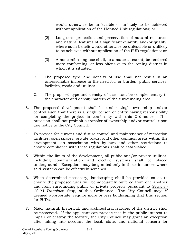would otherwise be unfeasible or unlikely to be achieved without application of the Planned Unit regulations; or,

- (2) Long-term protection and preservation of natural resources and natural features of a significant quantity and/or quality, where such benefit would otherwise be unfeasible or unlikely to be achieved without application of the PUD regulations; or
- (3) A nonconforming use shall, to a material extent, be rendered more conforming, or less offensive to the zoning district in which it is situated.
- B. The proposed type and density of use shall not result in an unreasonable increase in the need for, or burden, public services, facilities, roads and utilities.
- C. The proposed type and density of use must be complementary to the character and density pattern of the surrounding area.
- 3. The proposed development shall be under single ownership and/or control such that there is a single person or entity having responsibility for completing the project in conformity with this Ordinance. This provision shall not prohibit a transfer of ownership and/or control, upon due notice to the City Council.
- 4. To provide for current and future control and maintenance of recreation facilities, open spaces, private roads, and other common areas within the development, an association with by-laws and other restrictions to ensure compliance with these regulations shall be established.
- 5. Within the limits of the development, all public and/or private utilities, including communication and electric systems shall be placed underground. Exceptions may be granted only in those instances where said systems can be effectively screened.
- 6. When determined necessary, landscaping shall be provided so as to ensure the proposed uses will be adequately buffered from one another and from surrounding public or private property pursuant to *Section - 12.03 Transition Strip*, of this Ordinance The City Council may, if deemed appropriate, require more or less landscaping that this section for PUDs.
- 7. Major natural, historical, and architectural features of the district shall be preserved. If the applicant can provide it is in the public interest to impair or destroy the feature, the City Council may grant an exception after taking into account the local, state, and national concern for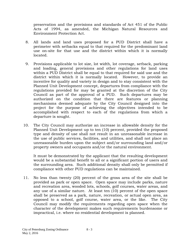preservation and the provisions and standards of Act 451 of the Public Acts of 1994, as amended, the Michigan Natural Resources and Environment Protection Act.

- 8. All lands and land uses proposed for a PUD District shall have a perimeter with setbacks equal to that required for the predominant land use on-site for that use and the district within which it is normally located.
- 9. Provisions applicable to lot size, lot width, lot coverage, setback, parking and loading, general provisions and other regulations for land uses within a PUD District shall be equal to that required for said use and the district within which it is normally located. However, to provide an incentive for quality and variety in design and to stay consistent with the Planned Unit Development concept, departures from compliance with the regulations provided for may be granted at the discretion of the City Council as part of the approval of a PUD. Such departures may be authorized on the condition that there are features or planning mechanisms deemed adequate by the City Council designed into the project for the purpose of achieving the objectives intended to be accomplished with respect to each of the regulations from which a departure is sought.
- 10. The City Council may authorize an increase in allowable density for the Planned Unit Development up to ten (10) percent, provided the proposed type and density of use shall not result in an unreasonable increase in the use of public services, facilities, and utilities, and shall not place an unreasonable burden upon the subject and/or surrounding land and/or property owners and occupants and/or the natural environment.

It must be demonstrated by the applicant that the resulting development would be a substantial benefit to all or a significant portion of users and the surrounding area. Such additional density shall only be permitted if compliance with other PUD regulations can be maintained.

11. No less than twenty (20) percent of the gross area of the site shall be provided as park or open space. Open space may include parks, nature and recreation area, wooded lots, schools, golf courses, water areas, and any use of a similar nature. At least ten (10) percent of the open space shall be preserved as a park, nature, recreation, or actual open area, as opposed to a school, golf course, water area, or the like. The City Council may modify the requirements regarding open space when the character of the development makes such requirements burdensome or impractical, i.e. where no residential development is planned.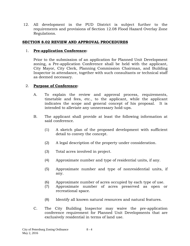12. All development in the PUD District is subject further to the requirements and provisions of Section 12.08 Flood Hazard Overlay Zone Regulations.

### **SECTION 8.02 REVIEW AND APPROVAL PROCEDURES**

#### 1. **Pre-application Conference:**

Prior to the submission of an application for Planned Unit Development zoning, a Pre-application Conference shall be held with the applicant, City Mayor, City Clerk, Planning Commission Chairman, and Building Inspector in attendance, together with such consultants or technical staff as deemed necessary.

#### 2. **Purpose of Conference:**

- A. To explain the review and approval process, requirements, timetable and fees, etc., to the applicant, while the applicant indicates the scope and general concept of his proposal. It is intended to alleviate any unnecessary hold-ups.
- B. The applicant shall provide at least the following information at said conference.
	- (1) A sketch plan of the proposed development with sufficient detail to convey the concept.
	- (2) A legal description of the property under consideration.
	- (3) Total acres involved in project.
	- (4) Approximate number and type of residential units, if any.
	- (5) Approximate number and type of nonresidential units, if any.
	- (6) Approximate number of acres occupied by each type of use.
	- (7) Approximate number of acres preserved as open or recreational space.
	- (8) Identify all known natural resources and natural features.
- C. The City Building Inspector may waive the pre-application conference requirement for Planned Unit Developments that are exclusively residential in terms of land use.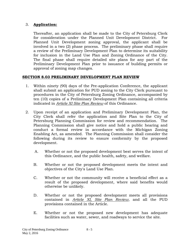## 3. **Application:**

Thereafter, an application shall be made to the City of Petersburg Clerk for consideration under the Planned Unit Development District. For Planned Unit Development zoning approval, the applicant shall be involved in a two (2) phase process. The preliminary phase shall require a review of the Preliminary Development Plan to determine its suitability for inclusion in the Land Use Plan and Zoning Ordinance of the City. The final phase shall require detailed site plans for any part of the Preliminary Development Plan prior to issuance of building permits or approval of zoning map changes.

## **SECTION 8.03 PRELIMINARY DEVELOPMENT PLAN REVIEW**

- 1. Within ninety (90) days of the Pre-application Conference, the applicant shall submit an application for PUD zoning to the City Clerk pursuant to procedures in the City of Petersburg Zoning Ordinance, accompanied by ten (10) copies of a Preliminary Development Plan containing all criteria indicated in *Article XI Site Plan Review* of this Ordinance.
- 2. Upon receipt of an application and Preliminary Development Plan, the City Clerk shall refer the application and Site Plan to the City of Petersburg Planning Commission for review and recommendation. The Planning Commission shall give notice and hold a public hearing and conduct a formal review in accordance with the Michigan Zoning Enabling Act, as amended. The Planning Commission shall consider the following during its review to ensure conformity by the proposed development.
	- A. Whether or not the proposed development best serves the intent of this Ordinance, and the public health, safety, and welfare.
	- B. Whether or not the proposed development meets the intent and objectives of the City's Land Use Plan.
	- C. Whether or not the community will receive a beneficial effect as a result of the proposed development, where said benefits would otherwise be unlikely.
	- D. Whether or not the proposed development meets all provisions contained in *Article XI, Site Plan Review*, and all the PUD provisions contained in the Article.
	- E. Whether or not the proposed new development has adequate facilities such as water, sewer, and roadways to service the site.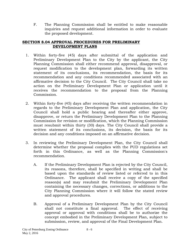F. The Planning Commission shall be entitled to make reasonable inquiries and request additional information in order to evaluate the proposed development.

### **SECTION 8.04 APPROVAL PROCEDURES FOR PRELIMINARY DEVELOPMENT PLANS**

- 1. Within forty-five (45) days after submittal of the application and Preliminary Development Plan to the City by the applicant, the City Planning Commission shall either recommend approval, disapproval, or request modification to the development plan, forwarding its written statement of its conclusions, its recommendation, the basis for its recommendation and any conditions recommended associated with an affirmative decision to the City Council. The City Council shall take no action on the Preliminary Development Plan or application until it receives the recommendation to the proposal from the Planning Commission.
- 2. Within forty-five (45) days after receiving the written recommendation in regards to the Preliminary Development Plan and application, the City Council shall hold a public hearing and thereafter either approve, disapprove, or return the Preliminary Development Plan to the Planning Commission for revision or modification, which the Planning Commission must resubmit within thirty (30) days. The City Council shall provide a written statement of its conclusions, its decision, the basis for its decision and any conditions imposed on an affirmative decision.
- 3. In reviewing the Preliminary Development Plan, the City Council shall determine whether the proposal complies with the PUD regulations set forth in this Ordinance, as well as the Planning Commission's recommendation.
	- A. If the Preliminary Development Plan is rejected by the City Council, its reasons, therefore, shall be specified in writing and shall be based upon the standards of review listed or referred to in this Ordinance. The applicant shall receive a copy of the specified reason(s) and may resubmit the Preliminary Development Plan containing the necessary changes, corrections, or additions to the City Planning Commission where it will follow the stated review and approval procedures.
	- B. Approval of a Preliminary Development Plan by the City Council shall not constitute a final approval. The effect of receiving approval or approval with conditions shall be to authorize the concept embodied in the Preliminary Development Plan, subject to submission, review, and approval of the Final Development Plan.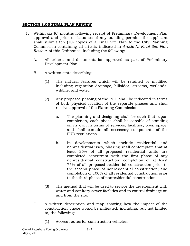#### **SECTION 8.05 FINAL PLAN REVIEW**

- 1. Within six (6) months following receipt of Preliminary Development Plan approval and prior to issuance of any building permits, the applicant shall submit ten (10) copies of a Final Site Plan to the City Planning Commission containing all criteria indicated in *Article XI Final Site Plan Review*, of this Ordinance, including the following:
	- A. All criteria and documentation approved as part of Preliminary Development Plan.
	- B. A written state describing:
		- (1) The natural features which will be retained or modified including vegetation drainage, hillsides, streams, wetlands, wildlife, and water.
		- (2) Any proposed phasing of the PUD shall be indicated in terms of both physical location of the separate phases and shall receive approval of the Planning Commission.
			- a. The planning and designing shall be such that, upon completion, each phase shall be capable of standing on its own in terms of services, facilities, open space, and shall contain all necessary components of the PUD regulations.
			- b. In developments which include residential and nonresidential uses, phasing shall contemplate that at least 35% of all proposed residential units are completed concurrent with the first phase of any nonresidential construction; completion of at least 75% of all proposed residential construction prior to the second phase of nonresidential construction; and completion of 100% of all residential construction prior to the third phase of nonresidential construction.
		- (3) The method that will be used to service the development with water and sanitary sewer facilities and to control drainage on and from the site.
	- C. A written description and map showing how the impact of the construction phase would be mitigated, including, but not limited to, the following:
		- (1) Access routes for construction vehicles.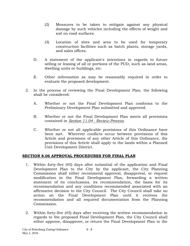- (2) Measures to be taken to mitigate against any physical damage by such vehicles including the effects of weight and soil on road surfaces.
- (3) Location of sites and area to be used for temporary construction facilities such as batch plants, storage yards, and sales offices.
- D. A statement of the applicant's intentions in regards to future selling or leasing of all or portions of the PUD, such as land areas, dwelling units or buildings, etc.
- E. Other information as may be reasonably required in order to evaluate the proposed development.
- 2. In the process of reviewing the Final Development Plan, the following shall be considered:
	- A. Whether or not the Final Development Plan conforms to the Preliminary Development Plan submitted and approved.
	- B. Whether or not the Final Development Plan meets all provisions contained in *Section 11.04 - Review Process*.
	- C. Whether or not all applicable provisions of this Ordinance have been met. Wherever conflicts occur between provisions of this Article and provisions of any other Article of this Ordinance, the provisions of this Article shall apply to the lands within a Planned Unit Development District.

## **SECTION 8.06 APPROVAL PROCEDURES FOR FINAL PLAN**

- 1. Within forty-five (45) days after submittal of the application and Final Development Plan to the City by the applicant, the City Planning Commission shall either recommend approval, disapproval, or request modification in the Final Development Plan, forwarding a written statement of its conclusions, its recommendation, the basis for its recommendation and any conditions recommended associated with an affirmative decision to the City Council. The City Council shall take no action on the Final Development Plan until it receives the recommendation and all required documentation from the Planning Commission.
- 2. Within forty-five (45) days after receiving the written recommendation in regards to the proposed Final Development Plan, the City Council shall either approve, disapprove, or return the Final Development Plan to the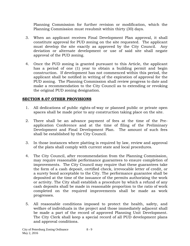Planning Commission for further revision or modification, which the Planning Commission must resubmit within thirty (30) days.

- 3. When an applicant receives Final Development Plan approval, it shall constitute approval for PUD zoning on the site requested. The applicant must develop the site exactly as approved by the City Council. Any deviation or alternate development or use of said site shall negate approval of the PUD zoning.
- 4. Once the PUD zoning is granted pursuant to this Article, the applicant has a period of one (1) year to obtain a building permit and begin construction. If development has not commenced within this period, the applicant shall be notified in writing of the expiration of approval for the PUD zoning. The Planning Commission shall review progress to date and make a recommendation to the City Council as to extending or revoking the original PUD zoning designation.

## **SECTION 8.07 OTHER PROVISIONS**

- 1. All dedications of public rights-of-way or planned public or private open spaces shall be made prior to any construction taking place on the site.
- 2. There shall be an advance payment of fees at the time of the Preapplication Conference and at the time of filing of the Preliminary Development and Final Development Plan. The amount of such fees shall be established by the City Council.
- 3. In those instances where platting is required by law, review and approval of the plats shall comply with current state and local procedures.
- 4. The City Council, after recommendation from the Planning Commission, may require reasonable performance guarantees to ensure completion of improvements. The City Council may require that these guarantees take the form of a cash deposit, certified check, irrevocable letter of credit, or a surety bond acceptable to the City. The performance guarantee shall be deposited at the time of the issuance of the permits authorizing the work or activity. The City shall establish a procedure by which a refund of any cash deposits shall be made in reasonable proportion to the ratio of work completed on the required improvements shall be made as work progresses.
- 5. All reasonable conditions imposed to protect the health, safety, and welfare of individuals in the project and those immediately adjacent shall be made a part of the record of approved Planning Unit Development. The City Clerk shall keep a special record of all PUD development plans and approval conditions.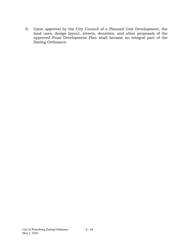6. Upon approval by the City Council of a Planned Unit Development, the land uses, design layout, streets, densities, and other proposals of the approved Final Development Plan shall become an integral part of the Zoning Ordinance.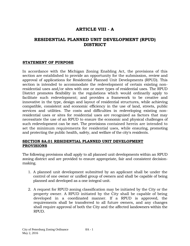# **ARTICLE VIII - A**

# **RESIDENTIAL PLANNED UNIT DEVELOPMENT (RPUD) DISTRICT**

#### **STATEMENT OF PURPOSE**

In accordance with the Michigan Zoning Enabling Act, the provisions of this section are established to provide an opportunity for the submission, review and approval of applications for Residential Planned Unit Developments (RPUD). This section is intended to accommodate the redevelopment of certain existing nonresidential uses and/or sites with one or more types of residential uses. The RPUD District promotes flexibility in the regulations which would ordinarily apply to facilitate such redevelopment; and provides a framework to be creative and innovative in the type, design and layout of residential structures, while achieving compatible, consistent and economic efficiency in the use of land, streets, public services and utilities. The costs and difficulties in redeveloping existing nonresidential uses or sites for residential uses are recognized as factors that may necessitate the use of an RPUD to ensure the economic and physical challenges of such redevelopment can be met. The provisions contained herein are intended to set the minimum requirements for residential uses, while ensuring, promoting and protecting the public health, safety, and welfare of the city's residents.

#### **SECTION 8A.01 RESIDENTIAL PLANNED UNIT DEVELOPMENT PROVISIONS**

The following provisions shall apply to all planned unit developments within an RPUD zoning district and are provided to ensure appropriate, fair and consistent decisionmaking.

- 1. A planned unit development submitted by an applicant shall be under the control of one owner or unified group of owners and shall be capable of being planned and developed as a one integral unit.
- 2. A request for RPUD zoning classification may be initiated by the City or the property owner. A RPUD initiated by the City shall be capable of being developed in a coordinated manner. If a RPUD is approved, the requirements shall be transferred to all future owners, and any changes shall require approval of both the City and the affected landowners within the RPUD.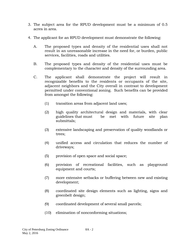- 3. The subject area for the RPUD development must be a minimum of 0.5 acres in area.
- 4. The applicant for an RPUD development must demonstrate the following:
	- A. The proposed types and density of the residential uses shall not result in an unreasonable increase in the need for, or burden, public services, facilities, roads and utilities.
	- B. The proposed types and density of the residential uses must be complementary to the character and density of the surrounding area.
	- C. The applicant shall demonstrate the project will result in recognizable benefits to the residents or occupants of the site, adjacent neighbors and the City overall in contrast to development permitted under conventional zoning. Such benefits can be provided from amongst the following:
		- (1) transition areas from adjacent land uses;
		- (2) high quality architectural design and materials, with clear guidelines that must be met with future site plan submittals;
		- (3) extensive landscaping and preservation of quality woodlands or trees;
		- (4) unified access and circulation that reduces the number of driveways;
		- (5) provision of open space and social space;
		- (6) provision of recreational facilities, such as playground equipment and courts;
		- (7) more extensive setbacks or buffering between new and existing development;
		- (8) coordinated site design elements such as lighting, signs and greenbelt design;
		- (9) coordinated development of several small parcels;
		- (10) elimination of nonconforming situations;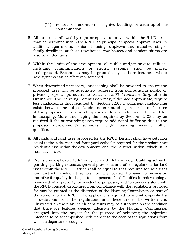- (11) removal or renovation of blighted buildings or clean-up of site contamination.
- 5. All land uses allowed by right or special approval within the R-l District may be permitted within the RPUD as principal or special approval uses. In addition, apartments, seniors housing, duplexes and attached singlefamily dwellings, such as townhouse, row houses and condominiums are also permitted uses.
- 6. Within the limits of the development, all public and/or private utilities, including communications or electric systems, shall be placed underground. Exceptions may be granted only in those instances where said systems can be effectively screened.
- 7. When determined necessary, landscaping shall be provided to ensure the proposed uses will be adequately buffered from surrounding public or private property pursuant to *Section 12.03 Transition Strip* of this Ordinance. The Planning Commission may, if deemed appropriate, require less landscaping than required by Section 12.03 if sufficient landscaping exists between the subject lands and surrounding properties or features of the proposed or surrounding uses reduce or eliminate the need for landscaping. More landscaping than required by Section 12.03 may be required if the surrounding uses require additional buffering due to the proposed development's setbacks, height, building mass or other qualities.
- 8. All lands and land uses proposed for the RPUD District shall have setbacks equal to the side, rear and front yard setbacks required for the predominant residential use within the development and the district within which it is normally located.
- 9. Provisions applicable to lot size, lot width, lot coverage, building setback, parking, parking setbacks, general provisions and other regulations for land uses within the RPUD District shall be equal to that required for said uses and district in which they are normally located. However, to provide an incentive for quality in design, to compensate for difficulties in redeveloping a non-residential property for residential purposes, and to stay consistent with the RPUD concept, departures from compliance with the regulations provided for may be granted at the discretion of the Planning Commission as part of the approval of the RPUD. The applicant is required to submit a specific list of deviations from the regulations and these are to be written and illustrated on the plan. Such departures may be authorized on the condition that there are features deemed adequate by the Planning Commission designed into the project for the purpose of achieving the objectives intended to be accomplished with respect to the each of the regulations from which a departure is sought.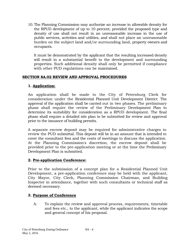10.The Planning Commission may authorize an increase in allowable density for the RPUD development of up to 10 percent, provided the proposed type and density of use shall not result in an unreasonable increase in the use of public services, activities and utilities, and shall not place an unreasonable burden on the subject land and/or surrounding land, property owners and occupants.

It must be demonstrated by the applicant that the resulting increased density will result in a substantial benefit to the development and surrounding properties. Such additional density shall only be permitted if compliance with other PUD regulations can be maintained.

#### **SECTION 8A.02 REVIEW AND APPROVAL PROCEDURES**

## **1. Application:**

An application shall be made to the City of Petersburg Clerk for consideration under the Residential Planned Unit Development District. The approval of the application shall be carried out in two phases. The preliminary phase shall require the review of the Preliminary Development Plan to determine its suitability for consideration as a RPUD development. The final phase shall require a detailed site plan to be submitted for review and approval prior to the issuance of building permits.

A separate escrow deposit may be required for administrative charges to review the PUD submittal. This deposit will be in an amount that is intended to cover the consultant fees and the costs of meetings to discuss the application. At the Planning Commission's discretion, the escrow deposit shall be provided prior to the pre-application meeting or at the time the Preliminary Development Plan is submitted.

## **2. Pre-application Conference:**

Prior to the submission of a concept plan for a Residential Planned Unit Development, a pre-application conference may be held with the applicant, City Mayor, City Clerk, Planning Commission Chairman, and Building Inspector in attendance, together with such consultants or technical staff as deemed necessary.

## **3. Purpose of Conference**

A. To explain the review and approval process, requirements, timetable and fees etc., to the applicant, while the applicant indicates the scope and general concept of his proposal.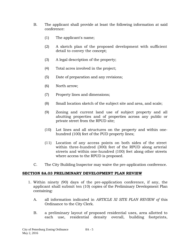- B. The applicant shall provide at least the following information at said conference:
	- (1) The applicant's name;
	- (2) A sketch plan of the proposed development with sufficient detail to convey the concept;
	- (3) A legal description of the property;
	- (4) Total acres involved in the project;
	- (5) Date of preparation and any revisions;
	- (6) North arrow;
	- (7) Property lines and dimensions;
	- (8) Small location sketch of the subject site and area, and scale;
	- (9) Zoning and current land use of subject property and all abutting properties and of properties across any public or private street from the RPUD site;
	- (10) Lot lines and all structures on the property and within onehundred (100) feet of the PUD property lines;
	- (11) Location of any access points on both sides of the street within three-hundred (300) feet of the RPUD along arterial streets and within one-hundred (100) feet along other streets where access to the RPUD is proposed.
- C. The City Building Inspector may waive the pre-application conference.

#### **SECTION 8A.03 PRELIMINARY DEVELOPMENT PLAN REVIEW**

- 1. Within ninety (90) days of the pre-application conference, if any, the applicant shall submit ten (10) copies of the Preliminary Development Plan containing:
	- A. all information indicated in *ARTICLE XI SITE PLAN REVIEW of* this Ordinance to the City Clerk.
	- B. a preliminary layout of proposed residential uses, area allotted to each use, residential density overall, building footprints,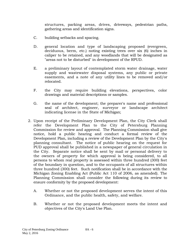structures, parking areas, drives, driveways, pedestrian paths, gathering areas and identification signs.

- C. building setbacks and spacing.
- D. general location and type of landscaping proposed (evergreen, deciduous, berm, etc.) noting existing trees over six (6) inches in caliper to be retained, and any woodlands that will be designated as "areas not to be disturbed" in development of the RPUD.
- E. a preliminary layout of contemplated storm water drainage, water supply and wastewater disposal systems, any public or private easements, and a note of any utility lines to be removed and/or relocated.
- F. the City may require building elevations, perspectives, color drawings and material descriptions or samples.
- G. the name of the development; the preparer's name and professional seal of architect, engineer, surveyor or landscape architect indicating license in the State of Michigan;
- 2. Upon receipt of the Preliminary Development Plan, the City Clerk shall refer the Development Plan to the City of Petersburg Planning Commission for review and approval. The Planning Commission shall give notice, hold a public hearing and conduct a formal review of the Development Plan, including a review of the Development Plan by the City's planning consultant. The notice of public hearing on the request for PUD approval shall be published in a newspaper of general circulation in the City. Separate notice shall be sent by mail or personal delivery to the owners of property for which approval is being considered, to all persons to whom real property is assessed within three hundred (300) feet of the boundary in question, and to the occupants of all structures within three hundred (300) feet. Such notification shall be in accordance with the Michigan Zoning Enabling Act (Public Act 110 of 2006, as amended). The Planning Commission shall consider the following during its review to ensure conformity by the proposed development:
	- A. Whether or not the proposed development serves the intent of this Ordinance, and the public health, safety, and welfare.
	- B. Whether or not the proposed development meets the intent and objectives of the City's Land Use Plan.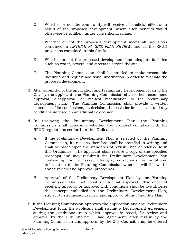- C. Whether or not the community will receive a beneficial effect as a result of the proposed development, where such benefits would otherwise be unlikely under conventional zoning.
- D. Whether or not the proposed development meets all provisions contained in *ARTICLE XI, SITE PLAN REVIEW,* and all the RPUD provisions contained in this Article.
- E. Whether or not the proposed development has adequate facilities such as water, sewers, and streets to service the site.
- F. The Planning Commission shall be entitled to make reasonable inquiries and request additional information in order to evaluate the proposed development.
- 3. After submittal of the application and Preliminary Development Plan to the City by the applicant, the Planning Commission shall either recommend approval, disapproval, or request modification to the preliminary development plan. The Planning Commission shall provide a written statement of its conclusions, its decision, the basis for its decision, and any conditions imposed on an affirmative decision.
- 4. In reviewing the Preliminary Development Plan, the Planning Commission shall determine whether the proposal complies with the RPUD regulations set forth in this Ordinance.
	- A. If the Preliminary Development Plan is rejected by the Planning Commission, its reasons therefore shall be specified in writing and shall be based upon the standards of review listed or referred to in this Ordinance. The applicant shall receive a copy of the specified reason(s) and may resubmit the Preliminary Development Plan containing the necessary changes, corrections, or additional information to the Planning Commission where it will follow the stated review and approval procedures.
	- B. Approval of the Preliminary Development Plan by the Planning Commission shall not constitute a final approval. The effect of receiving approval or approval with conditions shall be to authorize the concept embodied in the Preliminary Development Plan, subject to submission, review and approval of the Final Site Plan.
- 5. If the Planning Commission approves the application and the Preliminary Development Plan, the applicant shall submit a Development Agreement stating the conditions upon which approval is based, for review and approval by the City Attorney. Said Agreement, after review by the Planning Commission and approval by the City Council, shall be entered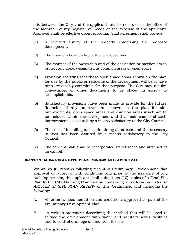into between the City and the applicant and be recorded in the office of the Monroe County Register of Deeds at the expense of the applicant. Approval shall be effective upon recording. Said agreement shall provide:

- (1) A certified survey of the property comprising the proposed development.
- (2) The manner of ownership of the developed land.
- (3) The manner of the ownership and of the dedication or mechanism to protect any areas designated as common areas or open space.
- (4) Provision assuring that those open space areas shown on the plan for use by the public or residents of the development will be or have been irrevocably committed for that purpose. The City may require conveyances or other documents to be placed in escrow to accomplish this.
- (5) Satisfactory provisions have been made to provide for the future financing of any improvements shown on the plan for site improvements, open space areas and common areas which are to be included within the development and that maintenance of such improvements is assured by a means satisfactory to the City Council.
- (6) The cost of installing and maintaining all streets and the necessary utilities has been assured by a means satisfactory to the City Council.
- (7) The concept plan shall be incorporated by reference and attached as an exhibit.

#### **SECTION 8A.04 FINAL SITE PLAN REVIEW AND APPROVAL**

- 1. Within six (6) months following receipt of Preliminary Development Plan approval or approval with conditions and prior to the issuance of any building permits, the applicant shall submit ten (10) copies of a Final Site Plan to the City Planning Commission containing all criteria indicated in *ARTICLE XI SITE PLAN REVIEW* of this Ordinance, and including the following:
	- A. All criteria, documentation and conditions approved as part of the Preliminary Development Plan.
	- B. A written statement describing the method that will be used to service the development with water and sanitary sewer facilities and to control drainage on and from the site.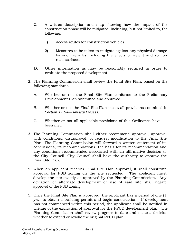- C. A written description and map showing how the impact of the construction phase will be mitigated, including, but not limited to, the following:
	- 1) Access routes for construction vehicles.
	- 2) Measures to be taken to mitigate against any physical damage by such vehicles including the effects of weight and soil on road surfaces.
- D. Other information as may be reasonably required in order to evaluate the proposed development.
- 2. The Planning Commission shall review the Final Site Plan, based on the following standards:
	- A. Whether or not the Final Site Plan conforms to the Preliminary Development Plan submitted and approved;
	- B. Whether or not the Final Site Plan meets all provisions contained in *Section 11.04— Review Process.*
	- C. Whether or not all applicable provisions of this Ordinance have been met.
- 3. The Planning Commission shall either recommend approval, approval with conditions, disapproval, or request modification to the Final Site Plan. The Planning Commission will forward a written statement of its conclusions, its recommendations, the basis for its recommendation and any conditions recommended associated with an affirmative decision to the City Council. City Council shall have the authority to approve the Final Site Plan.
- 4. When an applicant receives Final Site Plan approval, it shall constitute approval for PUD zoning on the site requested. The applicant must develop the site exactly as approved by the Planning Commission. Any deviation or alternate development or use of said site shall negate approval of the PUD zoning.
- 5. Once the Final Site Plan is approved, the applicant has a period of one (1) year to obtain a building permit and begin construction. If development has not commenced within this period, the applicant shall be notified in writing of the expiration of approval for the RPUD development plan. The Planning Commission shall review progress to date and make a decision whether to extend or revoke the original RPUD plan.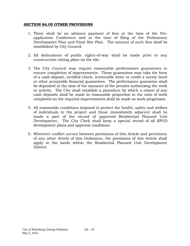#### **SECTION 8A.05 OTHER PROVISIONS**

- 1. There shall be an advance payment of fees at the time of the Preapplication Conference and at the time of filing of the Preliminary Development Plan and Final Site Plan. The amount of such fees shall be established by City Council.
- 2. All dedications of public rights-of-way shall be made prior to any construction taking place on the site.
- 3. The City Council may require reasonable performance guarantees to ensure completion of improvements. These guarantees may take the form of a cash deposit, certified check, irrevocable letter or credit a surety bond or other acceptable financial guarantees. The performance guarantee shall be deposited at the time of the issuance of the permits authorizing the work or activity. The City shall establish a procedure by which a rebate of any cash deposits shall be made in reasonable proportion to the ratio of work completed on the required improvements shall be made as work progresses.
- 4. All reasonable conditions imposed to protect the health, safety and welfare of individuals in the project and those immediately adjacent shall be made a part of the record of approved Residential Planned Unit Development. The City Clerk shall keep a special record of all RPUD development plans and approval conditions.
- 5. Wherever conflict occurs between provisions of this Article and provisions of any other Article of this Ordinance, the provisions of this Article shall apply to the lands within the Residential Planned Unit Development District.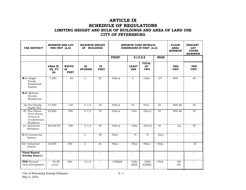## **ARTICLE IX SCHEDULE OF REGULATIONS LIMITING HEIGHT AND BULK OF BUILDINGS AND AREA OF LAND USE CITY OF PETERSBURG**

| <b>USE DISTRICT</b>                                                    | <b>MINIMUM SIZE LOT</b><br>PER UNIT (A,G) |                                   | <b>MAXIMUM HEIGHT</b><br>OF BUILDINGS |                          | <b>MINIMUM YARD SETBACK</b><br>DIMENSIONS IN FEET (A,G) |                            |                                  | <b>FLOOR</b><br><b>AREA</b><br><b>MINIMUM</b> | <b>PERCENT</b><br>LOT<br><b>COVER</b><br><b>MAXIMUM</b> |                           |
|------------------------------------------------------------------------|-------------------------------------------|-----------------------------------|---------------------------------------|--------------------------|---------------------------------------------------------|----------------------------|----------------------------------|-----------------------------------------------|---------------------------------------------------------|---------------------------|
|                                                                        |                                           |                                   |                                       |                          | <b>FRONT</b>                                            | <b>SIDES</b>               |                                  | <b>REAR</b>                                   |                                                         |                           |
|                                                                        | <b>AREA IN</b><br>SQ. FT.<br>(A)          | <b>WIDTH</b><br>IN<br><b>FEET</b> | IN<br><b>STORIES</b>                  | IN<br><b>FEET</b>        |                                                         | <b>LEAST</b><br><b>ONE</b> | <b>TOTAL</b><br><b>OF</b><br>TWO |                                               | <b>PER</b><br><b>UNIT</b>                               | <b>PER</b><br><b>UNIT</b> |
| R-1 Single-<br>Family<br>Residential<br>District                       | 7,200                                     | 60                                | $\overline{2}$                        | 25                       | 35(B,H)                                                 | 5                          | 15(D)                            | 25                                            | 800                                                     | 40                        |
| R-2 Medium<br>Density<br>Residential                                   |                                           |                                   |                                       |                          |                                                         |                            |                                  |                                               |                                                         |                           |
| (a) Two-Family<br>Duplex Res.                                          | 14,400                                    | 120                               | 21/2                                  | 25                       | 35(B,H)                                                 | 10                         | 25(D)                            | 35                                            | 800 (M)                                                 | 35                        |
| (b) Row House,<br>Town House,<br>Terrace &<br>Condominium<br>Residence | 20,000                                    | 200                               | $\frac{21}{2}$                        | 35                       | 35(B,H)                                                 | 10(L)                      | 25(D,L)                          | 35                                            | 800 (M)                                                 | 35                        |
| (c) Apartment<br>Residence                                             | 20,000 (P)                                | 200                               | 21/2                                  | 35                       | 35(B,H)                                                 | $\overline{1}$ O(N)        | 25(D,N)                          | 35                                            | (o)                                                     | 35                        |
| C-1 Commercial<br>District                                             | $\mathbb{L}^{\perp}$                      | $\mathbf{u} = \mathbf{v}$         | 2                                     | 30                       | 25(H)                                                   | (I)                        | (I)                              | 25(J)                                         | $\overline{\phantom{m}}$                                | $- -$                     |
| I-1 Industrial<br>District                                             | 20,000                                    | 100                               | $\overline{2}$                        | 30                       | 40(Q)                                                   | 20(Q)                      | 40(Q)                            | $\overline{40}$ (Q)                           | $\overline{\phantom{a}}$                                | 35                        |
| <b>Flood Hazard</b><br>Overlay $\mathbf{Zone}(\mathbf{K})$             | $\mathbb{L}^{\mathbb{L}}$                 | $-$                               | $\overline{\phantom{m}}$              | $\overline{\phantom{m}}$ | $\overline{\phantom{m}}$                                | $\overline{\phantom{a}}$   | $\overline{\phantom{m}}$         | $\overline{\phantom{a}}$                      | $\overline{\phantom{m}}$                                | $\overline{\phantom{a}}$  |
| <b>PUD</b> Planned<br>Unit Development                                 | 20 (P)<br>acres                           | 660                               | 21/2                                  | $\overline{\phantom{m}}$ | 35(B)(H)                                                | 10(L)<br>(W)(I)            | 25(D)<br>(L)(N)(I)               | $\overline{3}5(J)$                            | $-(-N)$<br>(O)                                          | $=$                       |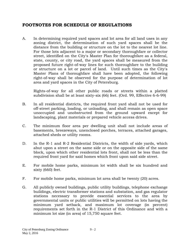# **FOOTNOTES FOR SCHEDULE OF REGULATIONS**

A. In determining required yard spaces and lot area for all land uses in any zoning district, the determination of such yard spaces shall be the distance from the building or structure on the lot to the nearest lot line. For those lots adjacent to a major or secondary thoroughfare or collector street, identified on the City's Master Plan for thoroughfare as a federal, state, county, or city road, the yard spaces shall be measured from the proposed future right-of-way lines for such thoroughfare to the building or structure on a lot or parcel of land. Until such times as the City's Master Plans of thoroughfare shall have been adopted, the following right-of-way shall be observed for the purpose of determination of lot area and yard spaces in the City of Petersburg.

Rights-of-way for all other public roads or streets within a platted subdivision shall be at least sixty-six (66) feet. (Ord. 99, Effective 6-6-99)

- B. In all residential districts, the required front yard shall not be used for off-street parking, loading, or unloading, and shall remain as open space unoccupied and unobstructed from the ground upward except for landscaping, plant materials or prepared vehicle access drives.
- C. The minimum floor area per dwelling unit shall not include areas of basements, breezeways, unenclosed porches, terraces, attached garages, attached sheds or utility rooms.
- D. In the R-1 and R-2 Residential Districts, the width of side yards, which abut upon a street on the same side or on the opposite side of the same block, upon which other residential lots front, shall not be less than the required front yard for said homes which front upon said side street.
- E. For mobile home parks, minimum lot width shall be six hundred and sixty (660) feet.
- F. For mobile home parks, minimum lot area shall be twenty (20) acres.
- G. All publicly owned buildings, public utility buildings, telephone exchange buildings, electric transformer stations and substation, and gas regulator stations necessary to provide essential services to the area by governmental units or public utilities will be permitted on lots having the minimum yard setback, and maximum lot coverage (in percent) requirements set forth in the R-1 District of this Ordinance and with a minimum lot size (in area) of 15,750 square feet.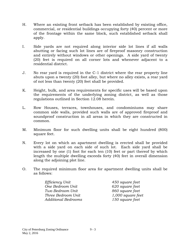- H. Where an existing front setback has been established by existing office, commercial, or residential buildings occupying forty (40) percent or more of the frontage within the same block, such established setback shall apply.
- I. Side yards are not required along interior side lot lines if all walls abutting or facing such lot lines are of fireproof masonry construction and entirely without windows or other openings. A side yard of twenty (20) feet is required on all corner lots and whenever adjacent to a residential district.
- J. No rear yard is required in the C-1 district where the rear property line abuts upon a twenty (20) foot alley, but where no alley exists, a rear yard of not less than twenty (20) feet shall be provided.
- K. Height, bulk, and area requirements for specific uses will be based upon the requirements of the underlying zoning district, as well as those regulations outlined in Section 12.08 herein.
- L. Row Houses, terraces, townhouses, and condominiums may share common side walls, provided such walls are of approved fireproof and soundproof construction in all areas in which they are constructed in common.
- M. Minimum floor for such dwelling units shall be eight hundred (800) square feet.
- N. Every lot on which an apartment dwelling is erected shall be provided with a side yard on each side of such lot. Each side yard shall be increased by one (1) foot for each ten (10) feet or part thereof by which length the multiple dwelling exceeds forty (40) feet in overall dimension along the adjoining plot line.
- O. The required minimum floor area for apartment dwelling units shall be as follows:

| Efficiency Unit            | 450 square feet     |
|----------------------------|---------------------|
| One Bedroom Unit           | 620 square feet     |
| Two Bedroom Unit           | 860 square feet     |
| Three Bedroom Unit         | $1,000$ square feet |
| <b>Additional Bedrooms</b> | 150 square feet     |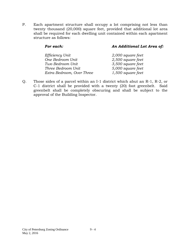P. Each apartment structure shall occupy a lot comprising not less than twenty thousand (20,000) square feet, provided that additional lot area shall be required for each dwelling unit contained within each apartment structure as follows:

# *For each: An Additional Lot Area of: Efficiency Unit 2,000 square feet*

| Efficiency Unit           | 2,000 square jeel |
|---------------------------|-------------------|
| One Bedroom Unit          | 2,500 square feet |
| Two Bedroom Unit          | 3,500 square feet |
| Three Bedroom Unit        | 5,000 square feet |
| Extra Bedroom, Over Three | 1,500 square feet |
|                           |                   |

Q. Those sides of a parcel within an I-1 district which abut an R-1, R-2, or C-1 district shall be provided with a twenty (20) foot greenbelt. Said greenbelt shall be completely obscuring and shall be subject to the approval of the Building Inspector.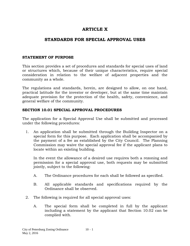# **ARTICLE X**

# **STANDARDS FOR SPECIAL APPROVAL USES**

#### **STATEMENT OF PURPOSE**

This section provides a set of procedures and standards for special uses of land or structures which, because of their unique characteristics, require special consideration in relation to the welfare of adjacent properties and the community as a whole.

The regulations and standards, herein, are designed to allow, on one hand, practical latitude for the investor or developer, but at the same time maintain adequate provision for the protection of the health, safety, convenience, and general welfare of the community.

#### **SECTION 10.01 SPECIAL APPROVAL PROCEDURES**

The application for a Special Approval Use shall be submitted and processed under the following procedures:

1. An application shall be submitted through the Building Inspector on a special form for this purpose. Each application shall be accompanied by the payment of a fee as established by the City Council. The Planning Commission may waive the special approval fee if the applicant plans to locate within an existing building.

In the event the allowance of a desired use requires both a rezoning and permission for a special approval use, both requests may be submitted jointly, subject to the following:

- A. The Ordinance procedures for each shall be followed as specified.
- B. All applicable standards and specifications required by the Ordinance shall be observed.
- 2. The following is required for all special approval uses:
	- A. The special form shall be completed in full by the applicant including a statement by the applicant that Section 10.02 can be complied with.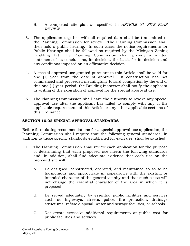- B. A completed site plan as specified in *ARTICLE XI, SITE PLAN REVIEW.*
- 3. The application together with all required data shall be transmitted to the Planning Commission for review. The Planning Commission shall then hold a public hearing. In such cases the notice requirements for Public Hearings shall be followed as required by the Michigan Zoning Enabling Act. The Planning Commission shall provide a written statement of its conclusions, its decision, the basis for its decision and any conditions imposed on an affirmative decision.
- 4. A special approval use granted pursuant to this Article shall be valid for one (1) year from the date of approval. If construction has not commenced and proceeded meaningfully toward completion by the end of this one (1) year period, the Building Inspector shall notify the applicant in writing of the expiration of approval for the special approval use.
- 5. The Planning Commission shall have the authority to revoke any special approval use after the applicant has failed to comply with any of the applicable requirements of this Article or any other applicable sections of this Ordinance.

## **SECTION 10.02 SPECIAL APPROVAL STANDARDS**

Before formulating recommendations for a special approval use application, the Planning Commission shall require that the following general standards, in addition to those specific standards established for each use, shall be satisfied.

- 1. The Planning Commission shall review each application for the purpose of determining that each proposed use meets the following standards and, in addition, shall find adequate evidence that each use on the proposed site will:
	- A. Be designed, constructed, operated, and maintained so as to be harmonious and appropriate in appearance with the existing or intended character of the general vicinity and that such a use will not change the essential character of the area in which it is proposed.
	- B. Be served adequately by essential public facilities and services such as highways, streets, police, fire protection, drainage structures, refuse disposal, water and sewage facilities, or schools.
	- C. Not create excessive additional requirements at public cost for public facilities and services.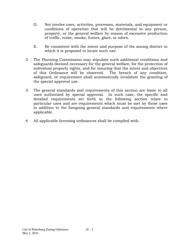- D. Not involve uses, activities, processes, materials, and equipment or conditions of operation that will be detrimental to any person, property, or the general welfare by reason of excessive production of traffic, noise, smoke, fumes, glare, or odors.
- E. Be consistent with the intent and purpose of the zoning district in which it is proposed to locate such use.
- 2. The Planning Commission may stipulate such additional conditions and safeguards deemed necessary for the general welfare, for the protection of individual property rights, and for insuring that the intent and objectives of this Ordinance will be observed. The breach of any condition, safeguard, or requirement shall automatically invalidate the granting of the special approval use.
- 3. The general standards and requirements of this section are basic to all uses authorized by special approval. In such case, the specific and detailed requirements set forth in the following section relate to particular uses and are requirements which must be met by those uses in addition to the foregoing general standards and requirements where applicable.
- 4. All applicable licensing ordinances shall be complied with.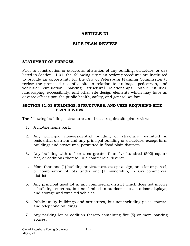# **ARTICLE XI**

## **SITE PLAN REVIEW**

#### **STATEMENT OF PURPOSE**

Prior to construction or structural alteration of any building, structure, or use listed in Section 11.01, the following site plan review procedures are instituted to provide an opportunity for the City of Petersburg Planning Commission to review the proposed use of a site in relation to drainage, pedestrian, and vehicular circulation, parking, structural relationships, public utilities, landscaping, accessibility, and other site design elements which may have an adverse effect upon the public health, safety, and general welfare.

#### **SECTION 11.01 BUILDINGS, STRUCTURES, AND USES REQUIRING SITE PLAN REVIEW**

The following buildings, structures, and uses require site plan review:

- 1. A mobile home park.
- 2. Any principal non-residential building or structure permitted in residential districts and any principal building or structure, except farm buildings and structures, permitted in flood plain districts.
- 3. Any building with a floor area greater than five hundred (500) square feet, or additions thereto, in a commercial district.
- 4. More than one (1) building or structure, except a sign, on a lot or parcel, or combination of lots under one (1) ownership, in any commercial district.
- 5. Any principal used lot in any commercial district which does not involve a building, such as, but not limited to outdoor sales, outdoor displays, and storage and wrecked vehicles.
- 6. Public utility buildings and structures, but not including poles, towers, and telephone buildings.
- 7. Any parking lot or addition thereto containing five (5) or more parking spaces.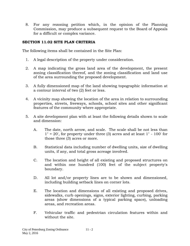8. For any rezoning petition which, in the opinion of the Planning Commission, may produce a subsequent request to the Board of Appeals for a difficult or complex variance.

## **SECTION 11.02 SITE PLAN CRITERIA**

The following items shall be contained in the Site Plan:

- 1. A legal description of the property under consideration.
- 2. A map indicating the gross land area of the development, the present zoning classification thereof, and the zoning classification and land use of the area surrounding the proposed development.
- 3. A fully dimensioned map of the land showing topographic information at a contour interval of two (2) feet or less.
- 4. A vicinity map showing the location of the area in relation to surrounding properties, streets, freeways, schools, school sites and other significant features of the community where appropriate.
- 5. A site development plan with at least the following details shown to scale and dimension:
	- A. The date, north arrow, and scale. The scale shall be not less than  $1" = 20'$ , for property under three (3) acres and at least  $1" - 100'$  for those three (3) acres or more.
	- B. Statistical data including number of dwelling units, size of dwelling units, if any, and total gross acreage involved.
	- C. The location and height of all existing and proposed structures on and within one hundred (100) feet of the subject property's boundary.
	- D. All lot and/or property lines are to be shown and dimensioned, including building setback lines on corner lots.
	- E. The location and dimensions of all existing and proposed drives, sidewalks, curb openings, signs, exterior lighting, curbing, parking areas (show dimensions of a typical parking space), unloading areas, and recreation areas.
	- F. Vehicular traffic and pedestrian circulation features within and without the site.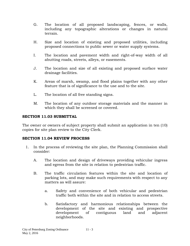- G. The location of all proposed landscaping, fences, or walls, including any topographic alterations or changes in natural terrain.
- H. Size and location of existing and proposed utilities, including proposed connections to public sewer or water supply systems.
- I. The location and pavement width and right-of-way width of all abutting roads, streets, alleys, or easements.
- J. The location and size of all existing and proposed surface water drainage facilities.
- K. Areas of marsh, swamp, and flood plains together with any other feature that is of significance to the use and to the site.
- L. The location of all free standing signs.
- M. The location of any outdoor storage materials and the manner in which they shall be screened or covered.

#### **SECTION 11.03 SUBMITTAL**

The owner or owners of subject property shall submit an application in ten (10) copies for site plan review to the City Clerk.

#### **SECTION 11.04 REVIEW PROCESS**

- 1. In the process of reviewing the site plan, the Planning Commission shall consider:
	- A. The location and design of driveways providing vehicular ingress and egress from the site in relation to pedestrian traffic.
	- B. The traffic circulation features within the site and location of parking lots, and may make such requirements with respect to any matters as will assure:
		- a. Safety and convenience of both vehicular and pedestrian traffic both within the site and in relation to access streets.
		- b. Satisfactory and harmonious relationships between the development of the site and existing and prospective development of contiguous land and adjacent neighborhoods.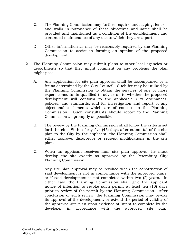- C. The Planning Commission may further require landscaping, fences, and walls in pursuance of these objectives and same shall be provided and maintained as a condition of the establishment and continued maintenance of any use to which they are a part.
- D. Other information as may be reasonably required by the Planning Commission to assist in forming an opinion of the proposed development.
- 2. The Planning Commission may submit plans to other local agencies or departments so that they might comment on any problems the plan might pose.
	- A. Any application for site plan approval shall be accompanied by a fee as determined by the City Council. Such fee may be utilized by the Planning Commission to obtain the services of one or more expert consultants qualified to advise as to whether the proposed development will conform to the applicable City ordinances, policies, and standards, and for investigation and report of any objectionable elements which are of concern to the Planning Commission. Such consultants should report to the Planning Commission as promptly as possible.
	- B. The review by the Planning Commission shall follow the criteria set forth herein. Within forty-five (45) days after submittal of the site plan to the City by the applicant, the Planning Commission shall either approve, disapprove or request modifications in the site plan.
	- C. When an applicant receives final site plan approval, he must develop the site exactly as approved by the Petersburg City Planning Commission.
	- D. Any site plan approval may be revoked when the construction of said development is not in conformance with the approved plans, or if said development is not completed within two (2) years. In either case the Planning Commission shall give the applicant notice of intention to revoke such permit at least ten (10) days prior to review of the permit by the Planning Commission. After conclusion of such review, the Planning Commission may revoke its approval of the development, or extend the period of validity of the approved site plan upon evidence of intent to complete by the developer in accordance with the approved site plan.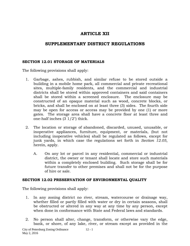# **ARTICLE XII**

# **SUPPLEMENTARY DISTRICT REGULATIONS**

#### **SECTION 12.01 STORAGE OF MATERIALS**

The following provisions shall apply:

- 1. Garbage, ashes, rubbish, and similar refuse to be stored outside a building in a mobile home park, all commercial and private recreational sites, multiple-family residents, and the commercial and industrial districts shall be stored within approved containers and said containers shall be stored within a screened enclosure. The enclosure may be constructed of an opaque material such as wood, concrete blocks, or bricks, and shall be enclosed on at least three (3) sides. The fourth side may be open for access or access may be provided by one (1) or more gates. The storage area shall have a concrete floor at least three and one-half inches (3 1/2") thick.
- 2. The location or storage of abandoned, discarded, unused, unusable, or inoperative appliances, furniture, equipment, or materials, (but not including inoperative vehicles) shall be regulated as follows, except for junk yards, in which case the regulations set forth in *Section 12.05*, herein, apply.
	- A. On any lot or parcel in any residential, commercial or industrial district, the owner or tenant shall locate and store such materials within a completely enclosed building. Such storage shall be for future transfer to other premises and shall not be for the purpose of hire or sale.

#### **SECTION 12.02 PRESERVATION OF ENVIRONMENTAL QUALITY**

The following provisions shall apply:

- 1. In any zoning district no river, stream, watercourse or drainage way, whether filled or partly filled with water or dry in certain seasons, shall be obstructed or altered in any way at any time by any person, except when done in conformance with State and Federal laws and standards.
- 2. No person shall alter, change, transform, or otherwise vary the edge, bank, or shore, of any lake, river, or stream except as provided in the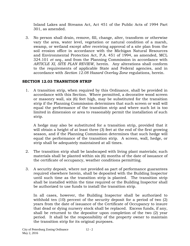Inland Lakes and Streams Act, Act 451 of the Public Acts of 1994 Part 301, as amended.

3. No person shall drain, remove, fill, change, alter, transform or otherwise vary the area, water level, vegetation or natural condition of a marsh, swamp, or wetland except after receiving approval of a site plan from the soil erosion office in accordance with the Michigan Natural Resources and Environmental Protection Act, P.A. 451 of 1994, as amended, MCL 324.101 *et seq.,* and from the Planning Commission in accordance with *ARTICLE XI, SITE PLAN REVIEW,* herein. Any alterations shall conform to the requirements of applicable State and Federal agencies, and in accordance with *Section 12.08 Hazard Overlay Zone* regulations, herein.

## **SECTION 12.03 TRANSITION STRIP**

1. A transition strip, when required by this Ordinance, shall be provided in accordance with this Section. Where permitted, a decorative wood screen or masonry wall, six (6) feet high, may be substituted for the transition strip if the Planning Commission determines that such screen or wall will equal the performance of the transition strip and where such lot is too limited in dimension or area to reasonably permit the installation of such strip.

A hedge may also be substituted for a transition strip, provided that it will obtain a height of at least three (3) feet at the end of the first growing season, and if the Planning Commission determines that such hedge will equal the performance of the transition strip. A screen, wall, hedge, or strip shall be adequately maintained at all times.

- 2. The transition strip shall be landscaped with living plant materials; such materials shall be planted within six (6) months of the date of issuance of the certificate of occupancy, weather conditions permitting.
- 3. A security deposit, where not provided as part of performance guarantees required elsewhere herein, shall be deposited with the Building Inspector until such time as the transition strip is planted. The transition strip shall be installed within the time required or the Building Inspector shall be authorized to use funds to install the transition strip.

In all cases, however, the Building Inspector shall be authorized to withhold ten (10) percent of the security deposit for a period of two (2) years from the date of issuance of the Certificate of Occupancy to insure that dead or dying nursery stock shall be replaced. Excess funds, if any, shall be returned to the depositor upon completion of the two (2) year period. It shall be the responsibility of the property owner to maintain the transition strip for its original purposes.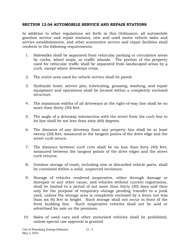#### **SECTION 12.04 AUTOMOBILE SERVICE AND REPAIR STATIONS**

In addition to other regulations set forth in this Ordinance, all automobile gasoline service and repair stations, new and used motor vehicle sales and service establishments, and other automotive service and repair facilities shall conform to the following requirements:

- 1. Sidewalks shall be separated from vehicular parking or circulation areas by curbs, wheel stops, or traffic islands. The portion of the property used for vehicular traffic shall be separated from landscaped areas by a curb, except where driveways cross.
- 2. The entire area used for vehicle service shall be paved.
- 3. Hydraulic hoist, service pits, lubricating, greasing, washing, and repair equipment and operations shall be located within a completely enclosed structure.
- 4. The maximum widths of all driveways at the right-of-way line shall be no more than thirty (30) feet.
- 5. The angle of a driveway intersection with the street from the curb line to lot line shall be not less than sixty (60) degrees.
- 6. The distance of any driveway from any property line shall be at least twenty (20) feet, measured at the tangent points of the drive edge and the street curb return.
- 7. The distance between curb cuts shall be no less than forty (40) feet, measured between the tangent points of the drive edges and the street curb returns.
- 8. Outdoor storage of trash, including new or discarded vehicle parts, shall be contained within a solid, unpierced enclosure.
- 9. Storage of vehicles rendered inoperative, either through damage or disrepair or any other cause, and vehicles without current registration, shall be limited to a period of not more than thirty (30) days and then only for the purpose of temporary storage pending transfer to a junk yard, unless the storage area is completely enclosed by a fence not less than six (6) feet in height. Such storage shall not occur in front of the front building line. Such inoperative vehicles shall not be sold or advertised for sale on the premises.
- 10. Sales of used cars and other motorized vehicles shall be prohibited, unless special use approval is granted.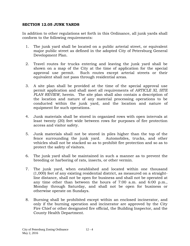#### **SECTION 12.05 JUNK YARDS**

In addition to other regulations set forth in this Ordinance, all junk yards shall conform to the following requirements:

- 1. The junk yard shall be located on a public arterial street, or equivalent major public street as defined in the adopted City of Petersburg General Development Plan.
- 2. Travel routes for trucks entering and leaving the junk yard shall be shown on a map of the City at the time of application for the special approval use permit. Such routes except arterial streets or their equivalent shall not pass through residential areas.
- 3. A site plan shall be provided at the time of the special approval use permit application and shall meet all requirements of *ARTICLE XI, SITE PLAN REVIEW,* herein. The site plan shall also contain a description of the location and nature of any material processing operations to be conducted within the junk yard, and the location and nature of equipment for such operations.
- 4. Junk materials shall be stored in organized rows with open intervals at least twenty (20) feet wide between rows for purposes of fire protection access and visitor safety.
- 5. Junk materials shall not be stored in piles higher than the top of the fence surrounding the junk yard. Automobiles, trucks, and other vehicles shall not be stacked so as to prohibit fire protection and so as to protect the safety of visitors.
- 6. The junk yard shall be maintained in such a manner as to prevent the breeding or harboring of rats, insects, or other vermin.
- 7. The junk yard, when established and located within one thousand (1,000) feet of any existing residential district, as measured on a straightline distance, shall not be open for business and shall not be operated at any time other than between the hours of 7:00 a.m. and 6:00 p.m., Monday through Saturday, and shall not be open for business or otherwise operate on Sundays.
- 8. Burning shall be prohibited except within an enclosed incinerator, and only if the burning operation and incinerator are approved by the City Fire Chief or other designated fire official, the Building Inspector, and the County Health Department.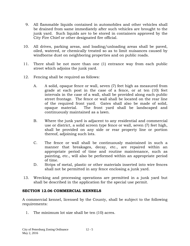- 9. All flammable liquids contained in automobiles and other vehicles shall be drained from same immediately after such vehicles are brought to the junk yard. Such liquids are to be stored in containers approved by the City Fire Chief or other designated fire official.
- 10. All drives, parking areas, and loading/unloading areas shall be paved, oiled, watered, or chemically treated so as to limit nuisances caused by windborne dust on neighboring properties and on public roads.
- 11. There shall be not more than one (1) entrance way from each public street which adjoins the junk yard.
- 12. Fencing shall be required as follows:
	- A. A solid, opaque fence or wall, seven (7) feet high as measured from grade at each post in the case of a fence, or at ten (10) feet intervals in the case of a wall, shall be provided along each public street frontage. The fence or wall shall be located on the rear line of the required front yard. Gates shall also be made of solid, opaque material. The front yard shall be landscaped and continuously maintained as a lawn.
	- B. Where the junk yard is adjacent to any residential and commercial use or district, a solid screen type fence or wall, seven (7) feet high, shall be provided on any side or rear property line or portion thereof, adjoining such lots.
	- C. The fence or wall shall be continuously maintained in such a manner that breakages, decay, etc., are repaired within an appropriate period of time and routine maintenance, such as painting, etc., will also be performed within an appropriate period of time.
	- D. Strips of metal, plastic or other materials inserted into wire fences shall not be permitted in any fence enclosing a junk yard.
- 13. Wrecking and processing operations are permitted in a junk yard but shall be described in the application for the special use permit.

#### **SECTION 12.06 COMMERCIAL KENNELS**

A commercial kennel, licensed by the County, shall be subject to the following requirements:

1. The minimum lot size shall be ten (10) acres.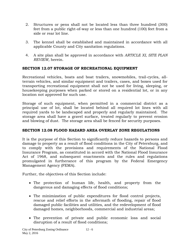- 2. Structures or pens shall not be located less than three hundred (300) feet from a public right-of-way or less than one hundred (100) feet from a side or rear lot line.
- 3. The kennel shall be established and maintained in accordance with all applicable County and City sanitation regulations.
- 4. A site plan shall be approved in accordance with *ARTICLE XI, SITE PLAN REVIEW,* herein.

## **SECTION 12.07 STORAGE OF RECREATIONAL EQUIPMENT**

Recreational vehicles, boats and boat trailers, snowmobiles, trail-cycles, allterrain vehicles, and similar equipment and trailers, cases, and boxes used for transporting recreational equipment shall not be used for living, sleeping, or housekeeping purposes when parked or stored on a residential lot, or in any location not approved for such use.

Storage of such equipment, when permitted in a commercial district as a principal use of lot, shall be located behind all required lot lines with all required yards to be landscaped and properly and regularly maintained. The storage area shall have a gravel surface, treated regularly to prevent erosion and blowing of dust. The storage area shall be fenced for security purposes.

## **SECTION 12.08 FLOOD HAZARD AREA OVERLAY ZONE REGULATIONS**

It is the purpose of this Section to significantly reduce hazards to persons and damage to property as a result of flood conditions in the City of Petersburg, and to comply with the provisions and requirements of the National Flood Insurance Program, as constituted in accord with the National Flood Insurance Act of 1968, and subsequent enactments and the rules and regulations promulgated in furtherance of this program by the Federal Emergency Management Agency (FEMA).

Further, the objectives of this Section include:

- The protection of human life, health, and property from the dangerous and damaging effects of flood conditions;
- The minimization of public expenditures for flood control projects, rescue and relief efforts in the aftermath of flooding, repair of flood damaged public facilities and utilities, and the redevelopment of flood damaged homes, neighborhoods, commercial and industrial areas;
- The prevention of private and public economic loss and social disruption of a result of flood conditions;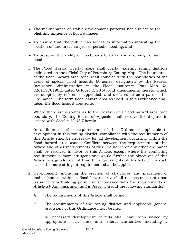- The maintenance of stable development patterns not subject to the blighting influence of flood damage;
- To ensure that the public has access to information indicating the location of land areas subject to periodic flooding; and
- To preserve the ability of floodplains to carry and discharge a base flood.
- 1. The Flood Hazard Overlay Zone shall overlay existing zoning districts delineated on the official City of Petersburg Zoning Map. The boundaries of the flood hazard area zone shall coincide with the boundaries of the areas of special flood hazards (A zones) designated by the Federal Insurance Administration in the Flood Insurance Rate Map No. 226115C0190E, dated October 2, 2014, and amendments thereto, which are adopted by reference, appended, and declared to be a part of this Ordinance. The term flood hazard area as used in this Ordinance shall mean the flood hazard area zone.

Where there are disputes as to the location of a flood hazard area zone boundary, the Zoning Board of Appeals shall resolve the dispute in accord with *Section 12.08.7* herein.

In addition to other requirements of this Ordinance applicable to development in this zoning district, compliance with the requirements of this Article shall be necessary for all development occurring within the flood hazard area zone. Conflicts between the requirements of this Article and other requirements of this Ordinance or any other ordinance shall be resolved in favor of this Article, except where the conflicting requirement is more stringent and would further the objectives of this Article to a greater extent than the requirements of this Article. In such cases the more stringent requirement shall be applied.

- 2. Development, including the erection of structures and placement of mobile homes, within a flood hazard area shall not occur except upon issuance of a building permit in accordance with the requirements of *Article XV Administration and Enforcement* and the following standards:
	- A. The requirements of this Article shall be met.
	- B. The requirements of the zoning district and applicable general provisions of this Ordinance must be met.
	- C. All necessary development permits shall have been issued by appropriate local, state and federal authorities including a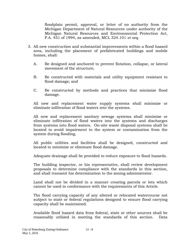floodplain permit, approval, or letter of no authority from the Michigan Department of Natural Resources under authority of the Michigan Natural Resources and Environmental Protection Act, P.A. 451 of 1994, as amended, MCL 324.101 *et seq.*

- 3. All new construction and substantial improvements within a flood hazard area, including the placement of prefabricated buildings and mobile homes, shall:
	- A. Be designed and anchored to prevent flotation, collapse, or lateral movement of the structure;
	- B. Be constructed with materials and utility equipment resistant to flood damage; and
	- C. Be constructed by methods and practices that minimize flood damage.

All new and replacement water supply systems shall minimize or eliminate infiltration of flood waters into the systems.

All new and replacement sanitary sewage systems shall minimize or eliminate infiltration of flood waters into the systems and discharges from systems into flood waters. On-site waste disposal systems shall be located to avoid impairment to the system or contamination from the system during flooding.

All public utilities and facilities shall be designed, constructed and located to minimize or eliminate flood damage.

Adequate drainage shall be provided to reduce exposure to flood hazards.

The building inspector, or his representative, shall review development proposals to determine compliance with the standards in this section, and shall transmit his determination to the zoning administrator.

Land shall not be divided in a manner creating parcels or lots which cannot be used in conformance with the requirements of this Article.

The flood carrying capacity of any altered or relocated watercourse not subject to state or federal regulations designed to ensure flood carrying capacity shall be maintained.

Available flood hazard data from federal, state or other sources shall be reasonably utilized in meeting the standards of this section. Data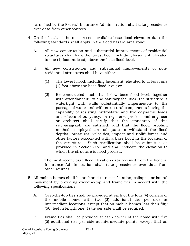furnished by the Federal Insurance Administration shall take precedence over data from other sources.

- 4. On the basis of the most recent available base flood elevation data the following standards shall apply in the flood hazard area zone:
	- A. All new construction and substantial improvements of residential structures shall have the lowest floor, including basement, elevated to one (1) foot, at least, above the base flood level.
	- B. All new construction and substantial improvements of nonresidential structures shall have either:
		- (1) The lowest flood, including basement, elevated to at least one (1) foot above the base flood level; or
		- (2) Be constructed such that below base flood level, together with attendant utility and sanitary facilities, the structure is watertight with walls substantially impermeable to the passage of water and with structural components having the capability of resisting hydrostatic and hydrodynamic loads and effects of buoyancy. A registered professional engineer or architect shall certify that the standards of this subparagraph are satisfied, and that the flood proofing methods employed are adequate to withstand the flood depths, pressures, velocities, impact and uplift forces and other factors associated with a base flood in the location of the structure. Such certification shall be submitted as provided in *Section 8.07* and shall indicate the elevation to which the structure is flood proofed.

The most recent base flood elevation data received from the Federal Insurance Administration shall take precedence over data from other sources.

- 5. All mobile homes shall be anchored to resist flotation, collapse, or lateral movement by providing over-the-top and frame ties in accord with the following specifications:
	- A. Over-the-top ties shall be provided at each of the four (4) corners of the mobile home, with two (2) additional ties per side at intermediate locations, except that on mobile homes less than fifty (50) feet in length one (1) tie per side shall be required.
	- B. Frame ties shall be provided at each corner of the home with five (5) additional ties per side at intermediate points, except that on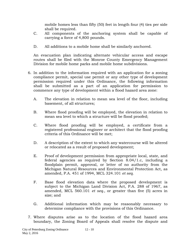mobile homes less than fifty (50) feet in length four (4) ties per side shall be required.

- C. All components of the anchoring system shall be capable of carrying a force of 4,800 pounds.
- D. All additions to a mobile home shall be similarly anchored.

An evacuation plan indicating alternate vehicular access and escape routes shall be filed with the Monroe County Emergency Management Division for mobile home parks and mobile home subdivisions.

- 6. In addition to the information required with an application for a zoning compliance permit, special use permit or any other type of development permission required under this Ordinance, the following information shall be submitted as a part of an application for permission to commence any type of development within a flood hazard area zone:
	- A. The elevation in relation to mean sea level of the floor, including basement, of all structures;
	- B. Where flood proofing will be employed, the elevation in relation to mean sea level to which a structure will be flood proofed;
	- C. Where flood proofing will be employed, a certificate from a registered professional engineer or architect that the flood proofing criteria of this Ordinance will be met;
	- D. A description of the extent to which any watercourse will be altered or relocated as a result of proposed development;
	- E. Proof of development permission from appropriate local, state, and federal agencies as required by Section 8.04/1.c, including a floodplain permit, approval, or letter of no authority from the Michigan Natural Resources and Environmental Protection Act, as amended, P.A. 451 of 1994, MCL 324.101 *et seq.*
	- F. Base flood elevation data where the proposed development is subject to the Michigan Land Division Act, P.A. 288 of 1967, as amended, MCL 560.101 *et seq.,* or greater than five (5) acres in size; and
	- G. Additional information which may be reasonably necessary to determine compliance with the provisions of this Ordinance.
- 7. Where disputes arise as to the location of the flood hazard area boundary, the Zoning Board of Appeals shall resolve the dispute and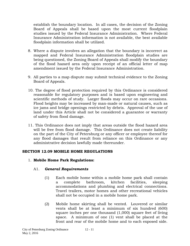establish the boundary location. In all cases, the decision of the Zoning Board of Appeals shall be based upon the most current floodplain studies issued by the Federal Insurance Administration. Where Federal Insurance Administration information is not available, the best available floodplain information shall be utilized.

- 8. Where a dispute involves an allegation that the boundary is incorrect as mapped and Federal Insurance Administration floodplain studies are being questioned, the Zoning Board of Appeals shall modify the boundary of the flood hazard area only upon receipt of an official letter of map amendment issued by the Federal Insurance Administration.
- 9. All parties to a map dispute may submit technical evidence to the Zoning Board of Appeals.
- 10. The degree of flood protection required by this Ordinance is considered reasonable for regulatory purposes and is based upon engineering and scientific methods of study. Larger floods may occur on rare occasions. Flood heights may be increased by man-made or natural causes, such as ice jams and bridge openings restricted by debris. Approval of the use of land under this Article shall not be considered a guarantee or warranty of safety from flood damage.
- 11. This Ordinance does not imply that areas outside the flood hazard area will be free from flood damage. This Ordinance does not create liability on the part of the City of Petersburg or any officer or employee thereof for any flood damages that result from reliance on this Ordinance or any administrative decision lawfully made thereunder.

#### **SECTION 12.09 MOBILE HOME REGULATIONS**

## 1. **Mobile Home Park Regulations:**

## A1. *General Requirements*

- (1) Each mobile home within a mobile home park shall contain a complete bathroom, kitchen facilities, sleeping accommodations and plumbing and electrical connections. Travel trailers, motor homes and other recreational vehicles shall not be occupied in a mobile home park.
- (2) Mobile home skirting shall be vented. Louvered or similar vents shall be at least a minimum of six hundred (600) square inches per one thousand (1,000) square feet of living space. A minimum of one (1) vent shall be placed at the front and rear of the mobile home and to each exposed side.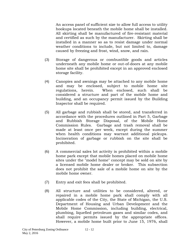An access panel of sufficient size to allow full access to utility hookups located beneath the mobile home shall be installed. All skirting shall be manufactured of fire-resistant material and certified as such by the manufacturer. Skirting shall be installed in a manner so as to resist damage under normal weather conditions to include, but not limited to, damage caused by freezing and frost, wind, snow, and rain.

- (3) Storage of dangerous or combustible goods and articles underneath any mobile home or out-of-doors at any mobile home site shall be prohibited except in an approved enclosed storage facility.
- (4) Canopies and awnings may be attached to any mobile home and may be enclosed, subject to mobile home site regulations, herein. When enclosed, such shall be considered a structure and part of the mobile home and building, and an occupancy permit issued by the Building Inspector shall be required.
- (5) All garbage and rubbish shall be stored, and transferred in accordance with the procedures outlined in Part 5, Garbage and Rubbish Storage Disposal, of the Mobile Home Commission Rules. Garbage and trash removal shall be made at least once per week, except during the summer when health conditions may warrant additional pickups. Incineration of garbage or rubbish on the site shall be prohibited.
- (6) A commercial sales lot activity is prohibited within a mobile home park except that mobile homes placed on mobile home sites under the "model home" concept may be sold on site by a licensed mobile home dealer or broker. This subsection does not prohibit the sale of a mobile home on site by the mobile home owner.
- (7) Entry and exit fees shall be prohibited.
- (8) All structure and utilities to be considered, altered, or repaired in a mobile home park shall comply with all applicable codes of the City, the State of Michigan, the U.S. Department of Housing and Urban Development and the Mobile Home Commission, including building, electrical, plumbing, liquefied petroleum gases and similar codes, and shall require permits issued by the appropriate offices. However, a mobile home built prior to June 15, 1976, shall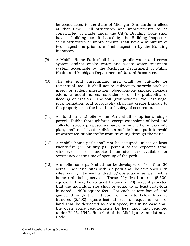be constructed to the State of Michigan Standards in effect at that time. All structures and improvements to be constructed or made under the City's Building Code shall have a building permit issued by the Building Inspector. Such structures or improvements shall have a minimum of two inspections prior to a final inspection by the Building Inspector.

- (9) A Mobile Home Park shall have a public water and sewer system and/or onsite water and waste water treatment system acceptable by the Michigan Department of Public Health and Michigan Department of Natural Resources.
- (10) The site and surrounding area shall be suitable for residential use. It shall not be subject to hazards such as insect or rodent infestation, objectionable smoke, noxious odors, unusual noises, subsidence, or the probability of flooding or erosion. The soil, groundwater level, drainage, rock formation, and topography shall not create hazards to the property or to the health and safety of occupants.
- (11) All land in a Mobile Home Park shall comprise a single parcel. Public thoroughfares, except extensions of local and collector streets proposed as part of a mobile home park site plan, shall not bisect or divide a mobile home park to avoid unwarranted public traffic from traveling through the park.
- (12) A mobile home park shall not be occupied unless at least twenty-five (25) or fifty (50) percent of the expected total, whichever is less, mobile home sites are available for occupancy at the time of opening of the park.
- (13) A mobile home park shall not be developed on less than 20 acres. Individual sites within a park shall be developed with sites having fifty-five hundred (5,500) square feet per mobile home unit being served. These fifty-five hundred (5,500) square feet may be reduced by twenty (20) percent provided that the individual site shall be equal to at least forty-four hundred (4,400) square feet. For each square foot of land gained through the reduction of the site below fifty-five hundred (5,500) square feet, at least an equal amount of land shall be dedicated as open space, but in no case shall the open space requirements be less than that required under R125, 1946, Rule 946 of the Michigan Administrative Code.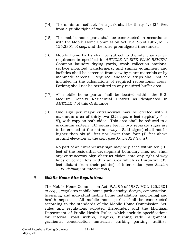- (14) The minimum setback for a park shall be thirty-five (35) feet from a public right-of-way.
- (15) The mobile home park shall be constructed in accordance with the Mobile Home Commission Act, P.A. 96 of 1987, MCL 125.2301 *et seq.,* and the rules promulgated thereunder.
- (16) Mobile Home Parks shall be subject to the site plan review requirements specified in *ARTICLE XI SITE PLAN REVIEW*. Common laundry drying yards, trash collection stations, surface mounted transformers, and similar equipment and facilities shall be screened from view by plant materials or by manmade screens. Required landscape strips shall not be included in the calculations of required recreational areas. Parking shall not be permitted in any required buffer area.
- (17) All mobile home parks shall be located within the R-2, Medium Density Residential District as designated in *ARTICLE V* of this Ordinance.
- (18) One sign per major entranceway may be erected with a maximum area of thirty-two (32) square feet (typically 4' x 8'), with copy on both sides. This area shall be reduced to a maximum sixteen (16) square feet if two separate signs are to be erected at the entranceway. Said sign(s) shall not be higher than six (6) feet nor lower than four (4) feet above ground elevation at the sign *(see Article XIV Signs).*

No part of an entranceway sign may be placed within ten (10) feet of the residential development boundary line, nor shall any entranceway sign obstruct vision onto any right-of-way lines of corner lots within an area which is thirty-five (35) feet distant from their point(s) of intersection *(see Section 3.09 Visibility at Intersections).*

## B. *Mobile Home Site Regulations*

The Mobile Home Commission Act, P.A. 96 of 1987, MCL 125.2301 *et seq.,* , regulates mobile home park density, design, construction, licensing, and individual mobile home installation (anchoring) and health aspects. All mobile home parks shall be constructed according to the standards of the Mobile Home Commission Act, rules and regulations adopted thereunder, and the Michigan Department of Public Health Rules, which include specifications for internal road widths, lengths, turning radii, alignment, gradients, construction materials, curbing parking, utilities,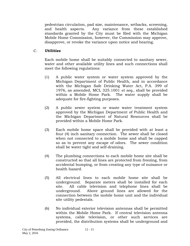pedestrian circulation, pad size, maintenance, setbacks, screening, and health aspects. Any variance from these established standards granted by the City must be filed with the Michigan Mobile Home Commission, however, the Commission may approve, disapprove, or revoke the variance upon notice and hearing.

# C. *Utilities*

Each mobile home shall be suitably connected to sanitary sewer, water and other available utility lines and such connections shall meet the following regulations:

- (1) A public water system or water system approved by the Michigan Department of Public Health, and in accordance with the Michigan Safe Drinking Water Act, P.A. 399 of 1976, as amended, MCL 325.1001 *et seq.,* shall be provided within a Mobile Home Park. The water supply shall be adequate for fire-fighting purposes.
- (2) A public sewer system or waste water treatment system approved by the Michigan Department of Public Health and the Michigan Department of Natural Resources shall be provided within a Mobile Home Park.
- (3) Each mobile home space shall be provided with at least a four (4) inch sanitary connection. The sewer shall be closed when not connected to a mobile home and shall be capped so as to prevent any escape of odors. The sewer condition shall be water tight and self-draining.
- (4) The plumbing connections to each mobile home site shall be constructed so that all lines are protected from freezing, from accidental bumping, or from creating any type of nuisance or health hazard.
- (5) All electrical lines to each mobile home site shall be underground. Separate meters shall be installed for each site. All cable television and telephone lines shall be underground. Above ground lines are allowed for the connection between the mobile home unit and the individual site utility pedestals.
- (6) No individual exterior television antennas shall be permitted within the Mobile Home Park. If central television antenna systems, cable television, or other such services are provided, the distribution systems shall be underground and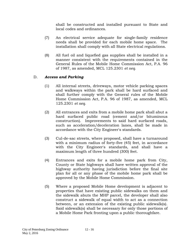shall be constructed and installed pursuant to State and local codes and ordinances.

- (7) An electrical service adequate for single-family residence needs shall be provided for each mobile home space. The installation shall comply with all State electrical regulations.
- (8) All fuel oil and liquefied gas supplies shall be installed in a manner consistent with the requirements contained in the General Rules of the Mobile Home Commission Act, P.A. 96 of 1987, as amended, MCL 125.2301 *et seq.*

## D. *Access and Parking*

- (1) All internal streets, driveways, motor vehicle parking spaces and walkways within the park shall be hard surfaced and shall further comply with the General rules of the Mobile Home Commission Act, P.A. 96 of 1987, as amended, MCL 125.2301 *et seq.*
- (2) All entrances and exits from a mobile home park shall abut a hard surfaced public road (cement and/or bituminous construction). Improvements to said hard surfaced roads, such as acceleration/deceleration lanes, shall be made in accordance with the City Engineer's standards.
- (3) Cul-de-sac streets, where proposed, shall have a turnaround with a minimum radius of forty-five (45) feet, in accordance with the City Engineer's standards, and shall have a maximum length of three hundred (300) feet.
- (4) Entrances and exits for a mobile home park from City, County or State highways shall have written approval of the highway authority having jurisdiction before the final site plan for all or any phase of the mobile home park shall be approved by the Mobile Home Commission.
- (5) Where a proposed Mobile Home development is adjacent to properties that have existing public sidewalks on them and the sidewalk abuts the MHP parcel, the developer shall also construct a sidewalk of equal width to act as a connection between, or an extension of the existing public sidewalk(s). Said sidewalk(s) shall be necessary for only those portions of a Mobile Home Park fronting upon a public thoroughfare.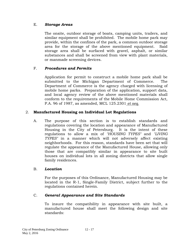## E. *Storage Areas*

The onsite, outdoor storage of boats, camping units, trailers, and similar equipment shall be prohibited. The mobile home park may provide, within the confines of the park, a common outdoor storage area for the storage of the above mentioned equipment. Said storage area shall be surfaced with gravel, asphalt, or similar substances and shall be screened from view with plant materials, or manmade screening devices.

## F. *Procedures and Permits*

Application for permit to construct a mobile home park shall be submitted to the Michigan Department of Commerce. The Department of Commerce is the agency charged with licensing of mobile home parks. Preparation of the application, support data, and local agency review of the above mentioned materials shall conform to the requirements of the Mobile Home Commission Act, P.A. 96 of 1987, as amended, MCL 125.2301 *et seq.*

## 2. **Manufactured Housing on Individual Lot Regulations**

A. The purpose of this section is to establish standards and regulations covering the location and appearance of Manufactured Housing in the City of Petersburg. It is the intent of these regulations to allow a mix of *"HOUSING TYPES"* and *"LIVING TYPES"* in a manner which will not adversely affect existing neighborhoods. For this reason, standards have been set that will regulate the appearance of the Manufactured House, allowing only those that are compatibly similar in appearance to site built houses on individual lots in all zoning districts that allow single family residences.

## B. *Location*

For the purposes of this Ordinance, Manufactured Housing may be located in the R-1, Single-Family District, subject further to the regulations contained herein.

## C. *General Appearance and Site Standards*

To insure the compatibility in appearance with site built, a manufactured house shall meet the following design and site standards: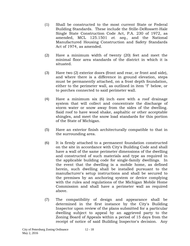- (1) Shall be constructed to the most current State or Federal Building Standards. These include the Stille-DeRossett-Hale Single State Construction Code Act, P.A. 230 of 1972, as amended, MCL 125.1501 *et. seq.,* and the National Manufactured Housing Construction and Safety Standards Act of 1974, as amended.
- (2) Have a minimum width of twenty (20) feet and meet the minimal floor area standards of the district in which it is situated.
- (3) Have two (2) exterior doors (front and rear, or front and side), and where there is a difference in ground elevation, steps must be permanently attached, on a frost depth foundation, either to the perimeter wall, as outlined in item "f" below, or to porches connected to said perimeter wall.
- (4) Have a minimum six (6) inch eave with a roof drainage system that will collect and concentrate the discharge of storm water or snow away from the sides of the dwelling. Said roof to have wood shake, asphaltic or other acceptable shingles, and meet the snow load standards for this portion of the State of Michigan.
- (5) Have an exterior finish architecturally compatible to that in the surrounding area.
- (6) It is firmly attached to a permanent foundation constructed on the site in accordance with City's Building Code and shall have a wall of the same perimeter dimensions of the dwelling and constructed of such materials and type as required in the applicable building code for single-family dwellings. In the event that the dwelling is a mobile home, as defined herein, such dwelling shall be installed pursuant to the manufacturer's setup instructions and shall be secured to the premises by an anchoring system or device complying with the rules and regulations of the Michigan Mobile Home Commission and shall have a perimeter wall as required above.
- (7) The compatibility of design and appearance shall be determined in the first instance by the City's Building Inspector upon review of the plans submitted for a particular dwelling subject to appeal by an aggrieved party to the Zoning Board of Appeals within a period of 15 days from the receipt of notice of said Building Inspector's decision. Any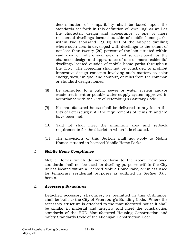determination of compatibility shall be based upon the standards set forth in this definition of "dwelling" as well as the character, design and appearance of one or more residential dwellings located outside of mobile home parks within two thousand (2,000) feet of the subject dwelling where such area is developed with dwellings to the extent of not less than twenty (20) percent of the lots situated within said area; or, where said area is not so developed, by the character design and appearance of one or more residential dwellings located outside of mobile home parks throughout the City. The foregoing shall not be construed to prohibit innovative design concepts involving such matters as solar energy, view, unique land contour, or relief from the common or standard design homes.

- (8) Be connected to a public sewer or water system and/or waste treatment or potable water supply system approved in accordance with the City of Petersburg's Sanitary Code.
- (9) No manufactured house shall be delivered to any lot in the City of Petersburg until the requirements of items "f" and "h" have been met.
- (10) Said lot shall meet the minimum area and setback requirements for the district in which it is situated.
- (11) The provisions of this Section shall not apply to Mobile Homes situated in licensed Mobile Home Parks.

## D. *Mobile Home Compliance*

Mobile Homes which do not conform to the above mentioned standards shall not be used for dwelling purposes within the City unless located within a licensed Mobile Home Park, or unless used for temporary residential purposes as outlined in *Section 3.05,* herein.

### E. *Accessory Structures*

Detached accessory structures, as permitted in this Ordinance, shall be built to the City of Petersburg's Building Code. Where the accessory structure is attached to the manufactured house it shall be similar in material and integrity and meet the construction standards of the HUD Manufactured Housing Construction and Safety Standards Code of the Michigan Construction Code.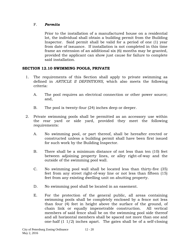# F. *Permits*

Prior to the installation of a manufactured house on a residential lot, the individual shall obtain a building permit from the Building Inspector. Said permit shall be valid for a period of one (1) year from date of issuance. If installation is not completed in this time frame an extension of an additional six (6) months may be granted, provided the applicant can show just cause for failure to complete said installation.

# **SECTION 12.10 SWIMMING POOLS, PRIVATE**

- 1. The requirements of this Section shall apply to private swimming as defined in *ARTICLE II DEFINITIONS,* which also meets the following criteria:
	- A. The pool requires an electrical connection or other power source; and,
	- B. The pool is twenty-four (24) inches deep or deeper.
- 2. Private swimming pools shall be permitted as an accessory use within the rear yard or side yard, provided they meet the following requirements:
	- A. No swimming pool, or part thereof, shall be hereafter erected or constructed unless a building permit shall have been first issued for such work by the Building Inspector.
	- B. There shall be a minimum distance of not less than ten (10) feet between adjoining property lines, or alley right-of-way and the outside of the swimming pool wall.
	- C. No swimming pool wall shall be located less than thirty-five (35) feet from any street right-of-way line or not less than fifteen (15) feet from any existing dwelling unit on abutting property.
	- D. No swimming pool shall be located in an easement.
	- E. For the protection of the general public, all areas containing swimming pools shall be completely enclosed by a fence not less than four (4) feet in height above the surface of the ground, of chain link or equally impenetrable construction. All vertical members of said fence shall be on the swimming pool side thereof and all horizontal members shall be spaced not more than one and one-half (1 1/2) inches apart. The gates shall be of a self-closing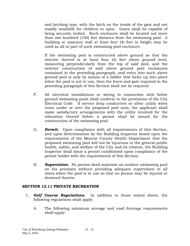and latching type, with the latch on the inside of the gate and not readily available for children to open. Gates shall be capable of being securely locked. Such enclosure shall be located not more than one hundred (100) feet distance from the swimming pool. A building or masonry wall at least four (4) feet in height may be used as all or part of such swimming pool enclosure.

If the swimming pool is constructed above ground so that the exterior thereof is at least four (4) feet above ground level, measuring perpendicularly from the top of said pool, and the exterior construction of said above ground pool enclosures contained in the preceding paragraph, and entry into such above ground pool is only by means of a ladder that locks up into place when the pool is not in use, then the fence and gate required in the preceding paragraph of this Section shall not be required.

- F. All electrical installations or wiring in connection with below ground swimming pools shall conform to the provisions of the City Electrical Code. If service drop conductors or other utility wires cross under or over the proposed pool area, the applicant shall make satisfactory arrangements with the utility involved for the relocation thereof before a permit shall be issued for the construction of the swimming pool.
- G. *Permit.* Upon compliance with all requirements of this Section, and upon determination by the Building Inspector based upon the requirements of the Monroe County Health Department that the proposed swimming pool will not be injurious to the general public health, safety, and welfare of the City and its citizens, the Building Inspector shall issue a permit conditioned upon compliance of the permit holder with the requirements of this Section.
- H. *Supervision.* No person shall maintain an outdoor swimming pool on his premises without providing adequate supervision at all times when the pool is in use so that no person may be injured or drowned therein.

### **SECTION 12.11 PRIVATE RECREATION**

- 1. *Golf Course Regulations.* In addition to those stated above, the following regulations shall apply:
	- A. The following minimum acreage and road frontage requirements shall apply: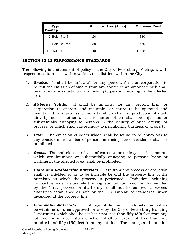| <b>Type</b><br>Frontage | Minimum Area (Acres) | <b>Minimum Road</b> |
|-------------------------|----------------------|---------------------|
| 9-Hole, Par 3           | 20                   | 330                 |
| 9-Hole Course           | 80                   | 660                 |
| 18-Hole Course          | 140                  | 1,320               |

## **SECTION 12.12 PERFORMANCE STANDARDS**

The following is a statement of policy of the City of Petersburg, Michigan, with respect to certain uses within various use districts within the City:

- 1. *Smoke.* It shall be unlawful for any person, firm, or corporation to permit the emission of smoke from any source in an amount which shall be injurious or substantially annoying to persons residing in the affected area.
- 2. *Airborne Solids.* It shall be unlawful for any person, firm, or corporation to operate and maintain, or cause to be operated and maintained, any process or activity which shall be productive of dust, dirt, fly ash or other airborne matter which shall be injurious or substantially annoying to persons in the vicinity of such activity or process, or which shall cause injury to neighboring business or property.
- 3. *Odor.* The emission of odors which shall be found to be obnoxious to any considerable number of persons at their place of residence shall be prohibited.
- 4. *Gases.* The emission or release of corrosive or toxic gases, in amounts which are injurious or substantially annoying to persons living or working in the affected area, shall be prohibited.
- 5. *Glare and Radioactive Materials.* Glare from any process or operation shall be shielded so as to be invisible beyond the property line of the premises on which the process in performed. Radiation including radioactive materials and electro-magnetic radiation such as that emitted by the X-ray process or diathermy, shall not be emitted to exceed quantities established as safe by the U.S. Bureau of Standards, when measured at the property line.
- 6. *Flammable Materials.* The storage of flammable materials shall either be within structures approved for use by the City of Petersburg Building Department which shall be set back not less than fifty (50) feet from any lot line, or in open storage which shall be back not less than one hundred and fifty (150) feet from any lot line. The storage and handling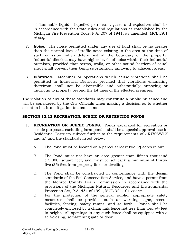of flammable liquids, liquefied petroleum, gases and explosives shall be in accordance with the State rules and regulations as established by the Michigan Fire Prevention Code, P.A. 207 of 1941, as amended, MCL 29.1 *et seq.*

- 7. *Noise.* The noise permitted under any use of land shall be no greater than the normal level of traffic noise existing in the area at the time of such emission, when determined at the boundary of the property. Industrial districts may have higher levels of noise within their industrial premises, provided that berms, walls, or other sound barriers of equal effect shall prevent their being substantially annoying to adjacent areas.
- 8. *Vibration.* Machines or operations which cause vibrations shall be permitted in Industrial Districts, provided that vibrations emanating therefrom shall not be discernible and substantially annoying or injurious to property beyond the lot lines of the effected premises.

The violation of any of these standards may constitute a public nuisance and will be considered by the City Officials when making a decision as to whether or not to institute litigation to abate same.

## **SECTION 12.13 RECREATION, SCENIC OR RETENTION PONDS**

- 1. **RECREATION OR SCENIC PONDS**. Ponds excavated for recreation or scenic purposes, excluding farm ponds, shall be a special approval use in Residential Districts subject further to the requirements of *ARTICLES X* and *XI*, and the standards listed below:
	- A. The Pond must be located on a parcel at least two (2) acres in size.
	- B. The Pond must not have an area greater than fifteen thousand (15,000) square feet, and must be set back a minimum of thirtyfive (35) feet from property lines or dwelling.
	- C. The Pond shall be constructed in conformance with the design standards of the Soil Conservation Service, and have a permit from the Monroe County Drain Commission in accordance with the provisions of the Michigan Natural Resources and Environmental Protection Act, P.A. 451 of 1994, MCL 324.101 *et seq.*
	- D. For the protection of the general public, appropriate safety measures shall be provided such as warning signs, rescue facilities, fencing, safety ramps, and so forth. Ponds shall be completely enclosed by a chain link fence not less than four (4) feet in height. All openings in any such fence shall be equipped with a self-closing, self-latching gate or door.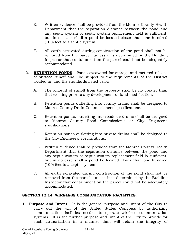- E. Written evidence shall be provided from the Monroe County Health Department that the separation distance between the pond and any septic system or septic system replacement field is sufficient, but in no case shall a pond be located closer than one hundred (100) feet to a septic system.
- F. All earth excavated during construction of the pond shall not be removed from the parcel, unless it is determined by the Building Inspector that containment on the parcel could not be adequately accommodated.
- 2. **RETENTION PONDS**. Ponds excavated for storage and metered release of surface runoff shall be subject to the requirements of the District located in, and the standards listed below:
	- A. The amount of runoff from the property shall be no greater than that existing prior to any development or land modification.
	- B. Retention ponds outletting into county drains shall be designed to Monroe County Drain Commissioner's specifications.
	- C. Retention ponds, outletting into roadside drains shall be designed to Monroe County Road Commission's or City Engineer's specifications.
	- D. Retention ponds outletting into private drains shall be designed to the City Engineer's specifications.
	- E.5. Written evidence shall be provided from the Monroe County Health Department that the separation distance between the pond and any septic system or septic system replacement field is sufficient, but in no case shall a pond be located closer than one hundred (100) feet to a septic system.
	- F. All earth excavated during construction of the pond shall not be removed from the parcel, unless it is determined by the Building Inspector that containment on the parcel could not be adequately accommodated.

### **SECTION 12.14 WIRELESS COMMUNICATION FACILITIES:**

1. **Purpose and Intent.** It is the general purpose and intent of the City to carry out the will of the United States Congress by authorizing communication facilities needed to operate wireless communication systems. It is the further purpose and intent of the City to provide for such authorization in a manner than will retain the integrity of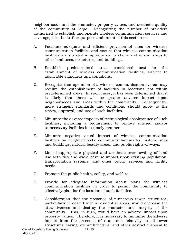neighborhoods and the character, property values, and aesthetic quality of the community at large. Recognizing the number of providers authorized to establish and operate wireless communication services and coverage, it is the further purpose and intent of this section to:

- A. Facilitate adequate and efficient provision of sites for wireless communication facilities and ensure that wireless communication facilities are situated in appropriate locations and relationships to other land uses, structures, and buildings.
- B. Establish predetermined areas considered best for the establishment of wireless communication facilities, subject to applicable standards and conditions.
- C. Recognize that operation of a wireless communication system may require the establishment of facilities in locations not within predetermined areas. In such cases, it has been determined that it is likely that there will be greater adverse impact upon neighborhoods and areas within the community. Consequently, more stringent standards and conditions should apply to the review, approval, and use of such facilities.
- D. Minimize the adverse impacts of technological obsolescence of such facilities, including a requirement to remove unused and/or unnecessary facilities in a timely manner.
- E. Minimize negative visual impact of wireless communication facilities on neighborhoods, community landmarks, historic sites and buildings, natural beauty areas, and public rights-of-ways.
- F. Limit inappropriate physical and aesthetic overcrowding of land use activities and avoid adverse impact upon existing population, transportation systems, and other public services and facility needs.
- G. Promote the public health, safety, and welfare.
- H. Provide for adequate information about plans for wireless communication facilities in order to permit the community to effectively plan for the location of such facilities.
- I. Consideration that the presence of numerous tower structures, particularly if located within residential areas, would decrease the attractiveness and destroy the character and integrity of the community. This, in turn, would have an adverse impact upon property values. Therefore, it is necessary to minimize the adverse impact from the presence of numerous relatively to all tower structures having low architectural and other aesthetic appeal to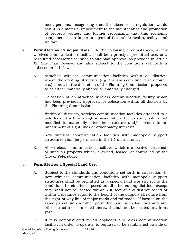most persons, recognizing that the absence of regulation would result in a material impediment to the maintenance and promotion of property values, and further recognizing that this economic component is an important part of the public health, safety, and welfare.

- 2. **Permitted as Principal Uses.** IN the following circumstances, a new wireless communication facility shall be a principal permitted use, or a permitted accessory use, such to site plan approval as provided in Article XI, Site Plan Review, and also subject to the conditions set forth is subsection 4. below:
	- A. Attached wireless communication facilities within all districts where the existing structure (e.g. transmission line, water tower, etc.) is not, in the discretion of the Planning Commission, proposed to be either materially altered or materially changed.
	- B. Colocation of an attached wireless communication facility which has been previously approved for colocation within all districts by the Planning Commission.
	- C. Within all districts, wireless communication facilities attached to a pole located within a right-of-way, where the existing pole is not modified to materially alter the structure and/or result in an impairment of sight lines or other safety interests.
	- D. New wireless communication facilities with monopole support structures shall be permitted in the I-1 district only.
	- E. All wireless communication facilities which are located, attached, or sited on property which is owned, leased, or controlled by the City of Petersburg.

# 3. **Permitted as a Special Land Use.**

- A. Subject to the standards and conditions set forth in subsection 4., new wireless communication facilities with monopole support structures shall be permitted as a special land use subject to the conditions hereinafter imposed on all other zoning districts, except they shall not be located within 200 feet of any district zoned or within a distance equal to the height of the support structure from the right-of-way line of major roads and railroads. If located on the same parcel with another permitted use, such facilities and any other structures connected therewith shall not be located in a front yard.
- B. If it is demonstrated by an applicant a wireless communication facility, in order to operate, is required to be established outside of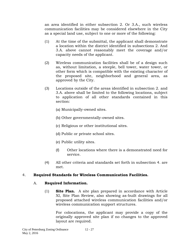an area identified in either subsection 2. Or 3.A., such wireless communication facilities may be considered elsewhere in the City as a special land use, subject to one or more of the following:

- (1) At the time of the submittal, the applicant shall demonstrate a location within the district identified in subsections 2. And 3.A. above cannot reasonably meet the coverage and/or capacity needs of the applicant.
- (2) Wireless communication facilities shall be of a design such as, without limitation, a steeple, bell tower, water tower, or other form which is compatible with the existing character of the proposed site, neighborhood and general area, as approved by the City.
- (3) Locations outside of the areas identified in subsection 2. and 3.A. above shall be limited to the following locations, subject to application of all other standards contained in this section:
	- (a) Municipally-owned sites.
	- (b) Other governmentally-owned sites.
	- (c) Religious or other institutional sites.
	- (d) Public or private school sites.
	- (e) Public utility sites.
	- (f) Other locations where there is a demonstrated need for service.
- (4) All other criteria and standards set forth in subsection 4. are met.

## 4. **Required Standards for Wireless Communication Facilities.**

## A. **Required Information.**

(1) **Site Plan.** A site plan prepared in accordance with Article XI, Site Plan Review, also showing as-built drawings for all proposed attached wireless communication facilities and/or wireless communication support structures.

For colocations, the applicant may provide a copy of the originally approved site plan if no changes to the approved layout are required.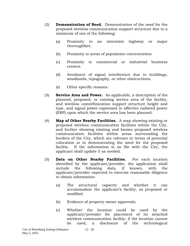- (2) **Demonstration of Need.** Demonstration of the need for the proposed wireless communication support structure due to a minimum of one of the following:
	- (a) Proximity to an interstate highway or major thoroughfare.
	- (b) Proximity to areas of population concentration.
	- (c) Proximity to commercial or industrial business centers.
	- (d) Avoidance of signal interference due to buildings, woodlands, topography, or other obstructions.
	- (e) Other specific reasons.
- (3) **Service Area and Power.** As applicable, a description of the planned, proposed, or existing service area of the facility, and wireless comm9inication support structure height and type, and signal power expressed in affective radiated power (ERP) upon which the service area has been planned.
- (4) **Map of Other Nearby Facilities.** A map showing existing or proposed wireless communication facilities within the City, and further showing existing and known proposed wireless communication facilities within areas surrounding the borders of the City, which are relevant in terms of potential colocation or in demonstrating the need for the proposed facility. If the information is on file with the City, the applicant shall update it as needed.
- (5) **Data on Other Nearby Facilities.** For each location identified by the applicant/provider, the application shall include the following data, if known, with the applicant/provider expected to exercise reasonable diligence to obtain information:
	- (a) The structural capacity and whether it can accommodate the applicant's facility, as proposed or modified.
	- (b) Evidence of property owner approvals.
	- (c) Whether the location could be used by the applicant/provider for placement of its attached wireless communication facility; if the location cannot be used, a disclosure of the technological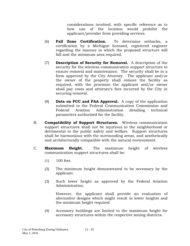considerations involved, with specific reference as to how use of the location would prohibit the applicant/provider from providing services.

- (6) **Fall Zone Certification.** To determine setbacks, a certification by a Michigan licensed, registered engineer regarding the manner in which the proposed structure will fall and the minimum area required.
- (7) **Description of Security for Removal.** A description of the security for the wireless communication support structure to ensure removal and maintenance. The security shall be in a form approved by the City Attorney. The applicant and/or the owner of the property shall remove the facility as required, with the provision the applicant and/or owner shall pay costs and attorney's fees incurred by the City in securing removal.
- (8) **Data on FCC and FAA Approval.** A copy of the application submitted to the Federal Communication Commission and Federal Aviation Administration detailing technical parameters authorized for the facility.
- B. **Compatibility of Support Structures.** Wireless communication support structures shall not be injurious to the neighborhood or detrimental to the public safety and welfare. Support structures shall be harmonious with the surrounding areas, and aesthetically and architecturally compatible with the natural environment.
- C. **Maximum Height.** The maximum height of wireless communication support structures shall be:
	- (1) 100 feet.
	- (2) The minimum height demonstrated to be necessary by the applicant.
	- (3) Such lower height as approved by the Federal Aviation Administration.

However, the applicant shall provide an evaluation of alternative designs which might result in lower heights and the minimum height required.

(4) Accessory buildings are limited to the maximum height for accessory structures within the respective zoning districts.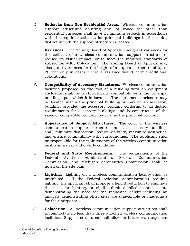- D. **Setbacks from Non-Residential Areas.** Wireless communication support structures abutting any lot zoned for other than residential purposes shall have a minimum setback in accordance with the required setbacks for principal buildings in the zoning district in with the support structure is located.
- E. **Variances.** The Zoning Board of Appeals may grant variances for the setback of a wireless communication support structure, to reduce its visual impact, or to meet the required standards of subsection 4.K., Colocation. The Zoning Board of Appeals may also grant variances for the height of a support structure of up to 20 feet only in cases where a variance would permit additional colocations.
- F. **Compatibility of Accessory Structures.** Wireless communication facilities proposed on the roof of a building with an equipment enclosure shall be architecturally compatible with the principal building upon which it is located. The equipment enclosure may be located within the principal building or may be an accessory building, provided the accessory building conforms to all district requirements for accessory buildings and is constructed of the same or compatible building material as the principal building.
- G. **Appearance of Support Structures.** The color of the wireless communication support structures and all accessory buildings shall minimize distraction, reduce visibility, maximize aesthetics, and ensure compatibility with surroundings. The applicant shall be responsible for the maintenance of the wireless communication facility in a neat and orderly condition.
- H. **Federal and State Requirements.** The requirements of the Federal Aviation Administration, Federal Communication Commission, and Michigan Aeronautics Commission shall be noted on the site plan.
- I. **Lighting.** Lighting on a wireless communication facility shall be prohibited. If the Federal Aviation Administration requires lighting, the applicant shall propose a height reduction to eliminate the need for lighting, or shall submit detailed technical data demonstrating the need for the requested height including an analysis demonstrating other sites are unavailable or inadequate for their purposes.
- J. **Colocation.** All wireless communication support structures shall accommodate no less than three attached wireless communication facilities. Support structures shall allow for future rearrangement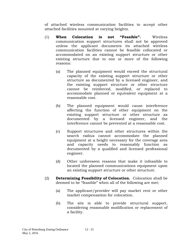of attached wireless communication facilities to accept other attached facilities mounted at varying heights.

- (1) **When Colocation is not "Feasible".** Wireless communication support structures shall not be approved unless the applicant documents its attached wireless communication facilities cannot be feasible collocated or accommodated on an existing support structure or other existing structure due to one or more of the following reasons:
	- (a) The planned equipment would exceed the structural capacity of the existing support structure or other structure as documented by a licensed engineer, and the existing support structure or other structure cannot be reinforced, modified, or replaced to accommodate planned or equivalent equipment at a reasonable cost.
	- (b) The planned equipment would cause interference affecting the function of other equipment on the existing support structure or other structure as documented by a licensed engineer, and the interference cannot be prevented at a reasonable cost.
	- (c) Support structures and other structures within the search radius cannot accommodate the planned equipment at a height necessary for the coverage area and capacity needs to reasonably function as documented by a qualified and licensed professional engineer.
	- (d) Other unforeseen reasons that make it infeasible to located the planned communications equipment upon an existing support structure or other structure.
- (2) **Determining Feasibility of Colocation.** Colocation shall be deemed to be "feasible" when all of the following are met;
	- (a) The applicant/provider will pay market rent or other market compensation for colocation.
	- (b) The site is able to provide structural support, considering reasonable modification or replacement of a facility.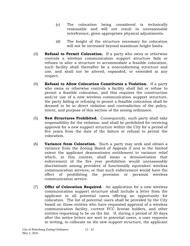- (c) The colocation being considered is technically reasonable and will not result in unreasonable interference, given appropriate physical adjustments.
- (d) The height of the structure necessary for colocation will not be increased beyond maximum height limits.
- (3) **Refusal to Permit Colocation.** If a party who owns or otherwise controls a wireless communication support structure fails or refuses to alter a structure to accommodate a feasible colocation, such facility shall thereafter be a nonconforming structure and use, and shall not be altered, expanded, or extended in any respect.
- (4) **Refusal to Allow Colocation Constitutes a Violation.** If a party who owns or otherwise controls a facility shall fail or refuse to permit a feasible colocation, and this requires the construction and/or use of a new wireless communication support structure, the party failing or refusing to permit a feasible colocation shall be deemed to be in direct violation and contradiction of the policy, intent, and purpose of this section of the zoning ordinance.
- (5) **New Structures Prohibited.** Consequently, such party shall take responsibility for the violation, and shall be prohibited for receiving approval for a new support structure within the City for a period of five years from the date of the failure or refusal to permit the colocation.
- (6) **Variance from Colocation.** Such a party may seek and obtain a variance from the Zoning Board of Appeals if and to the limited extent the applicant demonstrates entitlement to variance relief which, in this context, shall mean a demonstration that enforcement of the five year prohibition would unreasonably discriminate among providers of functionally equivalent wireless communication services, or that such enforcement would have the effect of prohibiting the provision or personal wireless communication service.
- (7) **Offer of Colocation Required.** An application for a new wireless communication support structure shall include a letter from the applicant to all potential users offering an opportunity for colocation. The list of potential users shall be provided by the City based on those entities who have requested approval of a wireless communication facility, current FCC license holders, and other entities requesting to be on the list. If, during a period of 30 days after the notice letters are sent to potential users, a user requests in writing, to collocate on the new support structure, the applicant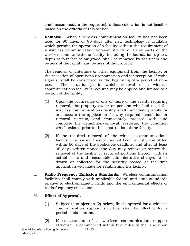shall accommodate the request(s), unless colocation is not feasible based on the criteria of this section.

K. **Removal.** When a wireless communication facility has not been used for 90 days, or 90 days after new technology is available which permits the operation of a facility without the requirement of a wireless communication support structure, all or parts of the wireless communications facility, including the foundation up to a depth of four feet below grade, shall be removed by the users and owners of the facility and owners of the property.

The removal of antennae or other equipment from the facility, or the cessation of operations (transmission and/or reception of radio signals) shall be considered as the beginning of a period of nonuse. The situations(s) in which removal of a wireless communications facility is required may be applied and limited to a portion of the facility.

- (1) Upon the occurrence of one or more of the events requiring removal, the property owner or persons who had used the wireless communications facility shall immediately apply for and secure the application for any required demolition or removal permits, and immediately proceed with and complete the demolition/removal, restoring the condition which existed prior to the construction of the facility.
- (2) If the required removal of the wireless communications facility or a portion thereof has not been lawfully completed within 60 days of the applicable deadline, and after at least 30 days written notice, the City may remove or secure the removal of the facility or required portions thereof, with its actual costs and reasonable administrative charges to be drawn or collected for the security posted at the time application was made for establishing the facility.
- L. **Radio Frequency Emission Standards.** Wireless communication facilities shall comply with applicable federal and state standards relative to electromagnetic fields and the environmental effects of radio frequency emissions.

# M. **Effect of Approval.**

- (1) Subject to subjection (2) below, final approval for a wireless communication support structure shall be effective for a period of six months.
- (2) If construction of a wireless communication support structure is commenced within two miles of the land upon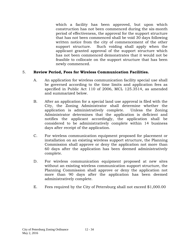which a facility has been approved, but upon which construction has not been commenced during the six-month period of effectiveness, the approval for the support structure that has not been commenced shall be void 30 days following written notice from the city of commencement of the other support structure. Such voiding shall apply when the applicant granted approval of the support structure which has not been commenced demonstrates that it would not be feasible to collocate on the support structure that has been newly commenced.

### 5. **Review Period, Fees for Wireless Communication Facilities.**

- A. An application for wireless communication facility special use shall be governed according to the time limits and application fees as specified in Public Act 110 of 2006, MCL 125.3514, as amended and summarized below.
- B. After an application for a special land use approval is filed with the City, the Zoning Administrator shall determine whether the application is administratively complete. Unless the Zoning Administrator determines that the application is deficient and notifies the applicant accordingly, the application shall be considered to be administratively complete within 14 business days after receipt of the application.
- C. For wireless communication equipment proposed for placement or installation on an existing wireless support structure, the Planning Commission shall approve or deny the application not more than 60 days after the application has been deemed administratively complete.
- D. For wireless communication equipment proposed at new sites without an existing wireless communication support structure, the Planning Commission shall approve or deny the application not more than 90 days after the application has been deemed administratively complete.
- E. Fees required by the City of Petersburg shall not exceed \$1,000.00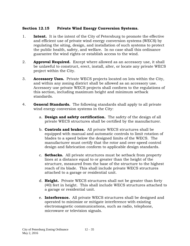## **Section 12.15 Private Wind Energy Conversion Systems.**

- 1. **Intent.** It is the intent of the City of Petersburg to promote the effective and efficient use of private wind energy conversion systems (WECS) by regulating the siting, design, and installation of such systems to protect the public health, safety, and welfare. In no case shall this ordinance guarantee the wind rights or establish access to the wind.
- 2. **Approval Required.** Except where allowed as an accessory use, it shall be unlawful to construct, erect, install, alter, or locate any private WECS project within the City.
- 3. **Accessory Uses.** Private WECS projects located on lots within the City, and within any zoning district shall be allowed as an accessory use. Accessory use private WECS projects shall conform to the regulations of this section, including maximum height and minimum setback standards.
- 4. **General Standards.** The following standards shall apply to all private wind energy conversion systems in the City:
	- a. **Design and safety certification.** The safety of the design of all private WECS structures shall be certified by the manufacturer.
	- b. **Controls and brakes.** All private WECS structures shall be equipped with manual and automatic controls to limit rotation of blades to a speed below the designed limits of the WECS. The manufacturer must certify that the rotor and over-speed control design and fabrication conform to applicable design standards.
	- c. **Setbacks.** All private structures must be setback from property lines at a distance equal to or greater than the height of the structure, measured from the base of the structure to the highest reach of its blade. This shall include private WECS structures attached to a garage or residential unit.
	- d. **Height.** Private WECS structures shall not be greater than forty (40) feet in height. This shall include WECS structures attached to a garage or residential unit.
	- e. **Interference.** All private WECS structures shall be designed and operated to minimize or mitigate interference with existing electromagnetic communications, such as radio, telephone, microwave or television signals.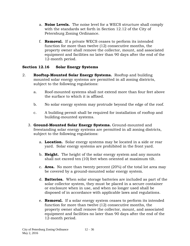- a. **Noise Levels.** The noise level for a WECS structure shall comply with the standards set forth in Section 12.12 of the City of Petersburg Zoning Ordinance.
- f. **Removal.** If a private WECS ceases to perform its intended function for more than twelve (12) consecutive months, the property owner shall remove the collector, mount, and associated equipment and facilities no later than 90 days after the end of the 12-month period.

# **Section 12.16 Solar Energy Systems**

- 2. **Rooftop-Mounted Solar Energy Systems.** Rooftop and building mounted solar energy systems are permitted in all zoning districts, subject to the following regulations:
	- a. Roof-mounted systems shall not extend more than four feet above the surface to which it is affixed.
	- b. No solar energy system may protrude beyond the edge of the roof.
	- c. A building permit shall be required for installation of rooftop and building-mounted systems.
	- 3. **Ground-Mounted Solar Energy Systems.** Ground-mounted and freestanding solar energy systems are permitted in all zoning districts, subject to the following regulations:
		- a. **Location.** Solar energy systems may be located in a side or rear yard. Solar energy systems are prohibited in the front yard.
		- b. **Height.** The height of the solar energy system and any mounts shall not exceed ten (10) feet when oriented at maximum tilt.
		- c. **Area.** No more than twenty percent (20%) of the total lot area may be covered by a ground-mounted solar energy system.
		- d. **Batteries.** When solar storage batteries are included as part of the solar collector system, they must be placed in a secure container or enclosure when in use, and when no longer used shall be disposed of in accordance with applicable laws and regulations.
		- e. **Removal.** If a solar energy system ceases to perform its intended function for more than twelve (12) consecutive months, the property owner shall remove the collector, mount, and associated equipment and facilities no later than 90 days after the end of the 12-month period.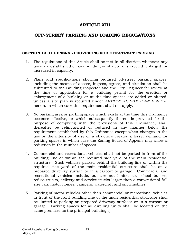# **ARTICLE XIII**

# **OFF-STREET PARKING AND LOADING REGULATIONS**

### **SECTION 13.01 GENERAL PROVISIONS FOR OFF-STREET PARKING**

- 1. The regulations of this Article shall be met in all districts whenever any uses are established or any building or structure is erected, enlarged, or increased in capacity.
- 2. Plans and specifications showing required off-street parking spaces, including the means of access, ingress, egress, and circulation shall be submitted to the Building Inspector and the City Engineer for review at the time of application for a building permit for the erection or enlargement of a building or at the time spaces are added or altered, unless a site plan is required under *ARTICLE XI, SITE PLAN REVIEW,* herein, in which case this requirement shall not apply.
- 3. No parking area or parking space which exists at the time this Ordinance becomes effective, or which subsequently thereto is provided for the purpose of complying with the provisions of this Ordinance, shall thereafter be relinquished or reduced in any manner below the requirement established by this Ordinance except when changes in the use or the intensity of use or a structure creates a lesser demand for parking spaces in which case the Zoning Board of Appeals may allow a reduction in the number of spaces.
- 4. Commercial and recreational vehicles shall not be parked in front of the building line or within the required side yard of the main residential structure. Such vehicles parked behind the building line or within the required side yard of the main residential structure shall be on a prepared driveway surface or in a carport or garage. Commercial and recreational vehicles include, but are not limited to, school busses, refuse trucks, delivery and service trucks larger than a conventional full size van, motor homes, campers, watercraft and snowmobiles.
- 5. Parking of motor vehicles other than commercial or recreational vehicles in front of the front building line of the main residential structure shall be limited to parking on prepared driveway surfaces or in a carport or garage. Parking spaces for all dwelling units shall be located on the same premises as the principal building(s).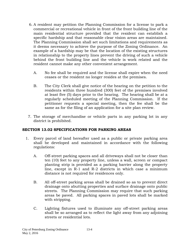- 6. A resident may petition the Planning Commission for a license to park a commercial or recreational vehicle in front of the front building line of the main residential structure provided that the resident can establish a specific hardship and that reasonable clear vision areas are maintained. The Planning Commission shall set such limitations and requirements as it deems necessary to achieve the purpose of the Zoning Ordinance. An example of a hardship may be that the location of the existing structures in relationship to the property lines prevent the driving of such a vehicle behind the front building line and the vehicle is work related and the resident cannot make any other convenient arrangement.
	- A. No fee shall be required and the license shall expire when the need ceases or the resident no longer resides at the premises.
	- B. The City Clerk shall give notice of the hearing on the petition to the residents within three hundred (300) feet of the premises involved at least five (5) days prior to the hearing. The hearing shall be at a regularly scheduled meeting of the Planning Commission. If the petitioner requests a special meeting, then the fee shall be the same as for the filing of an application for a site plan review.
- 7. The storage of merchandise or vehicle parts in any parking lot in any district is prohibited.

## **SECTION 13.02 SPECIFICATIONS FOR PARKING AREAS**

- 1. Every parcel of land hereafter used as a public or private parking area shall be developed and maintained in accordance with the following regulations:
	- A. Off-street parking spaces and all driveways shall not be closer than ten (10) feet to any property line, unless a wall, screen or compact planting strip is provided as a parking barrier along the property line, except in R-1 and R-2 districts in which case a minimum distance is not required for residences only.
	- B. All off-street parking areas shall be drained so as to prevent direct drainage onto abutting properties and surface drainage onto public streets. The Planning Commission may require that such parking areas be paved. All parking spaces in paved lots shall be marked with stripping.
	- C. Lighting fixtures used to illuminate any off-street parking areas shall be so arranged as to reflect the light away from any adjoining streets or residential lots.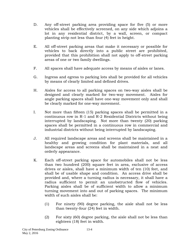- D. Any off-street parking area providing space for five (5) or more vehicles shall be effectively screened, on any side which adjoins a lot in any residential district, by a wall, screen, or compact planting strip not less than four (4) feet in height.
- E. All off-street parking areas that make it necessary or possible for vehicles to back directly into a public street are prohibited, provided that this prohibition shall not apply to off-street parking areas of one or two family dwellings.
- F. All spaces shall have adequate access by means of aisles or lanes.
- G. Ingress and egress to parking lots shall be provided for all vehicles by means of clearly limited and defined drives.
- H. Aisles for access to all parking spaces on two-way aisles shall be designed and clearly marked for two-way movement. Aisles for angle parking spaces shall have one-way movement only and shall be clearly marked for one-way movement.
- I. Not more than fifteen (15) parking spaces shall be permitted in a continuous row in R-1 and R-2 Residential Districts without being interrupted by landscaping. Not more than twenty (20) parking spaces shall be permitted in a continuous row in commercial and industrial districts without being interrupted by landscaping.
- J. All required landscape areas and screens shall be maintained in a healthy and growing condition for plant materials, and all landscape areas and screens shall be maintained in a neat and orderly appearance.
- K. Each off-street parking space for automobiles shall not be less than two hundred (200) square feet in area, exclusive of access drives or aisles, shall have a minimum width of ten (10) feet, and shall be of usable shape and condition. An access drive shall be provided and, where a turning radius is necessary, it shall have a radius sufficient to permit an unobstructed flow of vehicles. Parking aisles shall be of sufficient width to allow a minimum turning movement into and out of parking spaces. The minimum width of such aisles shall be:
	- (1) For ninety (90) degree parking, the aisle shall not be less than twenty-four (24) feet in width.
	- (2) For sixty (60) degree parking, the aisle shall not be less than eighteen (18) feet in width.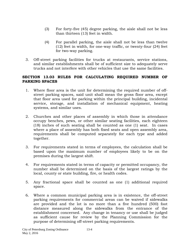- (3) For forty-five (45) degree parking, the aisle shall not be less than thirteen (13) feet in width.
- (4) For parallel parking, the aisle shall not be less than twelve (12) feet in width, for one-way traffic, or twenty-four (24) feet for two-way parking.
- 3. Off-street parking facilities for trucks at restaurants, service stations, and similar establishments shall be of sufficient size to adequately serve trucks and not interfere with other vehicles that use the same facilities.

## **SECTION 13.03 RULES FOR CALCULATING REQUIRED NUMBER OF PARKING SPACES**

- 1. Where floor area is the unit for determining the required number of offstreet parking spaces, said unit shall mean the gross floor area, except that floor area used for parking within the principal building, incidental service, storage, and installation of mechanical equipment, heating systems, and similar uses.
- 2. Churches and other places of assembly in which those in attendance occupy benches, pews, or other similar seating facilities, each eighteen (18) inches of such seating shall be counted as one (1) seat. In cases where a place of assembly has both fixed seats and open assembly area, requirements shall be computed separately for each type and added together.
- 3. For requirements stated in terms of employees, the calculation shall be based upon the maximum number of employees likely to be on the premises during the largest shift.
- 4. For requirements stated in terms of capacity or permitted occupancy, the number shall be determined on the basis of the largest ratings by the local, county or state building, fire, or health codes.
- 5. Any fractional space shall be counted as one (1) additional required space.
- 6. Where a common municipal parking area is in existence, the off-street parking requirements for commercial areas can be waived if sidewalks are provided and the lot is no more than a five hundred (500) foot distance measured along the sidewalks from the entrance of the establishment concerned. Any change in tenancy or use shall be judged as sufficient cause for review by the Planning Commission for the purpose of determining off-street parking requirements.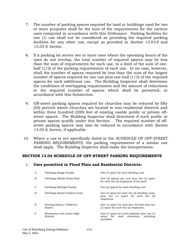- 7. The number of parking spaces required for land or buildings used for two or more purposes shall be the sum of the requirements for the various uses computed in accordance with this Ordinance. Parking facilities for one (1) use shall not be considered as providing the required parking facilities for any other use, except as provided in *Section 13.03.8* and *13.03.9*, herein.
- 8. If a parking lot serves two or more uses where the operating hours of the uses do not overlap, the total number of required spaces may be less than the sum of requirements for each use, to a limit of the sum of onehalf  $(1/2)$  of the parking requirements of each use. In no case, however, shall the number of spaces required be less than the sum of the largest number of spaces required for one use plus one-half (1/2) of the required spaces for each additional use. The Building Inspector shall determine the conditions of overlapping requirements and the amount of reductions in the required number of spaces which shall be permitted, in accordance with this Subsection.
- 9. Off-street parking spaces required for churches may be reduced by fifty (50) percent where churches are located in non-residential districts and within three hundred (300) feet of existing usable public or private offstreet spaces. The Building Inspector shall determine if such public or private spaces qualify under this Section. The required number of offstreet parking spaces may also be reduced in accordance with *Section 13.03.8*, herein, if applicable.
- 10. Where a use is not specifically listed in the *SCHEDULE OF OFF-STREET PARKING REQUIREMENTS,* the parking requirements of a similar use shall apply. The Building Inspector shall make the interpretation.

#### **SECTION 13.04 SCHEDULE OF OFF-STREET PARKING REQUIREMENTS**

### 1. **Uses permitted in Flood Plain and Residential Districts:**

| Dwellings-Single-Family               | One (1) space for each dwelling unit.                                                                   |
|---------------------------------------|---------------------------------------------------------------------------------------------------------|
| Dwellings-Mobile Home Park            | Two (2) spaces per unit plus one (1) space<br>for each two (2) employees of the park.                   |
| Dwellings-Multiple-Family             | Two (2) spaces for each dwelling unit.                                                                  |
| Dwellings-Senior Citizens Units       | One $(1)$ space for each two $(2)$ dwelling units,<br>plus one (1) space for each two (2)<br>employees. |
| Nursing Homes, Children's'<br>Homes   | One (1) space for each four (4) beds plus one<br>$(1)$ space for each two $(2)$ employees.              |
| Elementary and Junior High<br>Schools | One (1) space for each employee plus one (1)<br>for each classroom, including<br>space<br>portables.    |
|                                       |                                                                                                         |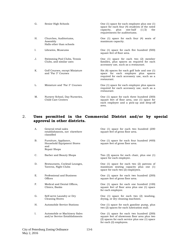| G. | Senior High Schools                                            | One (1) space for each employee plus one (1)<br>space for each four (4) students of the rated<br>plus<br>one-half<br>capacity,<br>(1/2)<br>the<br>requirements for auditoriums. |
|----|----------------------------------------------------------------|---------------------------------------------------------------------------------------------------------------------------------------------------------------------------------|
| Η. | Churches, Auditoriums,<br>Assembly<br>Halls other than schools | One $(1)$ space for each four $(4)$ seats of<br>maximum capacity.                                                                                                               |
| Ι. | Libraries, Museums                                             | One (1) space for each five hundred (500)<br>square feet of floor area.                                                                                                         |
| J. | Swimming Pool Clubs, Tennis<br>Clubs, and similar uses         | One $(1)$ space for each two $(2)$ member<br>families, plus spaces as required for each<br>accessory use, such as a restaurant.                                                 |
| Κ. | Golf Courses, except Miniature<br>and "Par 3" Courses          | $Six (6) spaces for each golf hole and one (1)$<br>space for each employee plus spaces<br>required for each accessory use, such as a<br>restaurant.                             |
| L. | Miniature and "Par 3" Courses                                  | One (1) space for each employee plus spaces<br>required for each accessory use, such as a<br>restaurant.                                                                        |
| Μ. | Nursery School, Day Nurseries,<br>Child Care Centers           | One (1) space for each three hundred (300)<br>square feet of floor area, one (1) space for<br>each employee and a pick-up and drop-off<br>area.                                 |

#### 2. **Uses permitted in the Commercial District and/or by special approval in other districts.**

- A. General retail sales establishments, not elsewhere classified
- B. Furniture, Appliance, Household Equipment Stores and Repair Shops
- 
- D. Restaurants, Cocktail Lounges, Taverns, Night Clubs
- E. Professional and Business **Offices**
- F. Medical and Dental Offices, Clinics, Banks
- G. Self-serve Laundry or Dry Cleaning Stores
- 
- I. Automobile or Machinery Sales and/or Service Establishments

One (1) space for each two hundred (200 square feet of gross floor area.

One (1) space for each four hundred (400) square feet of gross floor area.

C. Barber and Beauty Shops Two (2) spaces for each chair, plus one (1) space for each employee.

> One (1) space for each two (2) patrons of maximum seating capacity plus one (1) space for each two (2) employees.

One (1) space for each two hundred (200) square feet of gross floor area.

One (1) space for each one hundred (100) square feet of floor area plus one (1) space for each employee.

One (1) space for each two (2) washing, drying, or dry cleaning machines.

H. Automobile Service Stations One (1) space for each gasoline pump, plus two (2) spaces for each lubrication stall.

> One (1) space for each two hundred (200) square feet of showroom floor area plus two (2) spaces for each service plus one (1) space for each (2) employees.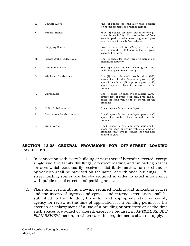| J. | <b>Bowling Alleys</b>             | Five (5) spaces for each alley plus parking<br>for accessory uses as provided herein.                                                                                                                    |
|----|-----------------------------------|----------------------------------------------------------------------------------------------------------------------------------------------------------------------------------------------------------|
| Κ. | <b>Funeral Homes</b>              | Four $(4)$ spaces for each parlor or one $(1)$<br>space for each fifty (50) square feet of floor<br>area in parlors, whichever is greater, plus<br>one (1) space for each fleet vehicle.                 |
| L. | <b>Shopping Centers</b>           | Five and one-half $(5 \t1/2)$ spaces for each<br>one thousand (1,000) square feet of gross<br>leasable floor area.                                                                                       |
| Μ. | Private Clubs, Lodge Halls        | One $(1)$ space for each three $(3)$ persons of<br>maximum capacity.                                                                                                                                     |
| N. | Automobile Wash                   | Five (5) spaces for each washing stall (not<br>including space in each stall).                                                                                                                           |
| О. | Wholesale Establishments          | One (1) space for each two hundred (200)<br>square feet of sales floor area plus one (1)<br>space for each two $(2)$ employees plus one $(1)$<br>space for each vehicle to be stored on the<br>premises. |
| Ρ. | Warehouses                        | One $(1)$ space for each two thousand $(2,000)$<br>square feet of gross floor area plus one (1)<br>space for each vehicle to be stored on the<br>premises.                                               |
| Q. | <b>Utility Sub-Stations</b>       | One (1) space for each employee                                                                                                                                                                          |
| R. | <b>Contractors Establishments</b> | One (1) space for each employee, plus one (1)<br>space for each vehicle stored on the<br>premises.                                                                                                       |
| S. | Junk Yards                        | One (1) space for each employee, plus one (1)<br>space for each operating vehicle stored on<br>premises, plus five (5) spaces for each acre<br>of land in yard.                                          |

### **SECTION 13.05 GENERAL PROVISIONS FOR OFF-STREET LOADING FACILITIES**

- 1. In connection with every building or part thereof hereafter erected, except single and two family dwellings, off-street loading and unloading spaces for uses which customarily receive or distribute material or merchandise by vehicles shall be provided on the same lot with such buildings. Offstreet loading spaces are hereby required in order to avoid interference with public use of streets and parking areas.
- 2. Plans and specifications showing required loading and unloading spaces and the means of ingress and egress, and internal circulation shall be submitted to the Building Inspector and appropriate state or county agency for review at the time of application for a building permit for the erection or enlargement of a use of a building or structure or at the time such spaces are added or altered, except as required in *ARTICLE XI, SITE PLAN REVIEW,* herein, in which case this requirements shall not apply.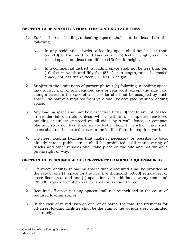# **SECTION 13.06 SPECIFICATIONS FOR LOADING FACILITIES**

- 1. Each off-street loading/unloading space shall not be less than the following:
	- A. In any residential district, a loading space shall not be less than ten (10) feet in width and twenty-five (25) feet in length, and if a roofed space, not less than fifteen (15) feet in height.
	- B. In a commercial district, a loading space shall not be less than ten (10) feet in width and fifty-five (55) feet in length, and, if a roofed space, not less than fifteen (15) feet in height.
- 2. Subject to the limitations of paragraph four (4) following, a loading space may occupy part of any required side or rear yard, except the side yard along a street in the case of a corner lot shall not be occupied by such space. No part of a required front yard shall be occupied by such loading space.
- 3. Any loading space shall not be closer than fifty (50) feet to any lot located in residential districts unless wholly within a completely enclosed building or unless enclosed on all sides by a wall, fence, or compact planting strip not less than six (6) feet in height, in which case such space shall not be located closer to the lot line than the required yard.
- 4. Off-street loading facilities that make it necessary or possible to back directly into a public street shall be prohibited. All maneuvering of trucks and other vehicles shall take place on the site and not within a public right-of-way.

## **SECTION 13.07 SCHEDULE OF OFF-STREET LOADING REQUIREMENTS**

- 1. Off-street loading/unloading spaces where required shall be provided at the rate of one (1) space for the first five thousand (5,000) square feet of gross floor area, and one (1) space for each additional twenty thousand (20,000) square feet of gross floor area, or fraction thereof.
- 2. Required off-street parking spaces shall not be included in the count of required loading spaces.
- 3. In the case of mixed uses on one lot or parcel the total requirements for off-street loading facilities shall be the sum of the various uses computed separately.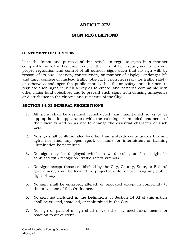# **ARTICLE XIV**

# **SIGN REGULATIONS**

### **STATEMENT OF PURPOSE**

It is the intent and purpose of this Article to regulate signs in a manner compatible with the Building Code of the City of Petersburg and to provide proper regulation and control of all outdoor signs such that no sign will, by reason of its size, location, construction, or manner of display, endanger life and limb, confuse or mislead traffic, obstruct vision necessary for traffic safety, or otherwise endanger the public morals, health, or safety; and further, to regulate such signs in such a way as to create land patterns compatible with other major land objectives and to prevent such signs from causing annoyance or disturbance to the citizens and residents of the City.

### **SECTION 14.01 GENERAL PROHIBITIONS**

- 1. All signs shall be designed, constructed, and maintained so as to be appropriate in appearance with the existing or intended character of their vicinity and so as not to change the essential character of such area.
- 2. No sign shall be illuminated by other than a steady continuously burning light, nor shall any open spark or flame, or intermittent or flashing illumination be permitted.
- 3. No sign may be displayed which in word, color, or form might be confused with recognized traffic safety symbols.
- 4. No signs except those established by the City, County, State, or Federal government, shall be located in, projected onto, or overhang any public right-of-way.
- 5. No sign shall be enlarged, altered, or relocated except in conformity to the provisions of this Ordinance.
- 6. No sign not included in the Definitions of Section 14.02 of this Article shall be erected, installed, or maintained in the City.
- 7. No sign or part of a sign shall move either by mechanical means or reaction to air current.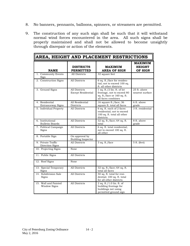- 8. No banners, pennants, balloons, spinners, or streamers are permitted.
- 9. The construction of any such sign shall be such that it will withstand normal wind forces encountered in the area. All such signs shall be properly maintained and shall not be allowed to become unsightly through disrepair or action of the elements.

| AREA, HEIGHT AND PLACEMENT RESTRICTIONS     |                                             |                                                                                                                  |                                            |
|---------------------------------------------|---------------------------------------------|------------------------------------------------------------------------------------------------------------------|--------------------------------------------|
| <b>NAME</b>                                 | <b>DISTRICTS</b><br><b>PERMITTED</b>        | <b>MAXIMUM</b><br><b>AREA OF SIGN</b>                                                                            | <b>MAXIMUM</b><br><b>HEIGHT</b><br>OF SIGN |
| 1. Community Events<br>Sign                 | All Districts                               | 32 square feet                                                                                                   |                                            |
| 2. Construction Signs                       | <b>All Districts</b>                        | 6 sq. ft./face for residen-<br>tial; not to exceed 100 sq.<br>ft. all other districts                            |                                            |
| 3. Ground Signs                             | All Districts<br>Except Residential         | 1 sq. ft./2 lin. ft. of lot<br>frontage, not to exceed 80<br>sq. ft./face or $160$ sq. ft.<br>all faces combines | 25 ft. above<br>nearest surface            |
| 4. Residential<br>Entranceway Signs         | All Residential<br>Districts                | 16 square ft./face; 36<br>square ft. total all faces                                                             | 6 ft. above<br>grade                       |
| 5. Individual Property                      | All Districts                               | 6 sq. ft. each of 2 faces<br>residential; not to exceed<br>100 sq. ft. total all other<br>districts              | 3 ft. residential                          |
| 6. Institutional<br><b>Bulletin Boards</b>  | All Districts                               | 32 sq. ft./face; 64 sq. ft.<br>total                                                                             | 8 ft. above<br>grade                       |
| 7. Political Campaign<br>Signs              | All Districts                               | 6 sq. ft. total residential;<br>not to exceed 100 sq. ft.<br>all other                                           |                                            |
| 8. Portable Sign                            | On approval by<br><b>Building Inspector</b> |                                                                                                                  |                                            |
| 9. Private Traffic<br>Direction Signs       | All Districts                               | 3 sq. ft./face                                                                                                   | 5 ft. (feet)                               |
| 10. Projecting Signs                        | None                                        |                                                                                                                  |                                            |
| 11. Public Signs                            | All Districts                               |                                                                                                                  |                                            |
| 12. Roof Signs                              | None                                        |                                                                                                                  |                                            |
| 13. Special Temporary<br>Signs              | All Districts                               | 32 sq. ft./face; 64 sq. ft.<br>total all faces                                                                   |                                            |
| 14. Subdivision Sale<br>Signs               | All Districts                               | 50 sq. ft. total for resi-<br>dential; 100 sq. ft. total<br>for all other districts                              |                                            |
| 15. Wall and Painted<br><b>Window Signs</b> | All Districts                               | 2 sq. ft./1.0 lin. ft. of<br>building frontage for<br>buildings not using<br>permitted ground sign               |                                            |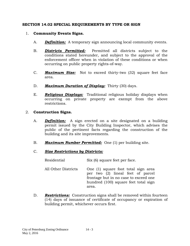## **SECTION 14.02 SPECIAL REQUIREMENTS BY TYPE OR SIGN**

## 1. **Community Events Signs.**

- A. *Definition:* A temporary sign announcing local community events.
- B. *Districts Permitted:* Permitted all districts subject to the conditions stated hereunder, and subject to the approval of the enforcement officer when in violation of these conditions or when occurring on public property rights-of-way.
- C. *Maximum Size:* Not to exceed thirty-two (32) square feet face area.
- D. *Maximum Duration of Display:* Thirty (30) days.
- E. *Religious Displays:* Traditional religious holiday displays when occurring on private property are exempt from the above restrictions.

### 2. **Construction Signs.**

- A. *Definition:* A sign erected on a site designated on a building permit issued by the City Building Inspector, which advises the public of the pertinent facts regarding the construction of the building and its site improvements.
- B. *Maximum Number Permitted:* One (1) per building site.

### C. *Size Restrictions by Districts:*

| Residential         | Six (6) square feet per face.                                                                                                                                      |
|---------------------|--------------------------------------------------------------------------------------------------------------------------------------------------------------------|
| All Other Districts | One (1) square foot total sign area<br>per two (2) lineal feet of parcel<br>frontage but in no case to exceed one<br>hundred (100) square feet total sign<br>area. |

D. *Restrictions:* Construction signs shall be removed within fourteen (14) days of issuance of certificate of occupancy or expiration of building permit, whichever occurs first.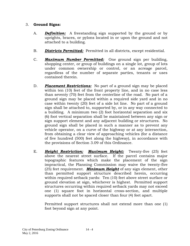# 3. **Ground Signs:**

- A. *Definition:* A freestanding sign supported by the ground or by uprights, braces, or pylons located in or upon the ground and not attached to a building.
- B. *Districts Permitted:* Permitted in all districts, except residential.
- C. *Maximum Number Permitted:* One ground sign per building, shopping center, or group of buildings on a single lot, group of lots under common ownership or control, or an acreage parcel, regardless of the number of separate parties, tenants or uses contained therein.
- D. *Placement Restrictions:* No part of a ground sign may be placed within ten (10) feet of the front property line, and in no case less than seventy (70) feet from the centerline of the road. No part of a ground sign may be placed within a required side yard and in no case within twenty (20) feet of a side lot line. No part of a ground sign shall be attached to, supported by, or in any way connected to a building. A minimum two (2) foot horizontal separation and six (6) foot vertical separation shall be maintained between any sign or sign support element and any adjacent building or structures. No ground sign shall be placed in such a manner as to prevent any vehicle operator, on a curve of the highway or at any intersection, from obtaining a clear view of approaching vehicles (for a distance of five hundred (500) feet along the highway), in accordance with the provisions of Section 3.09 of this Ordinance.
- E. *Height Restriction: Maximum Height:* Twenty-five (25) feet above the nearest street surface. If the parcel contains major topographic features which make the placement of the sign impractical, the Planning Commission may waive the twenty-five (25) feet requirement. *Minimum Height* of any sign element, other than permitted support structure described herein, occurring within required setback yards: Ten (10) feet above street surface or ground elevation at sign, whichever is highest. Permitted support structures occurring within required setback yards may not exceed one (1) square foot in horizontal cross-section, and multiple supports shall not be spaced closer than four (4) feet apart.

Permitted support structures shall not extend more than one (1) foot beyond sign at any point.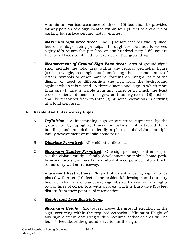A minimum vertical clearance of fifteen (15) feet shall be provided for any portion of a sign located within four (4) feet of any drive or parking lot surface serving motor vehicles.

- F. *Maximum Sign Face Area:* One (1) square foot per two (2) lineal feet of frontage facing principal thoroughfare, but not to exceed eighty (80) square feet per face, or one hundred sixty (160) square feet for all faces combined, for each permitted ground sign.
- G. *Measurement of Ground Sign Face Area:* Area of ground signs shall include the total area within any regular geometric figure (circle, triangle, rectangle, etc.) enclosing the extreme limits of letters, symbols or other material forming an integral part of the display or used to differentiate the sign from the background against which it is placed. A three-dimensional sign in which more than one (1) face is visible from any place, or in which the least cross sectional dimension is greater than eighteen (18) inches, shall be measured from its three (3) principal elevations in arriving at a total sign area.

# 4. **Residential Entranceway Signs.**

- A. *Definition*: A freestanding sign or structure supported by the ground or by uprights, braces or pylons, not attached to a building, and intended to identify a platted subdivision, multiple family development or mobile home park.
- B. *Districts Permitted*: All residential districts
- C. *Maximum Number Permitted*: One sign per major entrance(s) to a subdivision, multiple family development or mobile home park, however, two signs may be permitted if incorporated into a brick, or masonry wall entranceway.
- D. *Placement Restrictions*: No part of an entranceway sign may be placed within ten (10) feet of the residential development boundary line, nor shall any entranceway sign obstruct vision on any rightof-way lines of corner lots with an area which is thirty-five (35) feet distant from their point(s) of intersection.

# E. *Height and Area Restrictions*:

*Maximum Height:* Six (6) feet above the ground elevation at the sign, occurring within the required setbacks. Minimum Height of any sign element occurring within required setback yards will be four (4) feet above the ground elevation at the sign.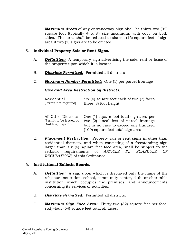*Maximum Areas* of any entranceway sign shall be thirty-two (32) square foot (typically 4' x 8') size maximum, with copy on both sides. This area shall be reduced to sixteen (16) square feet of sign area if two (2) signs are to be erected.

## 5. **Individual Property Sale or Rent Signs.**

- A. *Definition:* A temporary sign advertising the sale, rent or lease of the property upon which it is located.
- B. *Districts Permitted:* Permitted all districts
- C. *Maximum Number Permitted:* One (1) per parcel frontage

#### D. *Size and Area Restriction by Districts:*

| Residential           | Six (6) square feet each of two (2) faces |
|-----------------------|-------------------------------------------|
| (Permit not required) | three (3) foot height.                    |

|                         | All Other Districts One (1) square foot total sign area per |
|-------------------------|-------------------------------------------------------------|
| (Permit to be issued by | two (2) lineal feet of parcel frontage                      |
| Building Inspector)     | but in no case to exceed one hundred                        |
|                         | (100) square feet total sign area.                          |

E. *Placement Restriction:* Property sale or rent signs in other than residential districts, and when consisting of a freestanding sign larger than six (6) square feet face area, shall be subject to the setback requirements of *ARTICLE IX, SCHEDULE OF REGULATIONS,* of this Ordinance.

#### 6. **Institutional Bulletin Boards.**

- A. *Definition:* A sign upon which is displayed only the name of the religious institution, school, community center, club, or charitable institution which occupies the premises, and announcements concerning its services or activities.
- B. *Districts Permitted:* Permitted all districts.
- C. *Maximum Sign Face Area:* Thirty-two (32) square feet per face, sixty-four (64) square feet total all faces.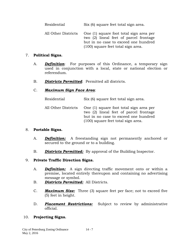Residential Six (6) square feet total sign area. All Other Districts One (1) square foot total sign area per two (2) lineal feet of parcel frontage but in no case to exceed one hundred (100) square feet total sign area.

## 7. **Political Signs.**

- A. *Definition*: For purposes of this Ordinance, a temporary sign used in conjunction with a local, state or national election or referendum.
- B. *Districts Permitted*: Permitted all districts.

# C. *Maximum Sign Face Area*:

| Residential         | Six (6) square feet total sign area.                                                                                                                            |
|---------------------|-----------------------------------------------------------------------------------------------------------------------------------------------------------------|
| All Other Districts | One (1) square foot total sign area per<br>two (2) lineal feet of parcel frontage<br>but in no case to exceed one hundred<br>(100) square feet total sign area. |

## 8. **Portable Signs.**

- A. *Definition:* A freestanding sign not permanently anchored or secured to the ground or to a building.
- B. *Districts Permitted:* By approval of the Building Inspector.

# 9. **Private Traffic Direction Signs.**

- A. *Definition:* A sign directing traffic movement onto or within a premise, located entirely thereupon and containing no advertising message or symbol.
- B. *Districts Permitted:* All Districts.
- C. *Maximum Size:* Three (3) square feet per face; not to exceed five (5) feet in height.
- D. *Placement Restrictions:* Subject to review by administrative official.

# 10. **Projecting Signs.**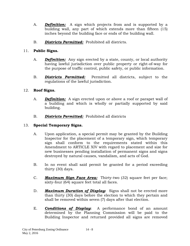- A. *Definition:* A sign which projects from and is supported by a building wall, any part of which extends more than fifteen (15) inches beyond the building face or ends of the building wall.
- B. *Districts Permitted:* Prohibited all districts.

# 11. **Public Signs.**

- A. *Definition:* Any sign erected by a state, county, or local authority having lawful jurisdiction over public property or right-of-way for the purpose of traffic control, public safety, or public information.
- B. *Districts Permitted:* Permitted all districts, subject to the regulations of the lawful jurisdiction.

# 12. **Roof Signs.**

- A. *Definition:* A sign erected upon or above a roof or parapet wall of a building and which is wholly or partially supported by said building.
- B. *Districts Permitted:* Prohibited all districts

# 13. **Special Temporary Signs.**

- A. Upon application, a special permit may be granted by the Building Inspector for the placement of a temporary sign, which temporary sign shall conform to the requirements stated within this Amendment to ARTICLE XIV with regard to placement and size for new businesses pending installation of permanent signs and signs destroyed by natural causes, vandalism, and acts of God.
- B. In no event shall said permit be granted for a period exceeding thirty (30) days.
- C. *Maximum Sign Face Area:* Thirty-two (32) square feet per face; sixty-four (64) square feet total all faces.
- D. *Maximum Duration of Display***:** Signs shall not be erected more than thirty (30) days before the election to which they pertain and shall be removed within seven (7) days after that election.
- E. *Conditions of Display***:** A performance bond of an amount determined by the Planning Commission will be paid to the Building Inspector and returned provided all signs are removed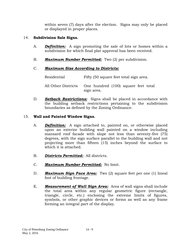within seven (7) days after the election. Signs may only be placed or displayed in proper places.

# 14. **Subdivision Sale Signs.**

- A. *Definition:* A sign promoting the sale of lots or homes within a subdivision for which final plat approval has been received.
- B. *Maximum Number Permitted:* Two (2) per subdivision.

# C. *Maximum Size According to Districts:*

Residential Fifty (50 square feet total sign area. All Other Districts One hundred (100) square feet total sign area.

D. *Setback Restrictions:* Signs shall be placed in accordance with the building setback restrictions pertaining to the subdivision boundaries as defined by the Zoning Ordinance.

# 15. **Wall and Painted Window Signs.**

- A. *Definition:* A sign attached to, painted on, or otherwise placed upon an exterior building wall painted on a window including mansard roof facade with slope not less than seventy-five (75) degrees, with the sign surface parallel to the building wall and not projecting more than fifteen (15) inches beyond the surface to which it is attached.
- B. *Districts Permitted:* All districts.
- C. *Maximum Number Permitted:* No limit.
- D. *Maximum Sign Face Area:* Two (2) square feet per one (1) lineal foot of building frontage.
- E. *Measurement of Wall Sign Area:* Area of wall signs shall include the total area within any regular geometric figure (rectangle, triangle, circle, etc.) enclosing the extreme limits of figures, symbols, or other graphic devices or forms as well as any frame forming an integral part of the display.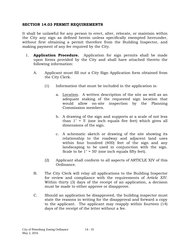#### **SECTION 14.03 PERMIT REQUIREMENTS**

It shall be unlawful for any person to erect, alter, relocate, or maintain within the City any sign as defined herein unless specifically exempted hereunder, without first obtaining a permit therefore from the Building Inspector, and making payment of any fee required by the City.

- 1. **Application Procedure.** Application for sign permits shall be made upon forms provided by the City and shall have attached thereto the following information:
	- A. Applicant must fill out a City Sign Application form obtained from the City Clerk.
		- (1) Information that must be included in the application is:
			- a. Location. A written description of the site as well as an adequate staking of the requested sign location that would allow on-site inspection by the Planning Commission members.
			- b. A drawing of the sign and supports at a scale of not less than 1" = 5' (one inch equals five feet) which gives all dimensions of the sign.
			- c. A schematic sketch or drawing of the site showing its relationship to the roadway and adjacent land uses within four hundred (400) feet of the sign and any landscaping to be used in conjunction with the sign. Scale to be 1" = 50' (one inch equals fifty feet).
		- (2) Applicant shall conform to all aspects of ARTICLE XIV of this Ordinance.
	- B. The City Clerk will relay all applications to the Building Inspector for review and compliance with the requirements of *Article XIV*. Within thirty (3) days of the receipt of an application, a decision must be made to either approve or disapprove.
	- C. Should an application be disapproved, the building inspector must state the reasons in writing for the disapproval and forward a copy to the applicant. The applicant may reapply within fourteen (14) days of the receipt of the letter without a fee.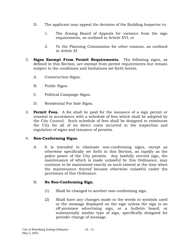- D. The applicant may appeal the decision of the Building Inspector to:
	- 1. The Zoning Board of Appeals for variance from the sign requirements, as outlined in Article XVI, or
	- 2. To the Planning Commission for other reasons, as outlined in *Article XI.*
- 2. **Signs Exempt From Permit Requirements.** The following signs, as defined in this Section, are exempt from permit requirements but remain subject to the conditions and limitations set forth herein.
	- A. Construction Signs.
	- B. Public Signs.
	- C. Political Campaign Signs.
	- D. Residential For Sale Signs.
- 3. **Permit Fees.** A fee shall be paid for the issuance of a sign permit or renewal in accordance with a schedule of fees which shall be adopted by the City Council. Such schedule of fees shall be designed to reimburse the City for all of its direct costs incurred in the inspection and regulation of signs and issuance of permits.

# 4. **Non-Conforming Signs.**

A. It is intended to eliminate non-conforming signs, except as otherwise specifically set forth in this Section, as rapidly as the police power of the City permits. Any lawfully erected sign, the maintenance of which is made unlawful by this Ordinance, may continue to be maintained exactly as such existed at the time when the maintenance thereof became otherwise unlawful under the provisions of this Ordinance.

# B. **No Non-Conforming Sign.**

- (1) Shall be changed to another non-conforming sign.
- (2) Shall have any changes made in the words or symbols used or the message displayed on the sign unless the sign is an off-premises advertising sign, or a bulletin board, or substantially similar type of sign, specifically designed for periodic change of message.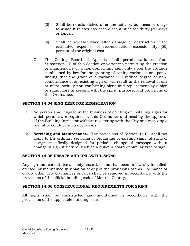- (3) Shall be re-established after the activity, business or usage to which it relates has been discontinued for thirty (30) days or longer.
- (4) Shall be re-established after damage or destruction if the estimated expenses of reconstruction exceeds fifty (50) percent of the original cost.
- C. The Zoning Board of Appeals shall permit variances from Subsection 4B of this Section or variances permitting the erection or maintenance of a non-conforming sign only upon the grounds established by law for the granting of zoning variances or upon a finding that the grant of a variance will reduce degree of nonconformance of an existing sign or will result in the removal of one or more lawfully non-conforming signs and replacement by a sign or signs more in keeping with the spirit, purpose, and provisions of this Ordinance.

## **SECTION 14.04 SIGN ERECTOR REGISTRATION**

- 1. No person shall engage in the business of erecting or installing signs for which permits are required by this Ordinance and needing the approval of the Building Inspector without registering with the City and receiving a permit to conduct such operations.
- 2. **Servicing and Maintenance.** The provisions of Section 14.04 shall not apply to the ordinary servicing or repainting of existing signs, altering of a sign specifically designed for periodic change of message without change in sign structure, such as a bulletin board or similar type of sign.

## **SECTION 14.05 UNSAFE AND UNLAWFUL SIGNS**

Any sign that constitutes a safety hazard, or that has been unlawfully installed, erected, or maintained in violation of any of the provisions of this Ordinance or of any other City ordinances or laws shall be removed in accordance with the provisions of the official building code of Monroe County.

## **SECTION 14.06 CONSTRUCTIONAL REQUIREMENTS FOR SIGNS**

All signs shall be constructed and maintained in accordance with the provisions of the applicable building code.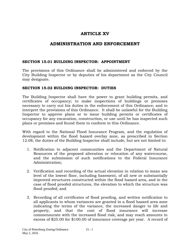# **ARTICLE XV**

# **ADMINISTRATION AND ENFORCEMENT**

#### **SECTION 15.01 BUILDING INSPECTOR: APPOINTMENT**

The provisions of this Ordinance shall be administered and enforced by the City Building Inspector or by deputies of his department as the City Council may designate.

#### **SECTION 15.02 BUILDING INSPECTOR: DUTIES**

The Building Inspector shall have the power to grant building permits, and certificates of occupancy; to make inspections of buildings or premises necessary to carry out his duties in the enforcement of this Ordinance; and to interpret the provisions of this Ordinance. It shall be unlawful for the Building Inspector to approve plans or to issue building permits or certificates of occupancy for any excavation, construction, or use until he has inspected such plans or premises and found them to conform to this Ordinance.

With regard to the National Flood Insurance Program, and the regulation of development within the flood hazard overlay zone, as prescribed in Section 12.08, the duties of the Building Inspector shall include, but are not limited to:

- 1. Notification to adjacent communities and the Department of Natural Resources of the proposed alteration or relocation of any watercourse, and the submission of such notifications to the Federal Insurance Administration;
- 2. Verification and recording of the actual elevation in relation to mean sea level of the lowest floor, including basement, of all new or substantially improved structures constructed within the flood hazard area, and in the case of flood proofed structures, the elevation to which the structure was flood proofed; and
- 3. Recording of all certificates of flood proofing, and written notification to all applicants to whom variances are granted in a flood hazard area zone indicating the terms of the variance, the increased danger to life and property, and that the cost of flood insurance will increase commensurate with the increased flood risk, and may reach amounts in excess of \$25.00 for \$100.00 of insurance coverage per year. A record of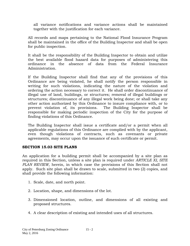all variance notifications and variance actions shall be maintained together with the justification for each variance.

All records and maps pertaining to the National Flood Insurance Program shall be maintained in the office of the Building Inspector and shall be open for public inspection.

It shall be the responsibility of the Building Inspector to obtain and utilize the best available flood hazard data for purposes of administering this ordinance in the absence of data from the Federal Insurance Administration.

If the Building Inspector shall find that any of the provisions of this Ordinance are being violated, he shall notify the person responsible in writing for such violations, indicating the nature of the violation and ordering the action necessary to correct it. He shall order discontinuance of illegal use of land, buildings, or structures; removal of illegal buildings or structures; discontinuance of any illegal work being done; or shall take any other action authorized by this Ordinance to insure compliance with, or to prevent violation of, its provisions. The Building Inspector shall be responsible for making periodic inspection of the City for the purpose of finding violations of this Ordinance.

The Building Inspector shall issue a certificate and/or a permit when all applicable regulations of this Ordinance are complied with by the applicant, even though violations of contracts, such as covenants or private agreements, may occur upon the issuance of such certificate or permit.

## **SECTION 15.03 SITE PLANS**

An application for a building permit shall be accompanied by a site plan as required in this Section, unless a site plan is required under *ARTICLE XI, SITE PLAN REVIEW,* herein, in which case the provisions of this Section shall not apply. Such site plan shall be drawn to scale, submitted in two (2) copies, and shall provide the following information:

- 1. Scale, date, and north point.
- 2. Location, shape, and dimensions of the lot.
- 3. Dimensioned location, outline, and dimensions of all existing and proposed structures.
- 4. A clear description of existing and intended uses of all structures.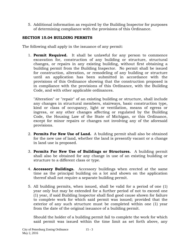5. Additional information as required by the Building Inspector for purposes of determining compliance with the provisions of this Ordinance.

# **SECTION 15.04 BUILDING PERMITS**

The following shall apply in the issuance of any permit:

1. **Permit Required.** It shall be unlawful for any person to commence excavation for, construction of any building or structure, structural changes, or repairs in any existing building, without first obtaining a building permit from the Building Inspector. No permit shall be issued for construction, alteration, or remodeling of any building or structure until an application has been submitted in accordance with the provisions of this Ordinance showing that the construction proposed is in compliance with the provisions of this Ordinance, with the Building Code, and with other applicable ordinances.

"Alteration" or "repair" of an existing building or structure, shall include any changes in structural members, stairways, basic construction type, kind or class of occupancy, light or ventilation, means of egress or ingress, or any other changes affecting or regulated by the Building Code, the Housing Law of the State of Michigan, or this Ordinance, except for minor repairs or changes not involving any of the aforesaid provisions.

- 2. **Permits For New Use of Land.** A building permit shall also be obtained for the new use of land, whether the land is presently vacant or a change in land use is proposed.
- 3. **Permits For New Use of Buildings or Structures.** A building permit shall also be obtained for any change in use of an existing building or structure to a different class or type.
- 4. **Accessory Buildings.** Accessory buildings when erected at the same time as the principal building on a lot and shown on the application thereof shall not require a separate building permit.
- 5. All building permits, when issued, shall be valid for a period of one (1) year only but may be extended for a further period of not to exceed one (1) year, if said Building Inspector shall find good cause shown for failure to complete work for which said permit was issued; provided that the exterior of any such structure must be completed within one (1) year from the date of the original issuance of a building permit.

Should the holder of a building permit fail to complete the work for which said permit was issued within the time limit as set forth above, any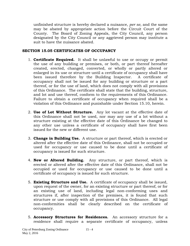unfinished structure is hereby declared a nuisance, *per se,* and the same may be abated by appropriate action before the Circuit Court of the County. The Board of Zoning Appeals, the City Council, any person designated by the City Council or any aggrieved person may institute a suit to have the nuisance abated.

#### **SECTION 15.05 CERTIFICATES OF OCCUPANCY**

- 1. **Certificate Required.** It shall be unlawful to use or occupy or permit the use of any building or premises, or both, or part thereof hereafter created, erected, changed, converted, or wholly or partly altered or enlarged in its use or structure until a certificate of occupancy shall have been issued therefore by the Building Inspector. A certificate of occupancy shall not be issued for any building or structure or a part thereof, or for the use of land, which does not comply with all provisions of this Ordinance. The certificate shall state that the building, structure, and lot and use thereof, conform to the requirements of this Ordinance. Failure to obtain a certificate of occupancy when required shall be a violation of this Ordinance and punishable under Section 15.10, herein.
- 2. **Use of Lot Without Structure.** Any lot vacant at the effective date of this Ordinance shall not be used, nor may any use of a lot without a structure existing at the effective date of this Ordinance be changed to any other use unless a certificate of occupancy shall have first been issued for the new or different use.
- 3. **Change in Building Use.** A structure or part thereof, which is erected or altered after the effective date of this Ordinance, shall not be occupied or used for occupancy or use caused to be done until a certificate of occupancy is issued for such structure.
- 4. **New or Altered Building.** Any structure, or part thereof, which is erected or altered after the effective date of this Ordinance, shall not be occupied or used for occupancy or use caused to be done until a certificate of occupancy is issued for such structure.
- 5. **Existing Structure and Use.** A certificate of occupancy shall be issued, upon request of the owner, for an existing structure or part thereof, or for an existing use of land, including legal non-conforming uses and structures if, after inspection of the premises, it is found that such structure or use comply with all provisions of this Ordinance. All legal non-conformities shall be clearly described on the certificate of occupancy.
- 5. **Accessory Structures for Residences.** An accessory structure for a residence shall require a separate certificate of occupancy, unless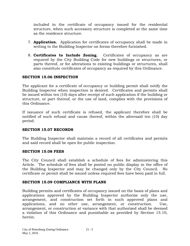included in the certificate of occupancy issued for the residential structure, when such accessory structure is completed at the same time as the residence structure.

- 7. **Application.** Application for certificates of occupancy shall be made in writing to the Building Inspector on forms therefore furnished.
- 8. **Certificates to Include Zoning.** Certificates of occupancy as are required by the City Building Code for new buildings or structures, or parts thereof, or for alterations to existing buildings or structures, shall also constitute certificates of occupancy as required by this Ordinance.

# **SECTION 15.06 INSPECTION**

The applicant for a certificate of occupancy or building permit shall notify the Building Inspector when inspection is desired. Certificates and permits shall be issued within ten (10) days after receipt of such application if the building or structure, or part thereof, or the use of land, complies with the provisions of this Ordinance.

If issuance of such certificate is refused, the applicant therefore shall be notified of such refusal and cause thereof, within the aforesaid ten (10) day period.

## **SECTION 15.07 RECORDS**

The Building Inspector shall maintain a record of all certificates and permits and said record shall be open for public inspection.

## **SECTION 15.08 FEES**

The City Council shall establish a schedule of fees for administering this Article. The schedule of fees shall be posted on public display in the office of the Building Inspector and may be changed only by the City Council. No certificate or permit shall be issued unless required fees have been paid in full.

## **SECTION 15.09 COMPLIANCE WITH PLANS**

Building permits and certificates of occupancy issued on the basis of plans and applications approved by the Building Inspector authorize only the use, arrangement, and construction set forth in such approved plans and applications, and no other use, arrangement, or construction. Use, arrangement, or construction at variance with that authorized shall be deemed a violation of this Ordinance and punishable as provided by Section 15.10, herein.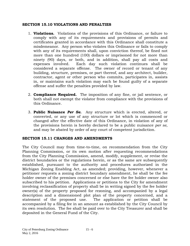#### **SECTION 15.10 VIOLATIONS AND PENALTIES**

- 1. **Violations.** Violations of the provisions of this Ordinance, or failure to comply with any of its requirements and provisions of permits and certificates granted in accordance with this Ordinance shall constitute a misdemeanor. Any person who violates this Ordinance or fails to comply with any of its requirements shall, upon conviction thereof, be fined not more than one hundred (100) dollars or imprisoned for not more than ninety (90) days, or both, and in addition, shall pay all costs and expenses involved. Each day such violation continues shall be considered a separate offense. The owner of record or tenant of any building, structure, premises, or part thereof, and any architect, builder, contractor, agent or other person who commits, participates in, assists in, or maintains such violation may each be found guilty of a separate offense and suffer the penalties provided by law.
- 2. **Compliance Required.** The imposition of any fine, or jail sentence, or both shall not exempt the violator from compliance with the provisions of this Ordinance.
- 3. **Public Nuisance** *Per Se***.** Any structure which is erected, altered, or converted, or any use of any structure or lot which is commenced or changed after the effective date of this Ordinance, in violation of any of the provisions herein is hereby declared to be a public nuisance *per se,* and may be abated by order of any court of competent jurisdiction.

## **SECTION 15.11 CHANGES AND AMENDMENTS**

The City Council may from time-to-time, on recommendation from the City Planning Commission, or its own motion after requesting recommendations from the City Planning Commission, amend, modify, supplement, or revise the district boundaries or the regulations herein, or as the same are subsequently established, pursuant to the authority and procedures authorized in the Michigan Zoning Enabling Act, as amended; providing, however, whenever a petitioner requests a zoning district boundary amendment, he shall be the fee holder owner of the premises concerned or else have the fee holder owner also subscribed to his petition. Applications or petitions to the City for amendment involving reclassification of property shall be in writing signed by the fee holder owner(s) of the property proposed for rezoning, and accompanied by a legal description and a dimensioned plot plan of the property concerned, and a statement of the proposed use. The application or petition shall be accompanied by a filing fee in an amount as established by the City Council by its own resolution. The fee shall be paid over to the City Treasurer and shall be deposited in the General Fund of the City.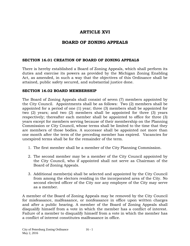# **ARTICLE XVI**

# **BOARD OF ZONING APPEALS**

## **SECTION 16.01 CREATION OF BOARD OF ZONING APPEALS**

There is hereby established a Board of Zoning Appeals, which shall perform its duties and exercise its powers as provided by the Michigan Zoning Enabling Act, as amended, in such a way that the objectives of this Ordinance shall be attained, public safety secured, and substantial justice done.

#### **SECTION 16.02 BOARD MEMBERSHIP**

The Board of Zoning Appeals shall consist of seven (7) members appointed by the City Council. Appointments shall be as follows: Two (2) members shall be appointed for a period of one (1) year; three (3) members shall be appointed for two (2) years; and two (2) members shall be appointed for three (3) years respectively; thereafter each member shall be appointed to office for three (3) years except for members serving because of their membership on the Planning Commission or City Council, whose terms shall be limited to the time that they are members of those bodies. A successor shall be appointed not more than one month after the term of the preceding member has expired. Vacancies for unexpired terms shall be for the remainder of the term.

- 1. The first member shall be a member of the City Planning Commission.
- 2. The second member may be a member of the City Council appointed by the City Council, who if appointed shall not serve as Chairman of the Board of Zoning Appeals.
- 3. Additional member(s) shall be selected and appointed by the City Council from among the electors residing in the incorporated area of the City. No second elected officer of the City nor any employee of the City may serve as a member.

A member of the Board of Zoning Appeals may be removed by the City Council for misfeasance, malfeasance, or nonfeasance in office upon written charges and after a public hearing. A member of the Board of Zoning Appeals shall disqualify himself from a vote in which the member has a conflict of interest. Failure of a member to disqualify himself from a vote in which the member has a conflict of interest constitutes malfeasance in office.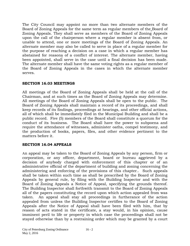The City Council may appoint no more than two alternate members of the Board of Zoning Appeals for the same term as regular members of the Board of Zoning Appeals. They shall serve as members of the Board of Zoning Appeals upon the call of the chairperson where a regular member is absent from, or unable to attend, one or more meetings of the Board of Zoning Appeals. An alternate member may also be called to serve in place of a regular member for the purpose of reaching a decision on a case in which a regular member has abstained for reasons of a conflict of interest. The alternate member, having been appointed, shall serve in the case until a final decision has been made. The alternate member shall have the same voting rights as a regular member of the Board of Zoning Appeals in the cases in which the alternate member serves.

# **SECTION 16.03 MEETINGS**

All meetings of the Board of Zoning Appeals shall be held at the call of the Chairman, and at such times as the Board of Zoning Appeals may determine. All meetings of the Board of Zoning Appeals shall be open to the public. The Board of Zoning Appeals shall maintain a record of its proceedings, and shall keep records of its findings, proceedings at hearings, and other official actions, all of which shall be immediately filed in the Municipal Building and shall be a public record. Five (5) members of the Board shall constitute a quorum for the conduct of its business. The Board shall have the power to subpoena and require the attendance of witnesses, administer oaths, compel testimony, and the production of books, papers, files, and other evidence pertinent to the matters before it.

## **SECTION 16.04 APPEALS**

An appeal may be taken to the Board of Zoning Appeals by any person, firm or corporation, or any officer, department, board or bureau aggrieved by a decision of anybody charged with enforcement of this chapter or of an administrative official of the department of building and zoning concerning the administering and enforcing of the provisions of this chapter.. Such appeals shall be taken within such time as shall be prescribed by the Board of Zoning Appeals by general rule, by filing with the Building Inspector and with the Board of Zoning Appeals a Notice of Appeal, specifying the grounds thereof. The Building Inspector shall forthwith transmit to the Board of Zoning Appeals all of the papers constituting the record upon which action appealed from was taken. An appeal shall stay all proceedings in furtherance of the action appealed from unless the Building Inspector certifies to the Board of Zoning Appeals after the Notice of Appeal shall have been filed with him, that by reason of acts stated in the certificate, a stay would, in his opinion, cause imminent peril to life or property in which case the proceedings shall not be stayed otherwise than by a restraining order which may be granted by a court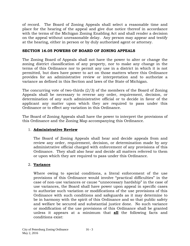of record. The Board of Zoning Appeals shall select a reasonable time and place for the hearing of the appeal and give due notice thereof in accordance with the terms of the Michigan Zoning Enabling Act and shall render a decision on the appeal without unreasonable delay. Any person may appear and testify at the hearing, either in person or by duly authorized agent or attorney.

## **SECTION 16.05 POWERS OF BOARD OF ZONING APPEALS**

The Zoning Board of Appeals shall not have the power to alter or change the zoning district classification of any property, nor to make any change in the terms of this Ordinance nor to permit any use in a district in which it is not permitted, but does have power to act on those matters where this Ordinance provides for an administrative review or interpretation and to authorize a variance as defined in this Section and laws of the State of Michigan.

The concurring vote of two-thirds (2/3) of the members of the Board of Zoning Appeals shall be necessary to reverse any order, requirement, decision, or determination of any such administrative official or to decide in favor of the applicant any matter upon which they are required to pass under this Ordinance or to effect any variation in this Ordinance.

The Board of Zoning Appeals shall have the power to interpret the provisions of this Ordinance and the Zoning Map accompanying this Ordinance.

# 1. **Administrative Review**

The Board of Zoning Appeals shall hear and decide appeals from and review any order, requirement, decision, or determination made by any administrative official charged with enforcement of any provisions of this Ordinance. They shall also hear and decide all matters referred to them or upon which they are required to pass under this Ordinance.

# 2. **Variance**

Where owing to special conditions, a literal enforcement of the use provisions of this Ordinance would involve "practical difficulties" in the case of non-use variances or cause "unnecessary hardship" in the case of use variances, the Board shall have power upon appeal in specific cases to authorize such variation or modifications of the use provisions of this Ordinance with such conditions and safeguards as it may determine to be in harmony with the spirit of this Ordinance and so that public safety and welfare be secured and substantial justice done. No such variance or modification of the use provisions of this Ordinance shall be granted unless it appears at a minimum that **all** the following facts and conditions exist: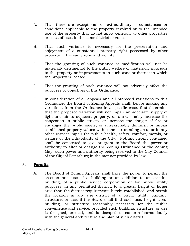- A. That there are exceptional or extraordinary circumstances or conditions applicable to the property involved or to the intended use of the property that do not apply generally to other properties or class of uses in the same district or zone.
- B. That such variance is necessary for the preservation and enjoyment of a substantial property right possessed by other property in the same zone and vicinity.
- C. That the granting of such variance or modification will not be materially detrimental to the public welfare or materially injurious to the property or improvements in such zone or district in which the property is located.
- D. That the granting of such variance will not adversely affect the purposes or objectives of this Ordinance.
- E. In consideration of all appeals and all proposed variations to this Ordinance, the Board of Zoning Appeals shall, before making any variations from the Ordinance in a specific case, first determine that the proposed variation will not impair an adequate supply of light and air to adjacent property, or unreasonably increase the congestion in public streets, or increase the danger of fire or endanger the public safety, or unreasonably diminish or impair established property values within the surrounding area, or in any other respect impair the public health, safety, comfort, morals, or welfare of the inhabitants of the City. Nothing herein contained shall be construed to give or grant to the Board the power or authority to alter or change the Zoning Ordinance or the Zoning Map, such power and authority being reserved to the City Council of the City of Petersburg in the manner provided by law.

## 3. **Permits**

A. The Board of Zoning Appeals shall have the power to permit the erection and use of a building or an addition to an existing building, of a public service corporation or for public utility purposes, in any permitted district, to a greater height or larger area than the district requirements herein established, and permit the location in any use district of a public utility building, structure, or use; if the Board shall find such use, height, area, building, or structure reasonably necessary for the public convenience and service, provided such building, structure, or use is designed, erected, and landscaped to conform harmoniously with the general architecture and plan of such district.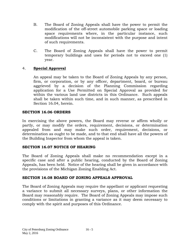- B. The Board of Zoning Appeals shall have the power to permit the modification of the off-street automobile parking space or loading space requirements where, in the particular instance, such modifications will not be inconsistent with the purpose and intent of such requirements.
- C. The Board of Zoning Appeals shall have the power to permit temporary buildings and uses for periods not to exceed one (1) year.

# 4. **Special Approval**

An appeal may be taken to the Board of Zoning Appeals by any person, firm, or corporation, or by any officer, department, board, or bureau aggrieved by a decision of the Planning Commission regarding application for a Use Permitted on Special Approval as provided for within the various land use districts in this Ordinance. Such appeals shall be taken within such time, and in such manner, as prescribed in Section 16.04, herein.

#### **SECTION 16.06 ORDERS**

In exercising the above powers, the Board may reverse or affirm wholly or partly, or may modify the orders, requirement, decisions, or determination appealed from and may make such order, requirement, decisions, or determination as ought to be made, and to that end shall have all the powers of the Building Inspector from whom the appeal is taken.

## **SECTION 16.07 NOTICE OF HEARING**

The Board of Zoning Appeals shall make no recommendation except in a specific case and after a public hearing, conducted by the Board of Zoning Appeals, has been held. Notice of the hearing shall be given in accordance with the provisions of the Michigan Zoning Enabling Act.

## **SECTION 16.08 BOARD OF ZONING APPEALS APPROVAL**

The Board of Zoning Appeals may require the appellant or applicant requesting a variance to submit all necessary surveys, plans, or other information the Board may reasonably require. The Board of Zoning Appeals may impose such conditions or limitations in granting a variance as it may deem necessary to comply with the spirit and purposes of this Ordinance.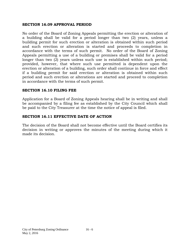#### **SECTION 16.09 APPROVAL PERIOD**

No order of the Board of Zoning Appeals permitting the erection or alteration of a building shall be valid for a period longer than two (2) years, unless a building permit for such erection or alteration is obtained within such period and such erection or alteration is started and proceeds to completion in accordance with the terms of such permit. No order of the Board of Zoning Appeals permitting a use of a building or premises shall be valid for a period longer than two (2) years unless such use is established within such period; provided, however, that where such use permitted is dependent upon the erection or alteration of a building, such order shall continue in force and effect if a building permit for said erection or alteration is obtained within such period and such erection or alterations are started and proceed to completion in accordance with the terms of such permit.

#### **SECTION 16.10 FILING FEE**

Application for a Board of Zoning Appeals hearing shall be in writing and shall be accompanied by a filing fee as established by the City Council which shall be paid to the City Treasurer at the time the notice of appeal is filed.

#### **SECTION 16.11 EFFECTIVE DATE OF ACTION**

The decision of the Board shall not become effective until the Board certifies its decision in writing or approves the minutes of the meeting during which it made its decision.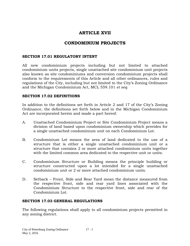# **ARTICLE XVII**

# **CONDOMINIUM PROJECTS**

#### **SECTION 17.01 REGULATORY INTENT**

All new condominium projects including but not limited to attached condominium units projects, single unattached site condominium unit projects also known as site condominiums and conversion condominium projects shall conform to the requirements of this Article and all other ordinances, rules and regulations of the City, including but not limited to the City's Zoning Ordinance and the Michigan Condominium Act, MCL 559.101 *et seq.*

#### **SECTION 17.02 DEFINITIONS**

In addition to the definitions set forth in Article 2 and 17 of the City's Zoning Ordinance, the definitions set forth below and in the Michigan Condominium Act are incorporated herein and made a part hereof.

- A. Unattached Condominium Project or Site Condominium Project means a division of land based upon condominium ownership which provides for a single unattached condominium unit on each Condominium Lot.
- B. Condominium Lot means the area of land dedicated to the use of a structure that is either a single unattached condominium unit or a structure that contains 2 or more attached condominium units together with the limited common area dedicated to the respective unit or units.
- C. Condominium Structure or Building means the principle building or structure constructed upon a lot intended for a single unattached condominium unit or 2 or more attached condominium units.
- D. Setback Front, Side and Rear Yard mean the distance measured from the respective front, side and rear yard lines associated with the Condominium Structure to the respective front, side and rear of the Condominium Lot.

## **SECTION 17.03 GENERAL REGULATIONS**

The following regulations shall apply to all condominium projects permitted in any zoning district.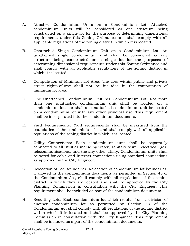- A. Attached Condominium Units on a Condominium Lot: Attached condominium units will be considered as one structure being constructed on a single lot for the purpose of determining dimensional requirements under this Zoning Ordinance and shall comply with all applicable regulations of the zoning district in which it is located.
- B. Unattached Single Condominium Unit on a Condominium Lot: An unattached single condominium unit shall be considered as one structure being constructed on a single lot for the purposes of determining dimensional requirements under this Zoning Ordinance and shall comply with all applicable regulations of the zoning district in which it is located.
- C. Computation of Minimum Lot Area: The area within public and private street rights-of-way shall not be included in the computation of minimum lot area.
- D. One Unattached Condominium Unit per Condominium Lot: Not more than one unattached condominium unit shall be located on a condominium lot, nor shall an unattached condominium unit be located on a condominium lot with any other principal use. This requirement shall be incorporated into the condominium documents.
- E. Yard Requirements: Yard requirements shall be measured from the boundaries of the condominium lot and shall comply with all applicable regulations of the zoning district in which it is located.
- F. Utility Connections: Each condominium unit shall be separately connected to all utilities including water, sanitary sewer, electrical, gas, telecommunications, and the any other utility. Condominium units shall be wired for cable and Internet connections using standard connections as approved by the City Engineer.
- G. Relocation of Lot Boundaries: Relocation of condominium lot boundaries, if allowed in the condominium documents as permitted in Section 48 of the Condominium Act, shall comply with all regulations of the zoning district in which they are located and shall be approved by the City Planning Commission in consultation with the City Engineer. This requirement shall be included as part of the condominium documents.
- H. Resulting Lots: Each condominium lot which results from a division of another condominium lot as permitted by Section 49 of the Condominium Act shall comply with all regulations of the zoning district within which it is located and shall be approved by the City Planning Commission in consultation with the City Engineer. This requirement shall be included as a part of the condominium documents.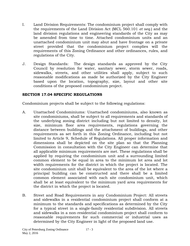- I. Land Division Requirements: The condominium project shall comply with the requirements of the Land Division Act (MCL 560.101 *et seq.*) and the land division regulations and engineering standards of the City as may be amended from time to time. Attached condominium units and an unattached condominium unit may abut and have frontage on a private street provided that the condominium project complies will the requirements of this Zoning Ordinance and other ordinances, rules, and regulations of the City.
- J. Design Standards: The design standards as approved by the City Council by resolution for water, sanitary sewer, storm sewer, roads, sidewalks, streets, and other utilities shall apply, subject to such reasonable modifications as made be authorized by the City Engineer based upon the location, topography, size, layout and other site conditions of the proposed condominium project.

#### **SECTION 17.04 SPECIFIC REGULATIONS**

Condominium projects shall be subject to the following regulations:

- A. Unattached Condominiums: Unattached condominiums, also known as site condominiums, shall be subject to all requirements and standards of the underlying zoning district including but not limited to density, lot size, minimum floor area requirements, regulations governing the distance between buildings and the attachment of buildings, and other requirements as set forth in this Zoning Ordinance, including but not limited to Article 9, Schedule of Regulations. All proper information and dimensions shall be depicted on the site plan so that the Planning Commission in consultation with the City Engineer can determine that all applicable minimum requirements are met. These regulations shall be applied by requiring the condominium unit and a surrounding limited common element to be equal in area to the minimum lot area and lot width requirements for the district in which the project is located. The site condominium unit shall be equivalent to the area of the lot where a principal building can be constructed and there shall be a limited common element associated with each site condominium unit, which shall be at least equivalent to the minimum yard area requirements for the district in which the project is located.
- B. Street and Road Requirements in any Condominium Project: All streets and sidewalks in a residential condominium project shall conform at a minimum to the standards and specifications as determined by the City for a typical street in a single-family residential subdivision. All streets and sidewalks in a non-residential condominium project shall conform to reasonable requirements for such commercial or industrial uses as determined by the City Engineer in light of the proposed land use.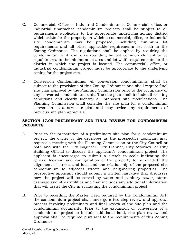- C. Commercial, Office or Industrial Condominiums: Commercial, office, or industrial unattached condominium projects shall be subject to all requirements applicable to the appropriate underlying zoning district which exists for the property on which a commercial, office, or industrial site condominium may be proposed, including minimum lot requirements and all other applicable requirements set forth in the Zoning Ordinance. The regulations shall be applied by requiring the condominium unit and a surrounding limited common element to be equal in area to the minimum lot area and lot width requirements for the district in which the project is located. The commercial, office, or industrial condominium project must be appropriate to the underlying zoning for the project site.
- D. Conversion Condominiums: All conversion condominiums shall be subject to the provisions of this Zoning Ordinance and shall require final site plan approval by the Planning Commission prior to the occupancy of any converted condominium unit. The site plan shall include all existing conditions and clearly identify all proposed site modifications. The Planning Commission shall consider the site plan for a condominium conversion as a new site plan and may revise any requirements of previous site plan approvals.

## **SECTION 17.05 PRELIMINARY AND FINAL REVIEW FOR CONDOMINIUM PROJECTS**

- A. Prior to the preparation of a preliminary site plan for a condominium project, the owner or the developer as the prospective applicant may request a meeting with the Planning Commission or the City Council or both and with the City Engineer, City Planner, City Attorney, or City Building Official to discuss the applicant's condominium project. The applicant is encouraged to submit a sketch to scale indicating the general location and configuration of the property to be divided; the alignment of streets and lots; and the relationship of the proposed site condominium to adjacent streets and neighboring properties. The prospective applicant should submit a written narrative that discusses how the project will be served by water and sanitary sewer, storm drainage and other utilities and that includes any additional information that will assist the City in evaluating the condominium project.
- B. Prior to recording the Master Deed required by the Condominium Act, the condominium project shall undergo a two-step review and approval process involving preliminary and final review of the site plan and the condominium documents. Prior to the expansion or conversion of a condominium project to include additional land, site plan review and approval shall be required pursuant to the requirements of this Zoning Ordinance.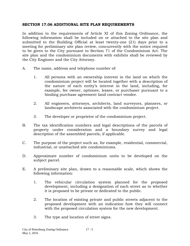#### **SECTION 17.06 ADDITIONAL SITE PLAN REQUIREMENTS**

In addition to the requirements of Article XI of this Zoning Ordinance, the following information shall be included on or attached to the site plan and submitted to the Building Official at least twenty-one (21) days prior to a meeting for preliminary site plan review, concurrently with the notice required to be given to the City pursuant to Section 71 of the Condominium Act. The site plan and the condominium documents with exhibits shall be reviewed by the City Engineer and the City Attorney.

- A. The name, address and telephone number of:
	- 1. All persons with an ownership interest in the land on which the condominium project will be located together with a description of the nature of each entity's interest in the land, including, for example, fee owner, optionee, lessee, or purchaser pursuant to a binding purchase agreement land contract vendee.
	- 2. All engineers, attorneys, architects, land surveyors, planners, or landscape architects associated with the condominium project.
	- 3. The developer or proprietor of the condominium project.
- B. The tax identification numbers and legal descriptions of the parcels of property under consideration and a boundary survey and legal description of the assembled parcels, if applicable.
- C. The purpose of the project such as, for example, residential, commercial, industrial, or unattached site condominiums.
- D. Approximate number of condominium units to be developed on the subject parcel.
- E. A preliminary site plan, drawn to a reasonable scale, which shows the following information:
	- 1. The vehicular circulation system planned for the proposed development, including a designation of each street as to whether it is proposed to be private or dedicated to the public.
	- 2. The location of existing private and public streets adjacent to the proposed development with an indication how they will connect with the proposed circulation system for the new development.
	- 3. The type and location of street signs.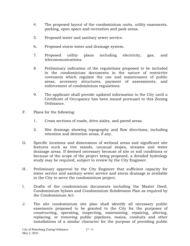- 4. The proposed layout of the condominium units, utility easements, parking, open space and recreation and park areas.
- 5. Proposed water and sanitary sewer service.
- 6. Proposed storm water and drainage system.
- 7. Proposed utility plans including electricity, gas, and telecommunications.
- 8. Preliminary indication of the regulations proposed to be included in the condominium documents in the nature of restrictive covenants which regulate the use and maintenance of public areas, accessory structures, payment of assessments, and enforcement of condominium regulations.
- 9. The applicant shall provide updated information to the City until a Certificate of Occupancy has been issued pursuant to this Zoning Ordinance.
- F. Plans for the following:
	- 1. Cross sections of roads, drive aisles, and paved areas.
	- 2. Site drainage showing topography and flow directions, including retention and detention areas, if any.
- G. Specific locations and dimensions of wetland areas and significant site features such as tree stands, unusual slopes, streams and water drainage areas. If deemed necessary because of site or soil conditions or because of the scope of the project being proposed, a detailed hydrology study may be required, subject to review by the City Engineer.
- H. Preliminary approval by the City Engineer that sufficient capacity for water service and sanitary sewer service and storm drainage is available in the City to serve the condominium project.
- I. Drafts of the condominium documents including the Master Deed, Condominium bylaws and Condominium Subdivision Plan as required by the Condominium Act.
- J. The site condominium site plan shall identify all necessary public easements proposed to be granted to the City for the purposes of constructing, operating, inspecting, maintaining, repairing, altering, replacing, or removing public pipelines, mains, conduits and other installations of a similar character for the purpose of providing public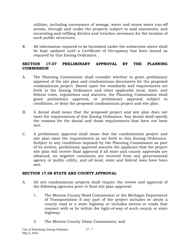utilities, including conveyance of sewage, water and storm water run-off across, through and under the property subject to said easements, and excavating and refilling ditches and trenches necessary for the location of such public structures.

K. All information required to be furnished under the subsection above shall be kept updated until a Certificate of Occupancy has been issued as required by this Zoning Ordinance.

## **SECTION 17.07 PRELIMINARY APPROVAL BY THE PLANNING COMMISSION**

- A. The Planning Commission shall consider whether to grant preliminary approval of the site plan and condominium documents for the proposed condominium project. Based upon the standards and requirements set forth in the Zoning Ordinance and other applicable local, state, and federal rules, regulations and statutes, the Planning Commission shall grant preliminary approval, or preliminary approval subject to conditions, or deny the proposed condominium project and site plan.
- B. A denial shall mean that the proposed project and site plan does not meet the requirements of this Zoning Ordinance. Any denial shall specify the reasons for the denial and those requirements that have not been met.
- C. A preliminary approval shall mean that the condominium project and site plan meet the requirements as set forth in this Zoning Ordinance. Subject to any conditions imposed by the Planning Commission as part of its motion, preliminary approval assures the applicant that the project site plan will receive final approval if all state and county approvals are obtained, no negative comments are received from any governmental agency or public utility, and all local, state and federal laws have been met.

## **SECTION 17.08 STATE AND COUNTY APPROVAL**

- A. All site condominium projects shall require the review and approval of the following agencies prior to final site plan approval:
	- 1. The Monroe County Road Commission or the Michigan Department of Transportation if any part of the project includes or abuts a county road or a state highway or includes streets or roads that connect with or lie within the right-of-way of such county or state highway.
	- 2. The Monroe County Drain Commission; and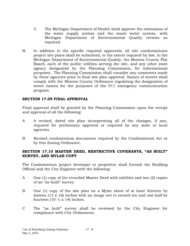- 3. The Michigan Department of Health shall approve the extensions of the water supply system and the waste water system, with Michigan Department of Environmental Quality reviews as required.
- B. In addition to the specific required approvals, all site condominiums project site plans shall be submitted, to the extent required by law, to the Michigan Department of Environmental Quality, the Monroe County Plat Board, each of the public utilities serving the site, and any other state agency designated by the Planning Commission, for informational purposes. The Planning Commission shall consider any comments made by these agencies prior to final site plan approval. Names of streets shall comply with the Monroe County Ordinance regulating the designation of street names for the purposes of the 911 emergency communication program.

## **SECTION 17.09 FINAL APPROVAL**

Final approval shall be granted by the Planning Commission upon the receipt and approval of all the following:

- A A revised, dated site plan incorporating all of the changes, if any, required for preliminary approval or required by any state or local agencies.
- B Revised condominium documents required by the Condominium Act or by this Zoning Ordinance.

#### **SECTION 17.10 MASTER DEED, RESTRICTIVE COVENANTS, "AS BUILT" SURVEY, AND MYLAR COPY**

The Condominium project developer or proprietor shall furnish the Building Official and the City Engineer with the following:

- A One (1) copy of the recorded Master Deed with exhibits and two (2) copies of an "as built" survey.
- B One (1) copy of the site plan on a Mylar sheet of at least thirteen by sixteen (13 x 16) inches with an image not to exceed ten and one-half by fourteen (10  $\frac{1}{2}$  x 14) inches.
- C The "as built" survey shall be reviewed by the City Engineer for compliance with City Ordinances.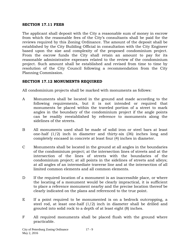#### **SECTION 17.11 FEES**

The applicant shall deposit with the City a reasonable sum of money in escrow from which the reasonable fees of the City's consultants shall be paid for the reviews required by this Zoning Ordinance. The amount of the deposit shall be established by the City Building Official in consultation with the City Engineer based upon the size and complexity of the proposed condominium project. From the escrow funds the City shall retain an amount to pay for its reasonable administrative expenses related to the review of the condominium project. Such amount shall be established and revised from time to time by resolution of the City Council following a recommendation from the City Planning Commission.

## **SECTION 17.12 MONUMENTS REQUIRED**

All condominium projects shall be marked with monuments as follows:

- A Monuments shall be located in the ground and made according to the following requirements, but it is not intended or required that monuments be placed within the traveled portion of a street to mark angles in the boundary of the condominium project if the angle points can be readily reestablished by reference to monuments along the sidelines of the streets.
- B All monuments used shall be made of solid iron or steel bars at least one-half (1/2) inch in diameter and thirty-six (36) inches long and completely encased in concrete at least four (4) inches in diameter.
- C Monuments shall be located in the ground at all angles in the boundaries of the condominium project; at the intersection lines of streets and at the intersection of the lines of streets with the boundaries of the condominium project; at all points in the sidelines of streets and alleys; at all angles of an intermediate traverse line and at the intersection of all limited common elements and all common elements.
- D If the required location of a monument is an inaccessible place, or where the locating of a monument would be clearly impractical, it is sufficient to place a reference monument nearby and the precise location thereof be clearly indicated on the plans and referenced to the true point.
- E If a point required to be monumented is on a bedrock outcropping, a steel rod, at least one-half (1/2) inch in diameter shall be drilled and grouted into solid rock to a depth of at least eight (8) inches.
- F All required monuments shall be placed flush with the ground where practicable.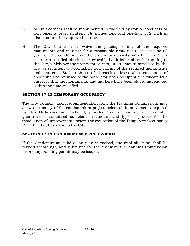- G All unit corners shall be monumented in the field by iron or steel bars or iron pipes at least eighteen (18) inches long and one-half (1/2) inch in diameter or other approved markers.
- H The City Council may waive the placing of any of the required monuments and markers for a reasonable time, not to exceed one (1) year, on the condition that the proprietor deposits with the City Clerk cash or a certified check, or irrevocable bank letter of credit running to the City, whichever the proprietor selects, in an amount approved by the City as sufficient to accomplish said placing of the required monuments and markers. Such cash, certified check or irrevocable bank letter of credit shall be returned to the proprietor upon receipt of a certificate by a surveyor that the monuments and markers have been placed as required within the time specified.

#### **SECTION 17.13 TEMPORARY OCCUPANCY**

The City Council, upon recommendation from the Planning Commission, may allow occupancy of the condominium project before all improvements required by this Ordinance are installed, provided that a bond or other suitable guarantee is submitted sufficient in amount and type to provide for the installation of improvements before the expiration of the Temporary Occupancy Permit without expense to the City.

## **SECTION 17.14 CONDOMINIUM PLAN REVISION**

If the Condominium subdivision plan is revised, the final site plan shall be revised accordingly and submitted for the review by the Planning Commission before any building permit may be issued.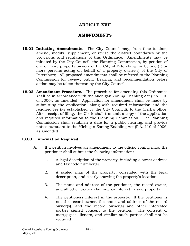# **ARTICLE XVII**

# **AMENDMENTS**

- **18.01 Initiating Amendments.** The City Council may, from time to time, amend, modify, supplement, or revise the district boundaries or the provisions and regulations of this Ordinance. Amendments may be initiated by the City Council, the Planning Commission, by petition of one or more property owners of the City of Petersburg, or by one (1) or more persons acting on behalf of a property owner(s) of the City of Petersburg. All proposed amendments shall be referred to the Planning Commission for review, public hearing, and recommendation before action may be taken thereon by the City Council.
- **18.02 Amendment Procedure.** The procedure for amending this Ordinance shall be in accordance with the Michigan Zoning Enabling Act (P.A. 110 of 2006), as amended. Application for amendment shall be made by submitting the application, along with required information and the required fee (as established by the City Council), to the Clerk's office. After receipt of filing, the Clerk shall transmit a copy of the application and required information to the Planning Commission. The Planning Commission shall establish a date for a public hearing, and provide notice pursuant to the Michigan Zoning Enabling Act (P.A. 110 of 2006) as amended.

## **18.03 Information Required.**

- A. If a petition involves an amendment to the official zoning map, the petitioner shall submit the following information:
	- 1. A legal description of the property, including a street address and tax code number(s).
	- 2. A scaled map of the property, correlated with the legal description, and clearly showing the property's location.
	- 3. The name and address of the petitioner, the record owner, and all other parties claiming an interest in said property.
	- 4. The petitioners interest in the property. If the petitioner is not the record owner, the name and address of the record owner(s), and the record owner(s) and other interested parties signed consent to the petition. The consent of mortgagees, lienors, and similar such parties shall not be required.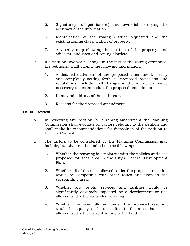- 5. Signature(s) of petitioner(s) and owner(s) certifying the accuracy of the information.
- 6. Identification of the zoning district requested and the existing zoning classification of property.
- 7. A vicinity map showing the location of the property, and adjacent land uses and zoning districts.
- B. If a petition involves a change in the text of the zoning ordinance, the petitioner shall submit the following information:
	- 1. A detailed statement of the proposed amendment, clearly and completely setting forth all proposed provisions and regulations, including all changes in the zoning ordinance necessary to accommodate the proposed amendment.
	- 2. Name and address of the petitioner.
	- 3. Reasons for the proposed amendment.

#### **18.04 Review.**

- A. In reviewing any petition for a zoning amendment the Planning Commission shall evaluate all factors relevant to the petition and shall make its recommendations for disposition of the petition to the City Council.
- B. The factors to be considered by the Planning Commission may include, but shall not be limited to, the following:
	- 1. Whether the rezoning is consistent with the policies and uses proposed for that area in the City's General Development Plan;
	- 2. Whether all of the uses allowed under the proposed rezoning would be compatible with other zones and uses in the surrounding area;
	- 3. Whether any public services and facilities would be significantly adversely impacted by a development or use allowed under the requested rezoning;
	- 4. Whether the uses allowed under the proposed rezoning would be equally or better suited to the area than uses allowed under the current zoning of the land;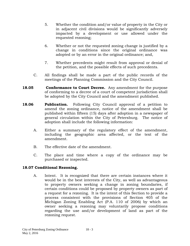- 5. Whether the condition and/or value of property in the City or in adjacent civil divisions would be significantly adversely impacted by a development or use allowed under the requested rezoning;
- 6. Whether or not the requested zoning change is justified by a change in conditions since the original ordinance was adopted or by an error in the original ordinance; and,
- 7. Whether precedents might result from approval or denial of the petition, and the possible effects of such precedents.
- C. All findings shall be made a part of the public records of the meetings of the Planning Commission and the City Council.
- **18.05 Conformance to Court Decree.** Any amendment for the purpose of conforming to a decree of a court of competent jurisdiction shall be adopted by the City Council and the amendment published.
- **18.06 Publication.** Following City Council approval of a petition to amend the zoning ordinance, notice of the amendment shall be published within fifteen (15) days after adoption in a newspaper of general circulation within the City of Petersburg. The notice of adoption shall include the following information:
	- A. Either a summary of the regulatory effect of the amendment, including the geographic area affected, or the text of the amendment.
	- B. The effective date of the amendment.
	- C. The place and time where a copy of the ordinance may be purchased or inspected.

## **18.07 Conditional Rezoning.**

A. Intent. It is recognized that there are certain instances where it would be in the best interests of the City, as well as advantageous to property owners seeking a change in zoning boundaries, if certain conditions could be proposed by property owners as part of a request for a rezoning. It is the intent of this Section to provide a process consistent with the provisions of Section 405 of the Michigan Zoning Enabling Act (P.A. 110 of 2006) by which an owner seeking a rezoning may voluntarily propose conditions regarding the use and/or development of land as part of the rezoning request.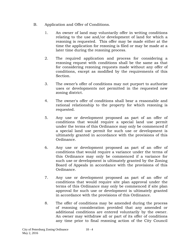- B. Application and Offer of Conditions.
	- 1. An owner of land may voluntarily offer in writing conditions relating to the use and/or development of land for which a rezoning is requested. This offer may be made either at the time the application for rezoning is filed or may be made at a later time during the rezoning process.
	- 2. The required application and process for considering a rezoning request with conditions shall be the same as that for considering rezoning requests made without any offer of conditions, except as modified by the requirements of this Section.
	- 3. The owner's offer of conditions may not purport to authorize uses or developments not permitted in the requested new zoning district.
	- 4. The owner's offer of conditions shall bear a reasonable and rational relationship to the property for which rezoning is requested.
	- 5. Any use or development proposed as part of an offer of conditions that would require a special land use permit under the terms of this Ordinance may only be commenced if a special land use permit for such use or development is ultimately granted in accordance with the provisions of this Ordinance.
	- 6. Any use or development proposed as part of an offer of conditions that would require a variance under the terms of this Ordinance may only be commenced if a variance for such use or development is ultimately granted by the Zoning Board of Appeals in accordance with the provisions of this Ordinance.
	- 7. Any use or development proposed as part of an offer of conditions that would require site plan approval under the terms of this Ordinance may only be commenced if site plan approval for such use or development is ultimately granted in accordance with the provisions of this Ordinance.
	- 8. The offer of conditions may be amended during the process of rezoning consideration provided that any amended or additional conditions are entered voluntarily by the owner. An owner may withdraw all or part of its offer of conditions any time prior to final rezoning action of the City Council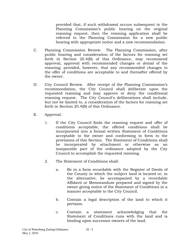provided that, if such withdrawal occurs subsequent to the Planning Commission's public hearing on the original rezoning request, then the rezoning application shall be referred to the Planning Commission for a new public hearing with appropriate notice and a new recommendation.

- C. Planning Commission Review. The Planning Commission, after public hearing and consideration of the factors for rezoning set forth in Section 20.4(B) of this Ordinance, may recommend approval, approval with recommended changes or denial of the rezoning; provided, however, that any recommended changes to the offer of conditions are acceptable to and thereafter offered by the owner.
- D. City Council Review. After receipt of the Planning Commission's recommendation, the City Council shall deliberate upon the requested rezoning and may approve or deny the conditional rezoning request. The City Council's deliberations shall include, but not be limited to, a consideration of the factors for rezoning set forth in Section 20.4(B) of this Ordinance.
- E. Approval.
	- 1. If the City Council finds the rezoning request and offer of conditions acceptable, the offered conditions shall be incorporated into a formal written Statement of Conditions acceptable to the owner and conforming in form to the provisions of this Section. The Statement of Conditions shall be incorporated by attachment or otherwise as an inseparable part of the ordinance adopted by the City Council to accomplish the requested rezoning.
	- 2. The Statement of Conditions shall:
		- a. Be in a form recordable with the Register of Deeds of the County in which the subject land is located or, in the alternative, be accompanied by a recordable Affidavit or Memorandum prepared and signed by the owner giving notice of the Statement of Conditions in a manner acceptable to the City Council.
		- b. Contain a legal description of the land to which it pertains.
		- c. Contain a statement acknowledging that the Statement of Conditions runs with the land and is binding upon successor owners of the land.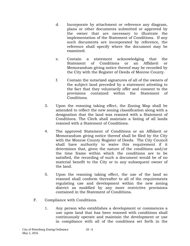- d. Incorporate by attachment or reference any diagram, plans or other documents submitted or approved by the owner that are necessary to illustrate the implementation of the Statement of Conditions. If any such documents are incorporated by reference, the reference shall specify where the document may be examined.
- e. Contain a statement acknowledging that the Statement of Conditions or an Affidavit or Memorandum giving notice thereof may be recorded by the City with the Register of Deeds of Monroe County.
- f. Contain the notarized signatures of all of the owners of the subject land preceded by a statement attesting to the fact that they voluntarily offer and consent to the provisions contained within the Statement of Conditions.
- 3. Upon the rezoning taking effect, the Zoning Map shall be amended to reflect the new zoning classification along with a designation that the land was rezoned with a Statement of Conditions. The Clerk shall maintain a listing of all lands rezoned with a Statement of Conditions.
- 4. The approved Statement of Conditions or an Affidavit or Memorandum giving notice thereof shall be filed by the City with the Monroe County Register of Deeds. The City Council shall have authority to waive this requirement if it determines that, given the nature of the conditions and/or the time frame within which the conditions are to be satisfied, the recording of such a document would be of no material benefit to the City or to any subsequent owner of the land.
- 5. Upon the rezoning taking effect, the use of the land so rezoned shall conform thereafter to all of the requirements regulating use and development within the new zoning district as modified by any more restrictive provisions contained in the Statement of Conditions.
- F. Compliance with Conditions.
	- 1. Any person who establishes a development or commences a use upon land that has been rezoned with conditions shall continuously operate and maintain the development or use in compliance with all of the conditions set forth in the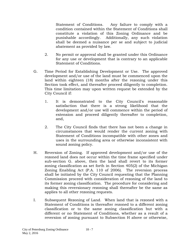Statement of Conditions. Any failure to comply with a condition contained within the Statement of Conditions shall constitute a violation of this Zoning Ordinance and be punishable accordingly. Additionally, any such violation shall be deemed a nuisance per se and subject to judicial abatement as provided by law.

- 2. No permit or approval shall be granted under this Ordinance for any use or development that is contrary to an applicable Statement of Conditions.
- G. Time Period for Establishing Development or Use. The approved development and/or use of the land must be commenced upon the land within eighteen (18) months after the rezoning under this Section took effect, and thereafter proceed diligently to completion. This time limitation may upon written request be extended by the City Council if:
	- 1. It is demonstrated to the City Council's reasonable satisfaction that there is a strong likelihood that the development and/or use will commence within the period of extension and proceed diligently thereafter to completion, and,
	- 2. The City Council finds that there has not been a change in circumstances that would render the current zoning with Statement of Conditions incompatible with other zones and uses in the surrounding area or otherwise inconsistent with sound zoning policy.
- H. Reversion of Zoning. If approved development and/or use of the rezoned land does not occur within the time frame specified under sub-section G. above, then the land shall revert to its former zoning classification as set forth in Section 405(2) of the Michigan Zoning Enabling Act (P.A. 110 of 2006). The reversion process shall be initiated by the City Council requesting that the Planning Commission proceed with consideration of rezoning of the land to its former zoning classification. The procedure for considering and making this reversionary rezoning shall thereafter be the same as applies to all other rezoning requests.
- I. Subsequent Rezoning of Land. When land that is rezoned with a Statement of Conditions is thereafter rezoned to a different zoning classification or to the same zoning classification but with a different or no Statement of Conditions, whether as a result of a reversion of zoning pursuant to Subsection H above or otherwise,